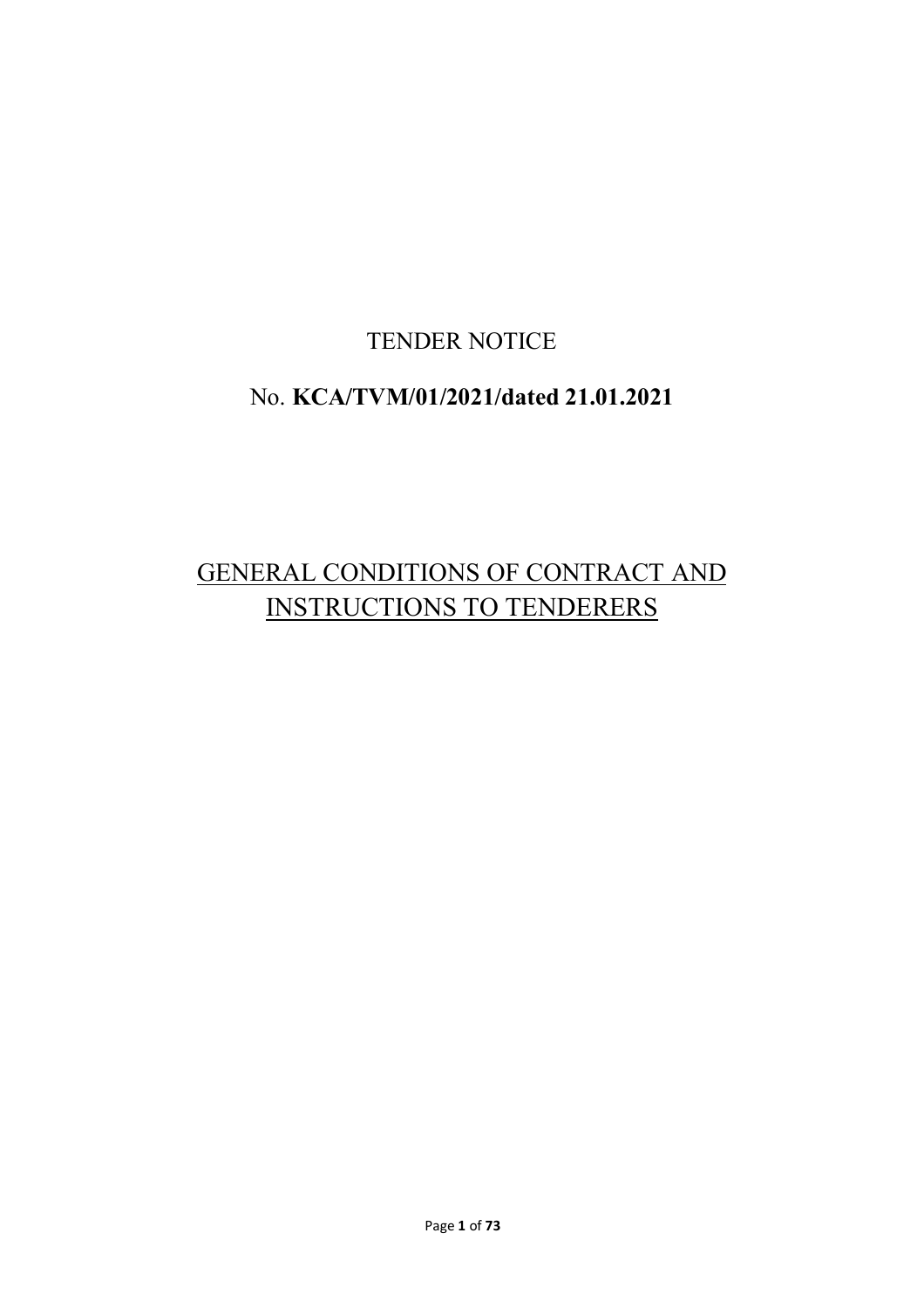# TENDER NOTICE

# No. **KCA/TVM/01/2021/dated 21.01.2021**

# GENERAL CONDITIONS OF CONTRACT AND INSTRUCTIONS TO TENDERERS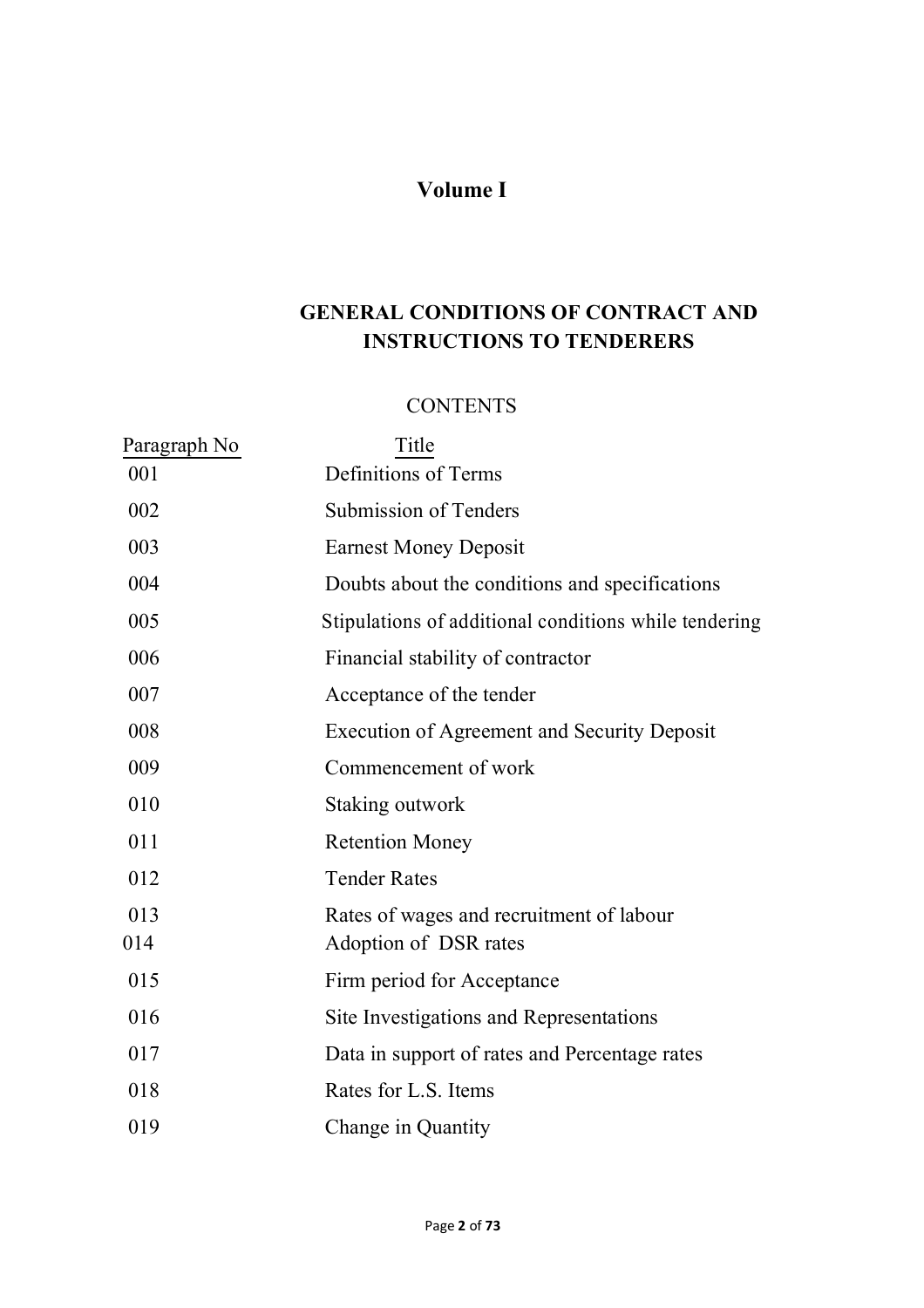# **Volume I**

# **GENERAL CONDITIONS OF CONTRACT AND INSTRUCTIONS TO TENDERERS**

#### **CONTENTS**

| Paragraph No | Title                                                             |
|--------------|-------------------------------------------------------------------|
| 001          | Definitions of Terms                                              |
| 002          | Submission of Tenders                                             |
| 003          | <b>Earnest Money Deposit</b>                                      |
| 004          | Doubts about the conditions and specifications                    |
| 005          | Stipulations of additional conditions while tendering             |
| 006          | Financial stability of contractor                                 |
| 007          | Acceptance of the tender                                          |
| 008          | <b>Execution of Agreement and Security Deposit</b>                |
| 009          | Commencement of work                                              |
| 010          | Staking outwork                                                   |
| 011          | <b>Retention Money</b>                                            |
| 012          | <b>Tender Rates</b>                                               |
| 013<br>014   | Rates of wages and recruitment of labour<br>Adoption of DSR rates |
| 015          | Firm period for Acceptance                                        |
| 016          | Site Investigations and Representations                           |
| 017          | Data in support of rates and Percentage rates                     |
| 018          | Rates for L.S. Items                                              |
| 019          | Change in Quantity                                                |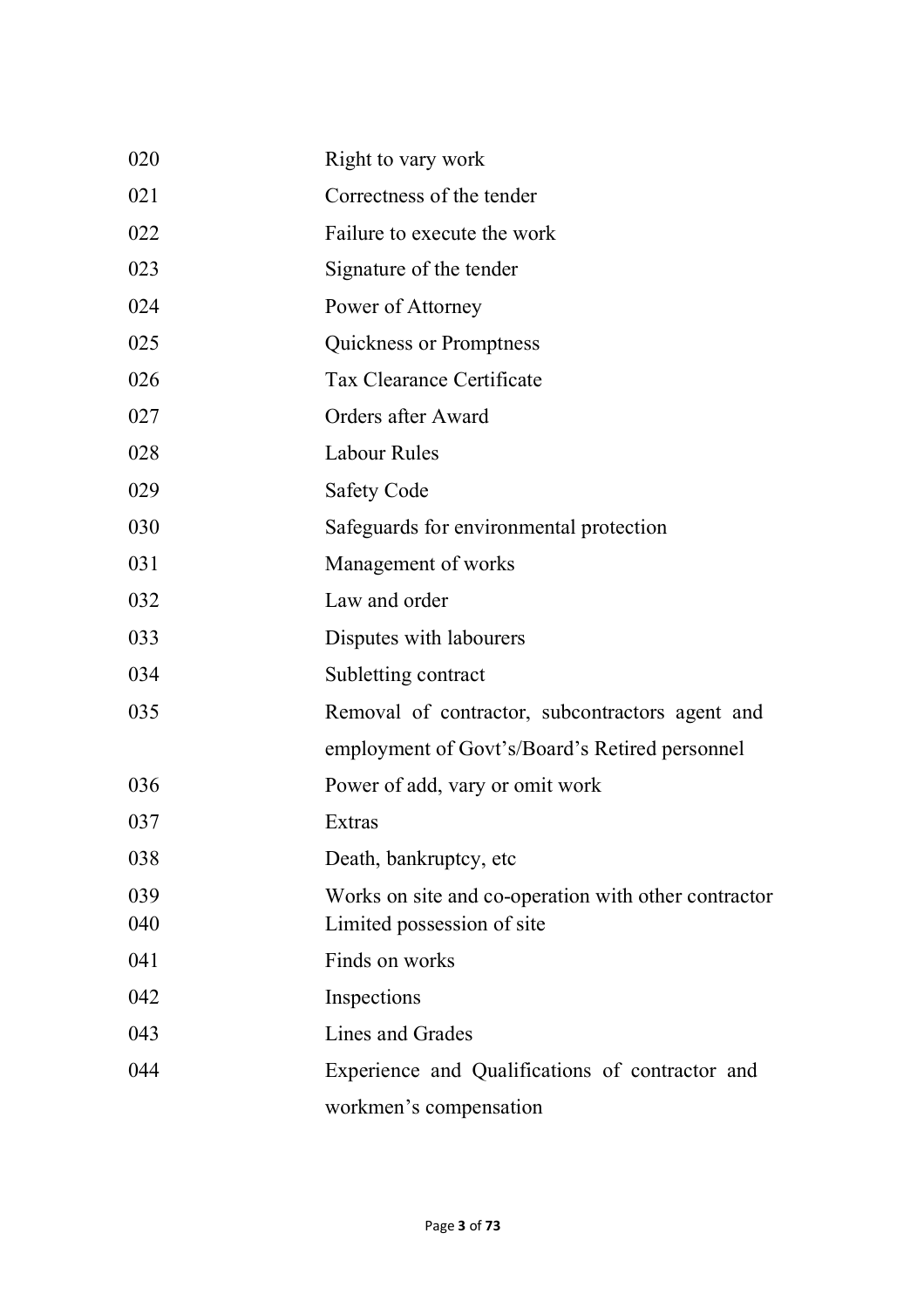| 020 | Right to vary work                                   |
|-----|------------------------------------------------------|
| 021 | Correctness of the tender                            |
| 022 | Failure to execute the work                          |
| 023 | Signature of the tender                              |
| 024 | Power of Attorney                                    |
| 025 | <b>Quickness or Promptness</b>                       |
| 026 | <b>Tax Clearance Certificate</b>                     |
| 027 | Orders after Award                                   |
| 028 | <b>Labour Rules</b>                                  |
| 029 | <b>Safety Code</b>                                   |
| 030 | Safeguards for environmental protection              |
| 031 | Management of works                                  |
| 032 | Law and order                                        |
| 033 | Disputes with labourers                              |
| 034 | Subletting contract                                  |
| 035 | Removal of contractor, subcontractors agent and      |
|     | employment of Govt's/Board's Retired personnel       |
| 036 | Power of add, vary or omit work                      |
| 037 | Extras                                               |
| 038 | Death, bankruptcy, etc.                              |
| 039 | Works on site and co-operation with other contractor |
| 040 | Limited possession of site                           |
| 041 | Finds on works                                       |
| 042 | Inspections                                          |
| 043 | Lines and Grades                                     |
| 044 | Experience and Qualifications of contractor and      |
|     | workmen's compensation                               |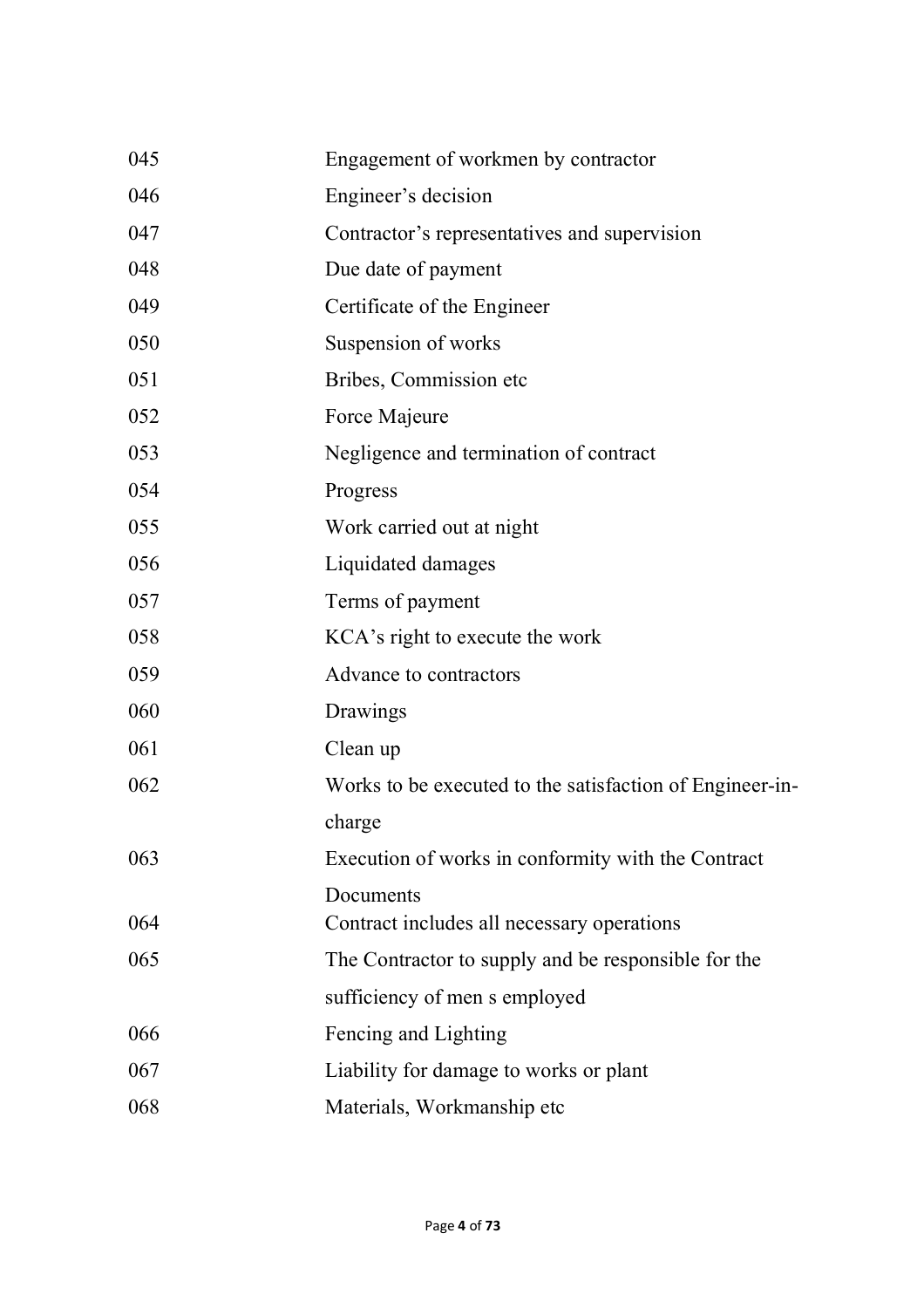| 045 | Engagement of workmen by contractor                      |
|-----|----------------------------------------------------------|
| 046 | Engineer's decision                                      |
| 047 | Contractor's representatives and supervision             |
| 048 | Due date of payment                                      |
| 049 | Certificate of the Engineer                              |
| 050 | Suspension of works                                      |
| 051 | Bribes, Commission etc.                                  |
| 052 | Force Majeure                                            |
| 053 | Negligence and termination of contract                   |
| 054 | Progress                                                 |
| 055 | Work carried out at night                                |
| 056 | Liquidated damages                                       |
| 057 | Terms of payment                                         |
| 058 | KCA's right to execute the work                          |
| 059 | Advance to contractors                                   |
| 060 | Drawings                                                 |
| 061 | Clean up                                                 |
| 062 | Works to be executed to the satisfaction of Engineer-in- |
|     | charge                                                   |
| 063 | Execution of works in conformity with the Contract       |
|     | Documents                                                |
| 064 | Contract includes all necessary operations               |
| 065 | The Contractor to supply and be responsible for the      |
|     | sufficiency of men s employed                            |
| 066 | Fencing and Lighting                                     |
| 067 | Liability for damage to works or plant                   |
| 068 | Materials, Workmanship etc                               |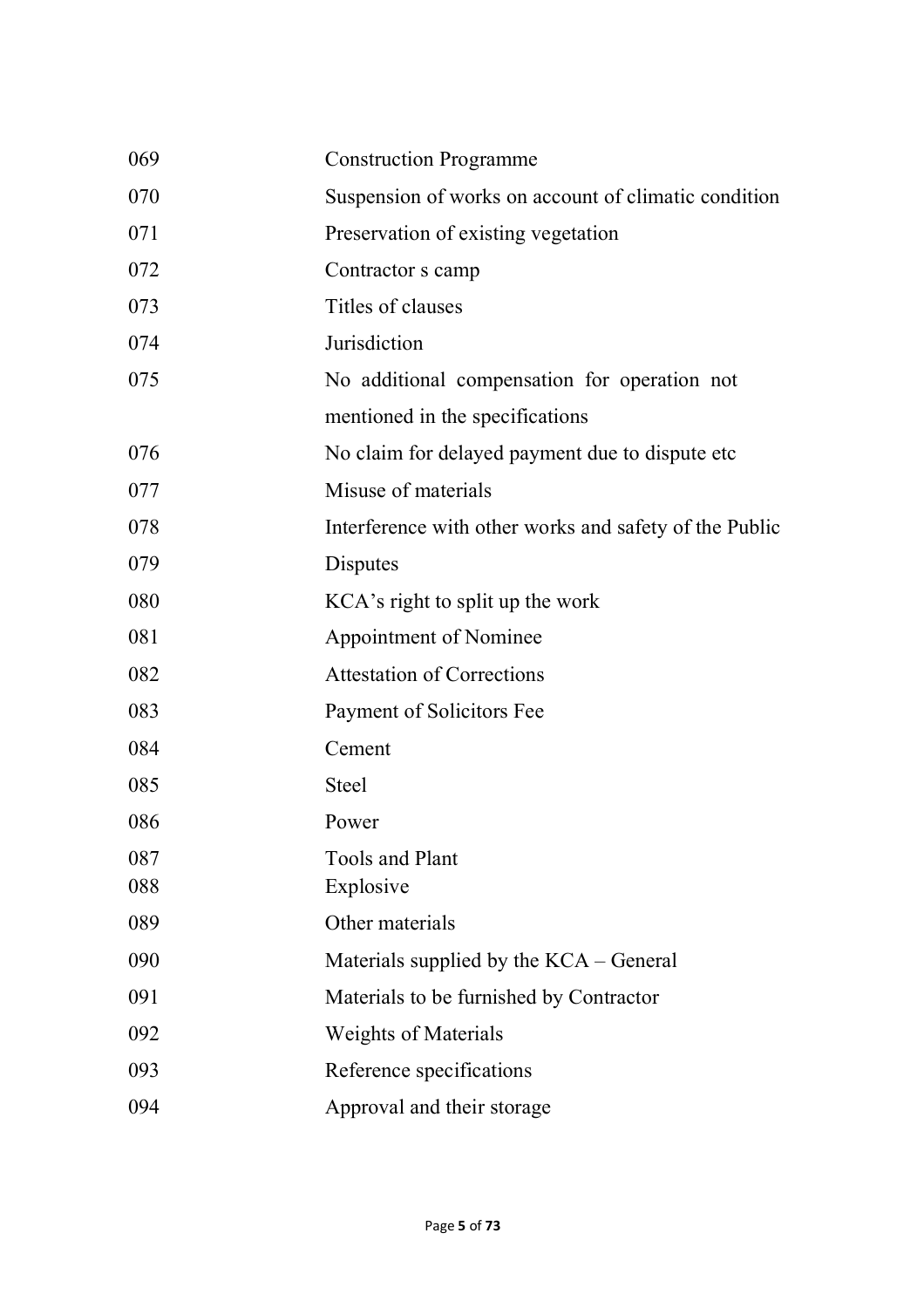| 069 | <b>Construction Programme</b>                          |
|-----|--------------------------------------------------------|
| 070 | Suspension of works on account of climatic condition   |
| 071 | Preservation of existing vegetation                    |
| 072 | Contractor s camp                                      |
| 073 | Titles of clauses                                      |
| 074 | Jurisdiction                                           |
| 075 | No additional compensation for operation not           |
|     | mentioned in the specifications                        |
| 076 | No claim for delayed payment due to dispute etc.       |
| 077 | Misuse of materials                                    |
| 078 | Interference with other works and safety of the Public |
| 079 | Disputes                                               |
| 080 | KCA's right to split up the work                       |
| 081 | Appointment of Nominee                                 |
| 082 | <b>Attestation of Corrections</b>                      |
| 083 | Payment of Solicitors Fee                              |
| 084 | Cement                                                 |
| 085 | <b>Steel</b>                                           |
| 086 | Power                                                  |
| 087 | <b>Tools and Plant</b>                                 |
| 088 | Explosive                                              |
| 089 | Other materials                                        |
| 090 | Materials supplied by the KCA – General                |
| 091 | Materials to be furnished by Contractor                |
| 092 | <b>Weights of Materials</b>                            |
| 093 | Reference specifications                               |
| 094 | Approval and their storage                             |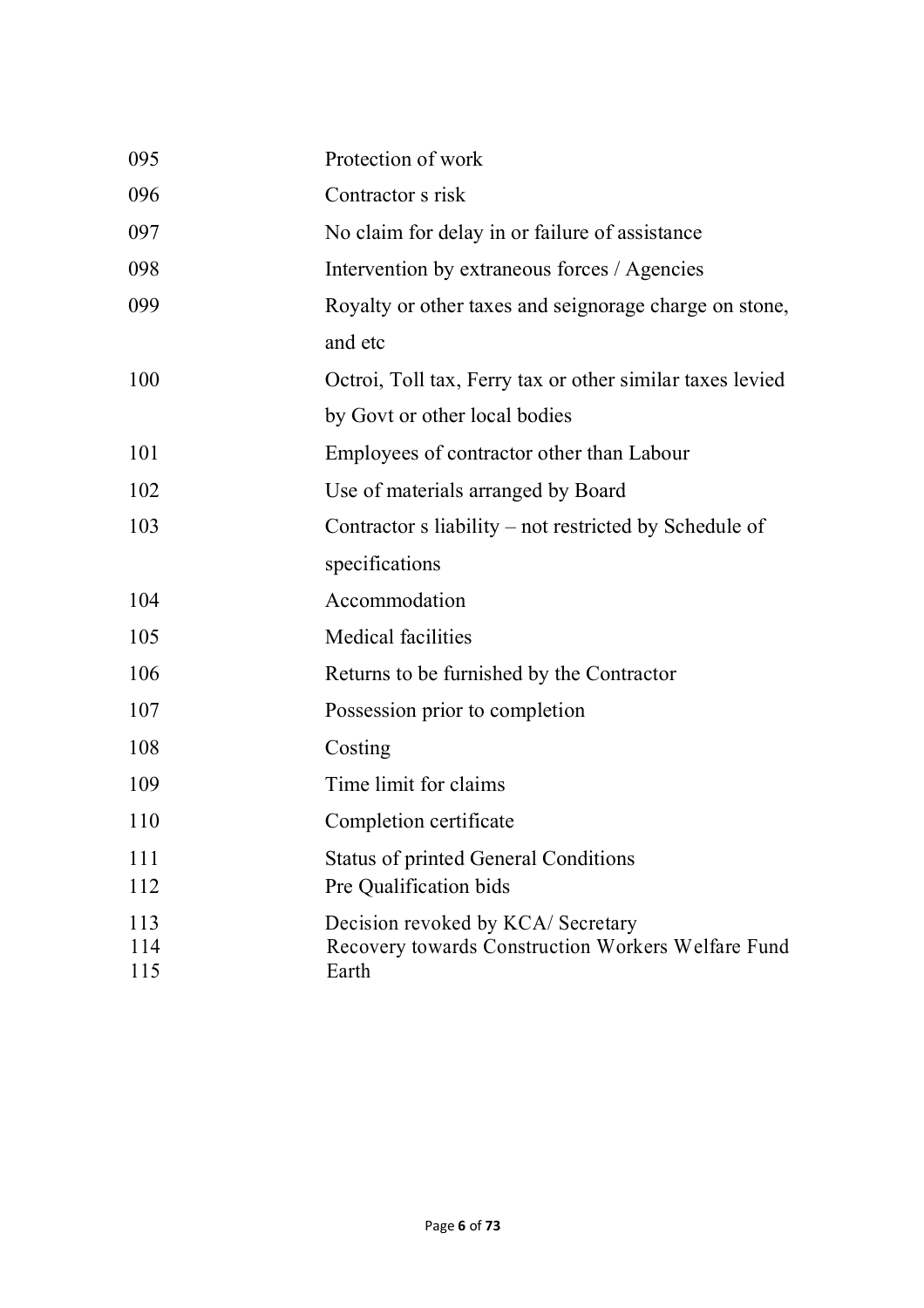| 095        | Protection of work                                          |
|------------|-------------------------------------------------------------|
| 096        | Contractor s risk                                           |
| 097        | No claim for delay in or failure of assistance              |
| 098        | Intervention by extraneous forces / Agencies                |
| 099        | Royalty or other taxes and seignorage charge on stone,      |
|            | and etc                                                     |
| 100        | Octroi, Toll tax, Ferry tax or other similar taxes levied   |
|            | by Govt or other local bodies                               |
| 101        | Employees of contractor other than Labour                   |
| 102        | Use of materials arranged by Board                          |
| 103        | Contractor s liability – not restricted by Schedule of      |
|            | specifications                                              |
| 104        | Accommodation                                               |
| 105        | <b>Medical facilities</b>                                   |
| 106        | Returns to be furnished by the Contractor                   |
| 107        | Possession prior to completion                              |
| 108        | Costing                                                     |
| 109        | Time limit for claims                                       |
| 110        | Completion certificate                                      |
| 111        | <b>Status of printed General Conditions</b>                 |
| 112        | Pre Qualification bids                                      |
| 113        | Decision revoked by KCA/ Secretary                          |
| 114<br>115 | Recovery towards Construction Workers Welfare Fund<br>Earth |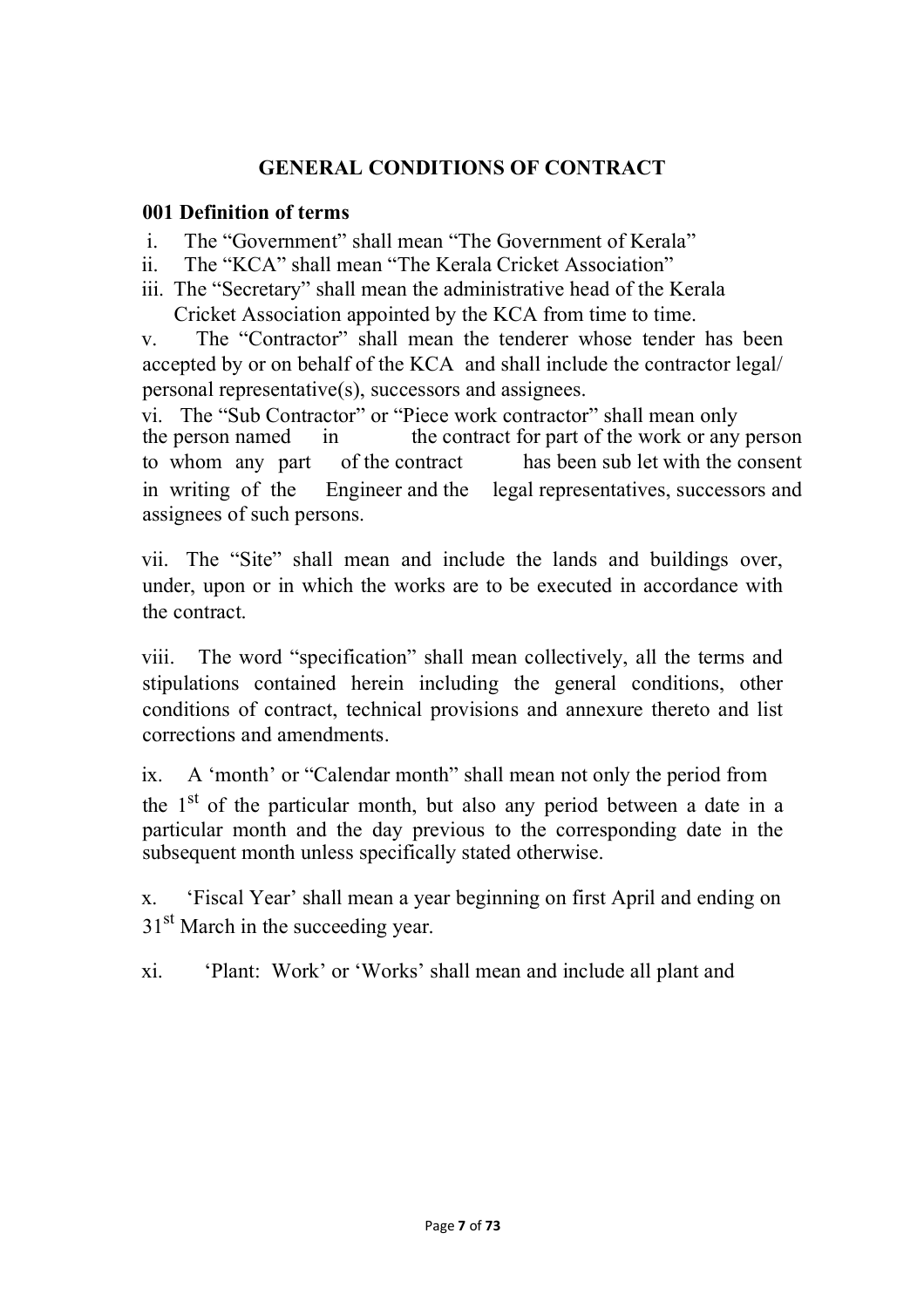## **GENERAL CONDITIONS OF CONTRACT**

#### **001 Definition of terms**

- i. The "Government" shall mean "The Government of Kerala"
- ii. The "KCA" shall mean "The Kerala Cricket Association"
- iii. The "Secretary" shall mean the administrative head of the Kerala Cricket Association appointed by the KCA from time to time.

v. The "Contractor" shall mean the tenderer whose tender has been accepted by or on behalf of the KCA and shall include the contractor legal/ personal representative(s), successors and assignees.

vi. The "Sub Contractor" or "Piece work contractor" shall mean only the person named in the contract for part of the work or any in the contract for part of the work or any person to whom any part of the contract has been sub let with the consent in writing of the Engineer and the legal representatives, successors and assignees of such persons.

vii. The "Site" shall mean and include the lands and buildings over, under, upon or in which the works are to be executed in accordance with the contract.

viii. The word "specification" shall mean collectively, all the terms and stipulations contained herein including the general conditions, other conditions of contract, technical provisions and annexure thereto and list corrections and amendments.

ix. A 'month' or "Calendar month" shall mean not only the period from the 1st of the particular month, but also any period between a date in a particular month and the day previous to the corresponding date in the subsequent month unless specifically stated otherwise.

x. 'Fiscal Year' shall mean a year beginning on first April and ending on 31<sup>st</sup> March in the succeeding year.

xi. 'Plant: Work' or 'Works' shall mean and include all plant and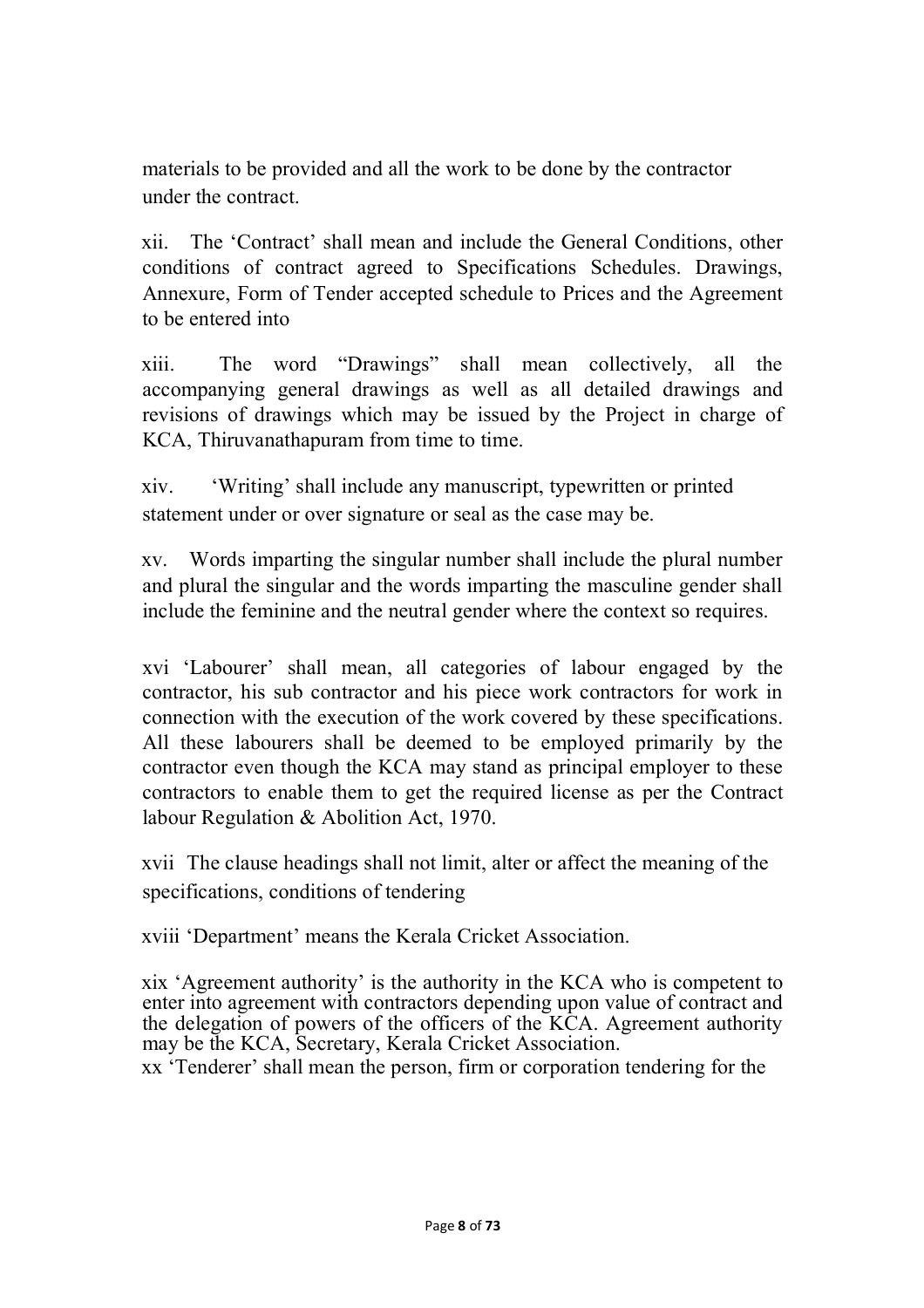materials to be provided and all the work to be done by the contractor under the contract.

xii. The 'Contract' shall mean and include the General Conditions, other conditions of contract agreed to Specifications Schedules. Drawings, Annexure, Form of Tender accepted schedule to Prices and the Agreement to be entered into

xiii. The word "Drawings" shall mean collectively, all the accompanying general drawings as well as all detailed drawings and revisions of drawings which may be issued by the Project in charge of KCA, Thiruvanathapuram from time to time.

xiv. 'Writing' shall include any manuscript, typewritten or printed statement under or over signature or seal as the case may be.

xv. Words imparting the singular number shall include the plural number and plural the singular and the words imparting the masculine gender shall include the feminine and the neutral gender where the context so requires.

xvi 'Labourer' shall mean, all categories of labour engaged by the contractor, his sub contractor and his piece work contractors for work in connection with the execution of the work covered by these specifications. All these labourers shall be deemed to be employed primarily by the contractor even though the KCA may stand as principal employer to these contractors to enable them to get the required license as per the Contract labour Regulation & Abolition Act, 1970.

xvii The clause headings shall not limit, alter or affect the meaning of the specifications, conditions of tendering

xviii 'Department' means the Kerala Cricket Association.

xix 'Agreement authority' is the authority in the KCA who is competent to enter into agreement with contractors depending upon value of contract and the delegation of powers of the officers of the KCA. Agreement authority may be the KCA, Secretary, Kerala Cricket Association.

xx 'Tenderer' shall mean the person, firm or corporation tendering for the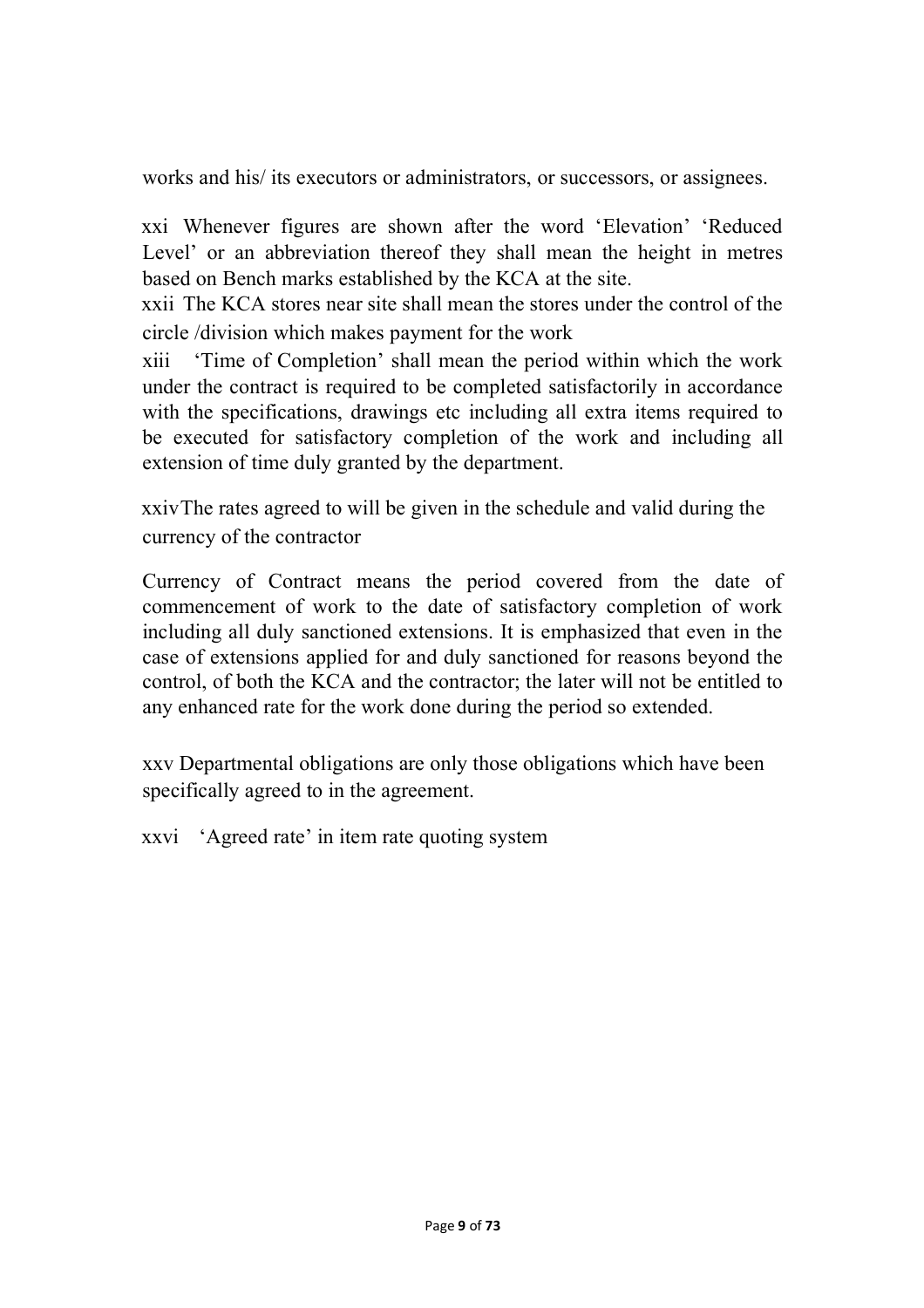works and his/ its executors or administrators, or successors, or assignees.

xxi Whenever figures are shown after the word 'Elevation' 'Reduced Level' or an abbreviation thereof they shall mean the height in metres based on Bench marks established by the KCA at the site.

xxii The KCA stores near site shall mean the stores under the control of the circle /division which makes payment for the work

xiii 'Time of Completion' shall mean the period within which the work under the contract is required to be completed satisfactorily in accordance with the specifications, drawings etc including all extra items required to be executed for satisfactory completion of the work and including all extension of time duly granted by the department.

xxivThe rates agreed to will be given in the schedule and valid during the currency of the contractor

Currency of Contract means the period covered from the date of commencement of work to the date of satisfactory completion of work including all duly sanctioned extensions. It is emphasized that even in the case of extensions applied for and duly sanctioned for reasons beyond the control, of both the KCA and the contractor; the later will not be entitled to any enhanced rate for the work done during the period so extended.

xxv Departmental obligations are only those obligations which have been specifically agreed to in the agreement.

xxvi 'Agreed rate' in item rate quoting system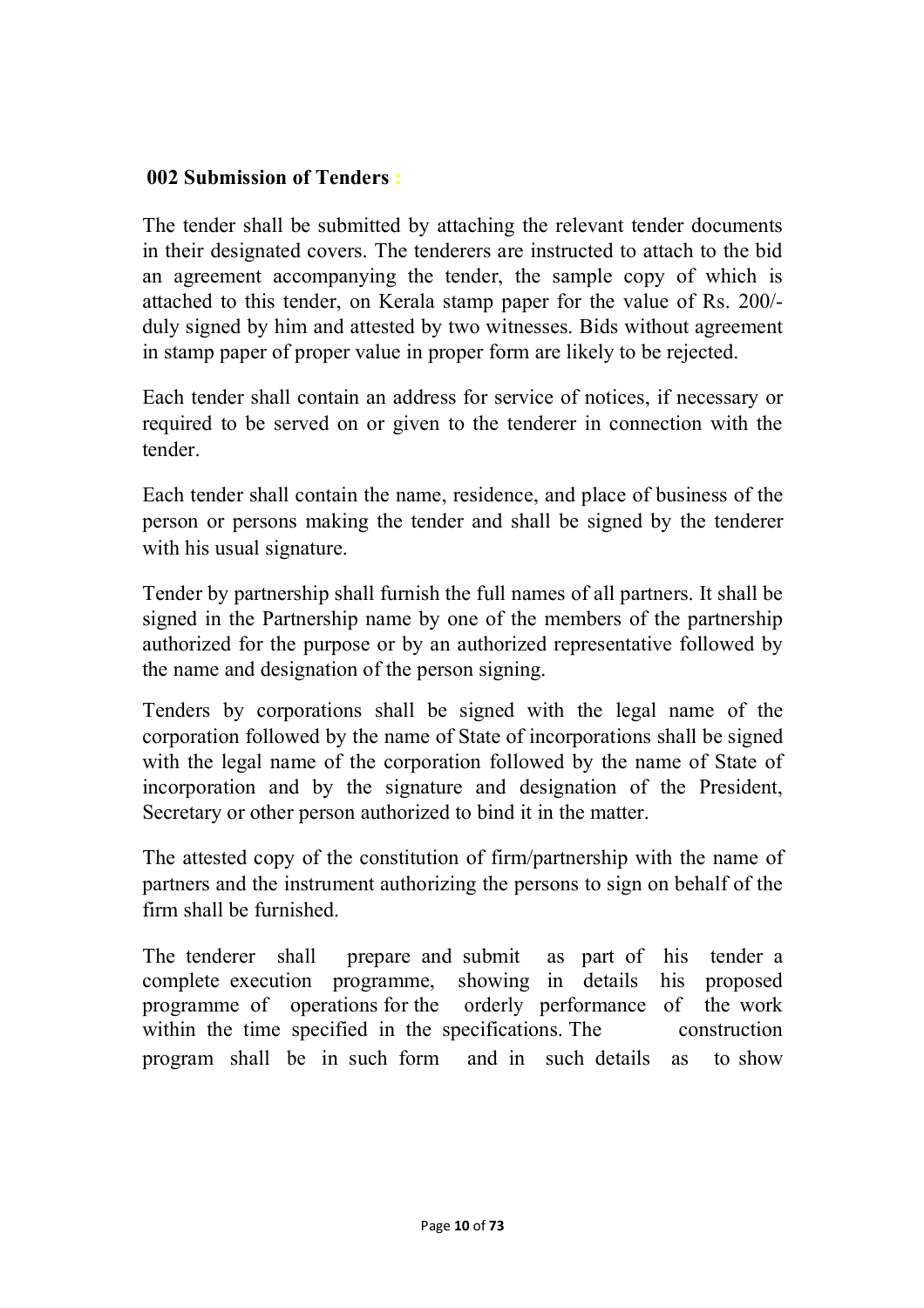#### **002 Submission of Tenders :**

The tender shall be submitted by attaching the relevant tender documents in their designated covers. The tenderers are instructed to attach to the bid an agreement accompanying the tender, the sample copy of which is attached to this tender, on Kerala stamp paper for the value of Rs. 200/ duly signed by him and attested by two witnesses. Bids without agreement in stamp paper of proper value in proper form are likely to be rejected.

Each tender shall contain an address for service of notices, if necessary or required to be served on or given to the tenderer in connection with the tender.

Each tender shall contain the name, residence, and place of business of the person or persons making the tender and shall be signed by the tenderer with his usual signature.

Tender by partnership shall furnish the full names of all partners. It shall be signed in the Partnership name by one of the members of the partnership authorized for the purpose or by an authorized representative followed by the name and designation of the person signing.

Tenders by corporations shall be signed with the legal name of the corporation followed by the name of State of incorporations shall be signed with the legal name of the corporation followed by the name of State of incorporation and by the signature and designation of the President, Secretary or other person authorized to bind it in the matter.

The attested copy of the constitution of firm/partnership with the name of partners and the instrument authorizing the persons to sign on behalf of the firm shall be furnished.

The tenderer shall prepare and submit as part of his tender a complete execution programme, showing in details his proposed programme of operations for the orderly performance of the work within the time specified in the specifications. The construction program shall be in such form and in such details as to show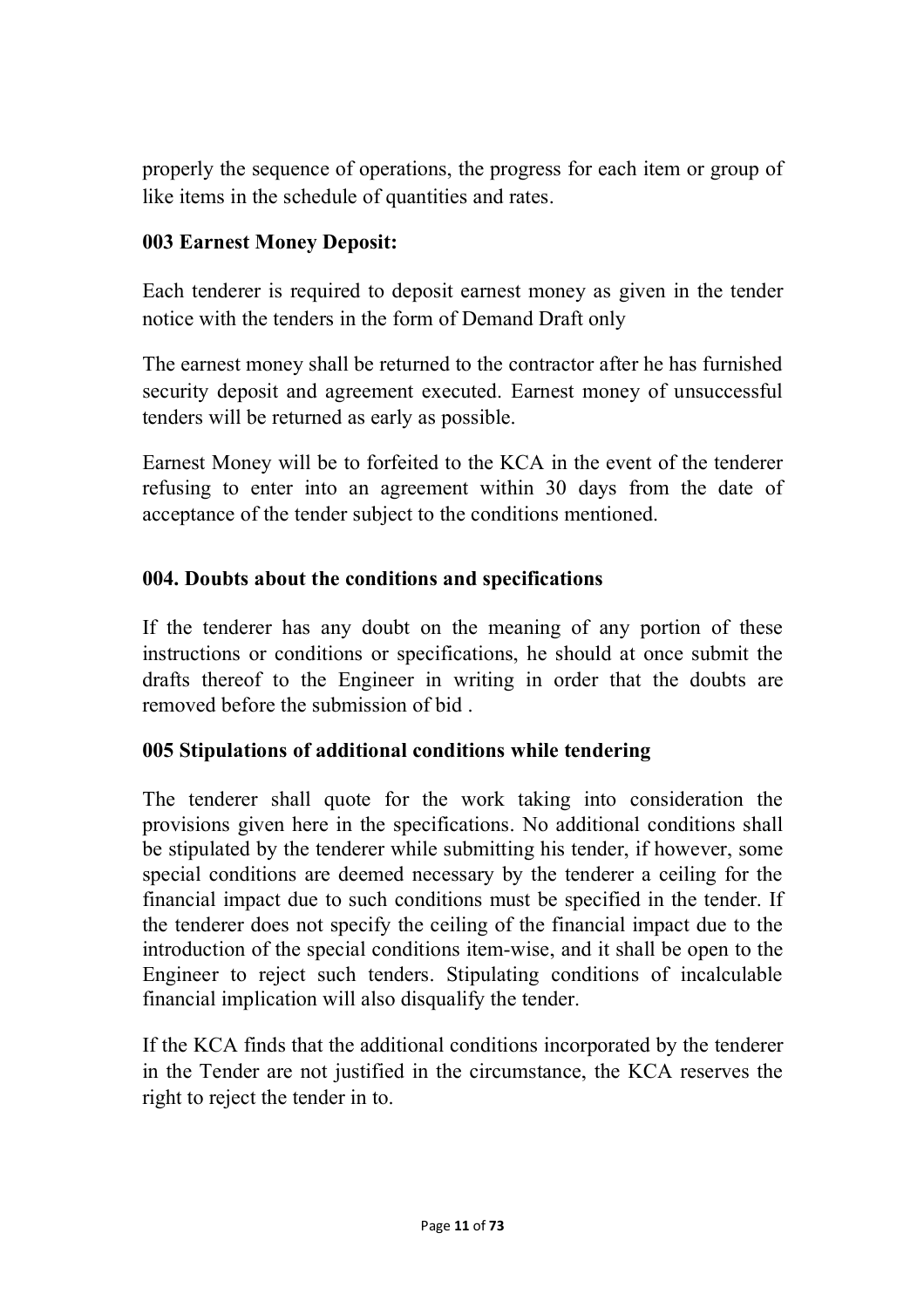properly the sequence of operations, the progress for each item or group of like items in the schedule of quantities and rates.

#### **003 Earnest Money Deposit:**

Each tenderer is required to deposit earnest money as given in the tender notice with the tenders in the form of Demand Draft only

The earnest money shall be returned to the contractor after he has furnished security deposit and agreement executed. Earnest money of unsuccessful tenders will be returned as early as possible.

Earnest Money will be to forfeited to the KCA in the event of the tenderer refusing to enter into an agreement within 30 days from the date of acceptance of the tender subject to the conditions mentioned.

#### **004. Doubts about the conditions and specifications**

If the tenderer has any doubt on the meaning of any portion of these instructions or conditions or specifications, he should at once submit the drafts thereof to the Engineer in writing in order that the doubts are removed before the submission of bid .

## **005 Stipulations of additional conditions while tendering**

The tenderer shall quote for the work taking into consideration the provisions given here in the specifications. No additional conditions shall be stipulated by the tenderer while submitting his tender, if however, some special conditions are deemed necessary by the tenderer a ceiling for the financial impact due to such conditions must be specified in the tender. If the tenderer does not specify the ceiling of the financial impact due to the introduction of the special conditions item-wise, and it shall be open to the Engineer to reject such tenders. Stipulating conditions of incalculable financial implication will also disqualify the tender.

If the KCA finds that the additional conditions incorporated by the tenderer in the Tender are not justified in the circumstance, the KCA reserves the right to reject the tender in to.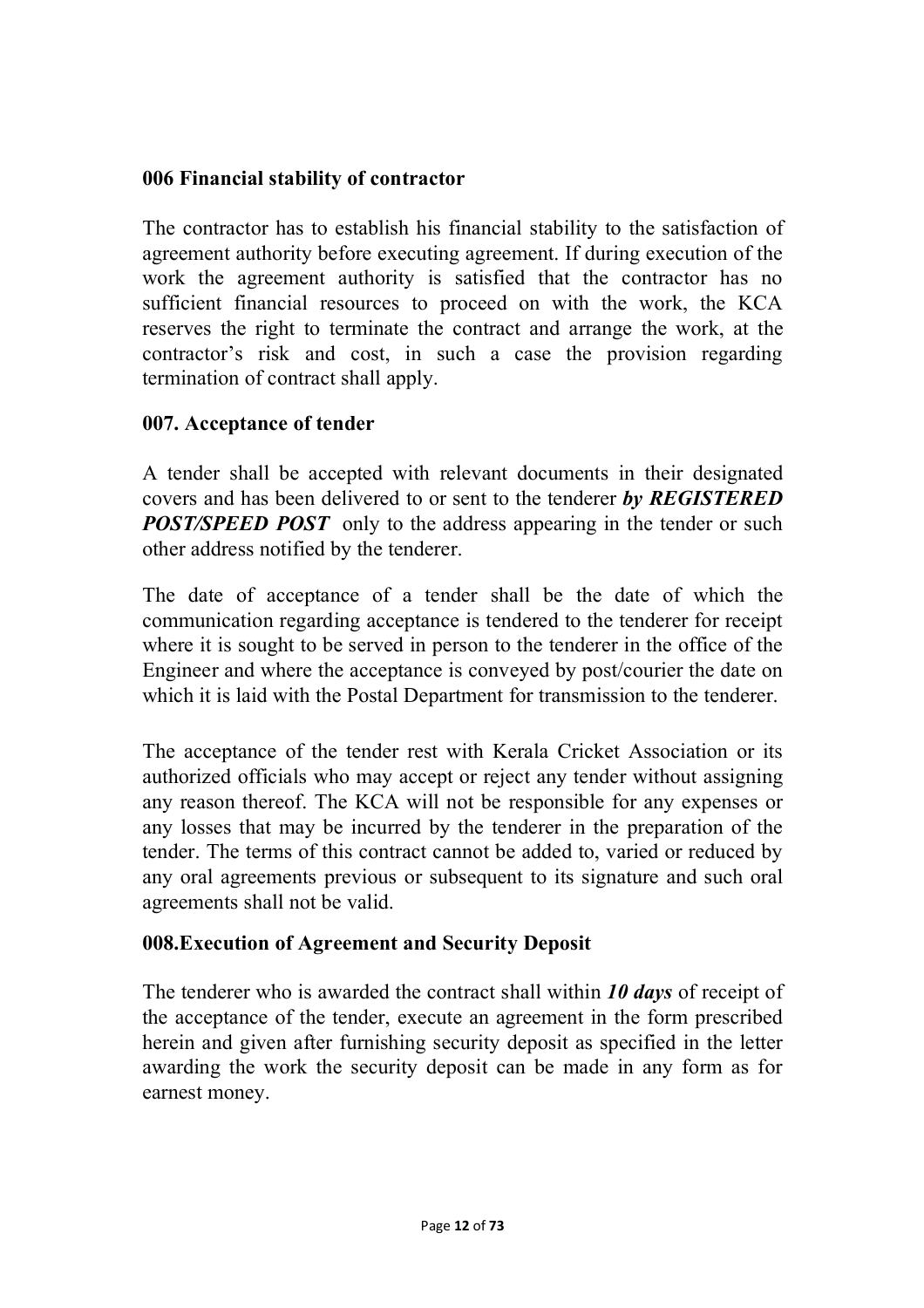#### **006 Financial stability of contractor**

The contractor has to establish his financial stability to the satisfaction of agreement authority before executing agreement. If during execution of the work the agreement authority is satisfied that the contractor has no sufficient financial resources to proceed on with the work, the KCA reserves the right to terminate the contract and arrange the work, at the contractor's risk and cost, in such a case the provision regarding termination of contract shall apply.

#### **007. Acceptance of tender**

A tender shall be accepted with relevant documents in their designated covers and has been delivered to or sent to the tenderer *by REGISTERED POST/SPEED POST* only to the address appearing in the tender or such other address notified by the tenderer.

The date of acceptance of a tender shall be the date of which the communication regarding acceptance is tendered to the tenderer for receipt where it is sought to be served in person to the tenderer in the office of the Engineer and where the acceptance is conveyed by post/courier the date on which it is laid with the Postal Department for transmission to the tenderer.

The acceptance of the tender rest with Kerala Cricket Association or its authorized officials who may accept or reject any tender without assigning any reason thereof. The KCA will not be responsible for any expenses or any losses that may be incurred by the tenderer in the preparation of the tender. The terms of this contract cannot be added to, varied or reduced by any oral agreements previous or subsequent to its signature and such oral agreements shall not be valid.

#### **008.Execution of Agreement and Security Deposit**

The tenderer who is awarded the contract shall within *10 days* of receipt of the acceptance of the tender, execute an agreement in the form prescribed herein and given after furnishing security deposit as specified in the letter awarding the work the security deposit can be made in any form as for earnest money.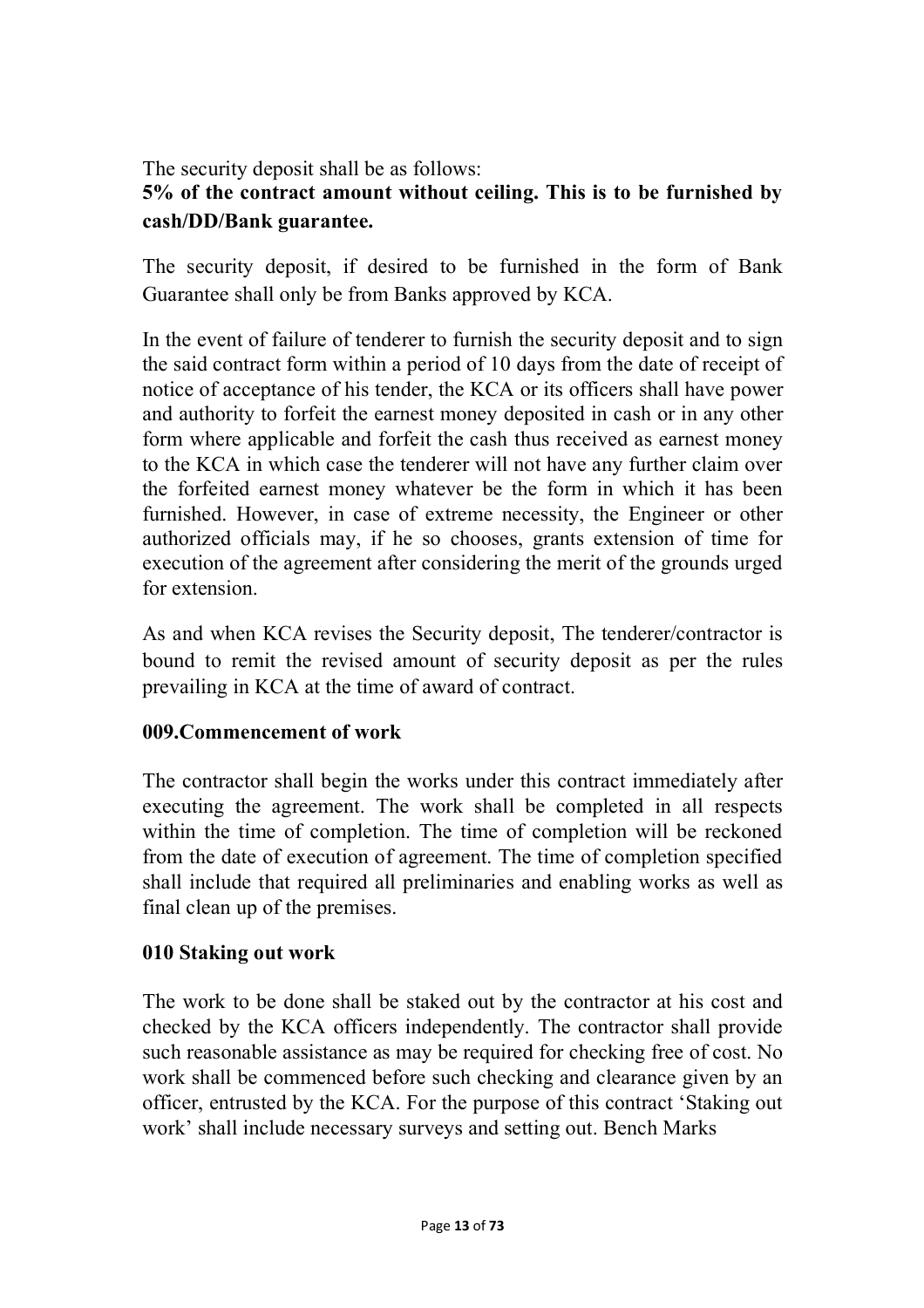The security deposit shall be as follows:

# **5% of the contract amount without ceiling. This is to be furnished by cash/DD/Bank guarantee.**

The security deposit, if desired to be furnished in the form of Bank Guarantee shall only be from Banks approved by KCA.

In the event of failure of tenderer to furnish the security deposit and to sign the said contract form within a period of 10 days from the date of receipt of notice of acceptance of his tender, the KCA or its officers shall have power and authority to forfeit the earnest money deposited in cash or in any other form where applicable and forfeit the cash thus received as earnest money to the KCA in which case the tenderer will not have any further claim over the forfeited earnest money whatever be the form in which it has been furnished. However, in case of extreme necessity, the Engineer or other authorized officials may, if he so chooses, grants extension of time for execution of the agreement after considering the merit of the grounds urged for extension.

As and when KCA revises the Security deposit, The tenderer/contractor is bound to remit the revised amount of security deposit as per the rules prevailing in KCA at the time of award of contract.

## **009.Commencement of work**

The contractor shall begin the works under this contract immediately after executing the agreement. The work shall be completed in all respects within the time of completion. The time of completion will be reckoned from the date of execution of agreement. The time of completion specified shall include that required all preliminaries and enabling works as well as final clean up of the premises.

## **010 Staking out work**

The work to be done shall be staked out by the contractor at his cost and checked by the KCA officers independently. The contractor shall provide such reasonable assistance as may be required for checking free of cost. No work shall be commenced before such checking and clearance given by an officer, entrusted by the KCA. For the purpose of this contract 'Staking out work' shall include necessary surveys and setting out. Bench Marks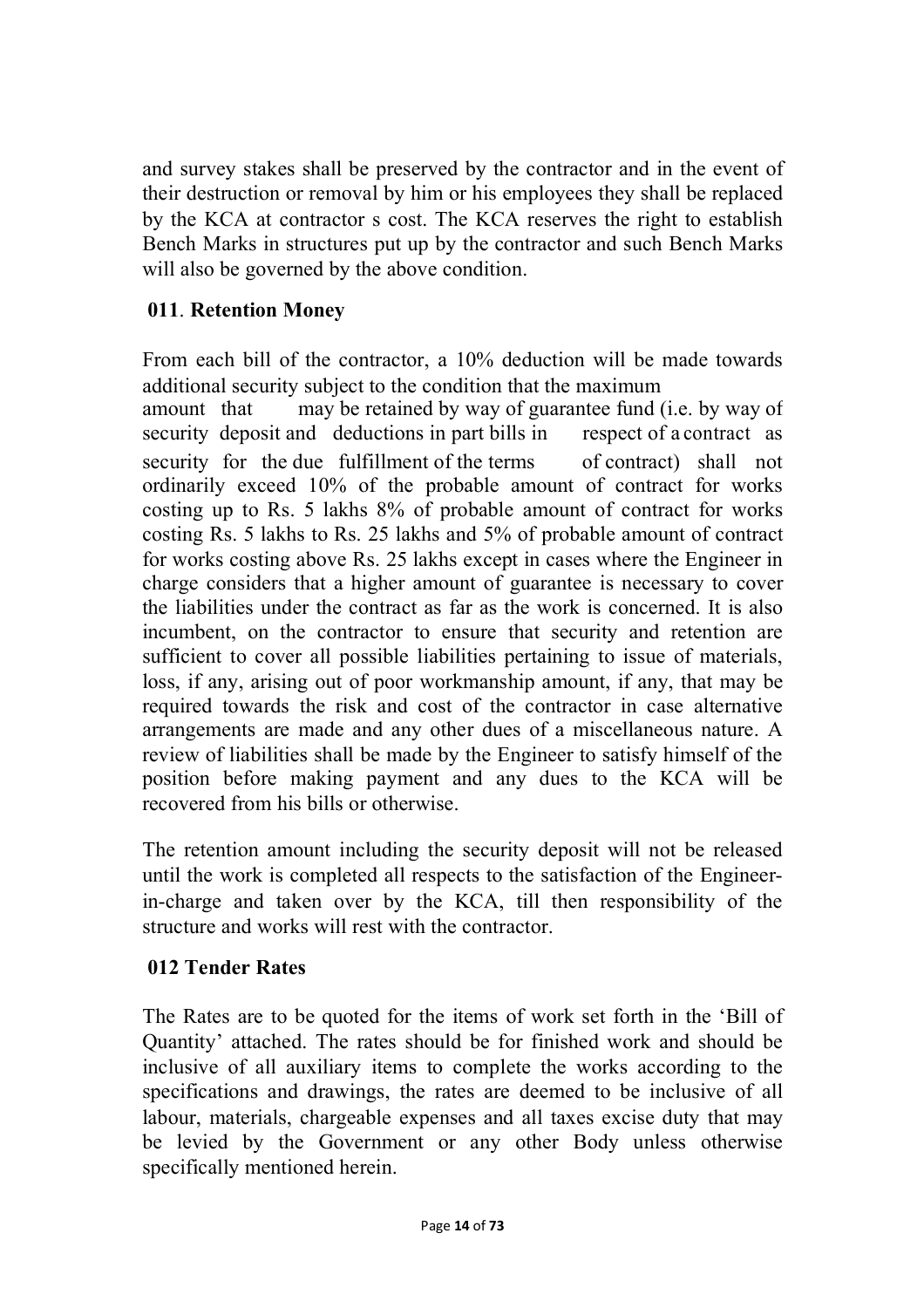and survey stakes shall be preserved by the contractor and in the event of their destruction or removal by him or his employees they shall be replaced by the KCA at contractor s cost. The KCA reserves the right to establish Bench Marks in structures put up by the contractor and such Bench Marks will also be governed by the above condition.

## **011**. **Retention Money**

From each bill of the contractor, a 10% deduction will be made towards additional security subject to the condition that the maximum amount that may be retained by way of guarantee fund (i.e. by way of security deposit and deductions in part bills in respect of a contract as security for the due fulfillment of the terms of contract) shall not ordinarily exceed 10% of the probable amount of contract for works costing up to Rs. 5 lakhs 8% of probable amount of contract for works costing Rs. 5 lakhs to Rs. 25 lakhs and 5% of probable amount of contract for works costing above Rs. 25 lakhs except in cases where the Engineer in charge considers that a higher amount of guarantee is necessary to cover the liabilities under the contract as far as the work is concerned. It is also incumbent, on the contractor to ensure that security and retention are sufficient to cover all possible liabilities pertaining to issue of materials, loss, if any, arising out of poor workmanship amount, if any, that may be required towards the risk and cost of the contractor in case alternative arrangements are made and any other dues of a miscellaneous nature. A review of liabilities shall be made by the Engineer to satisfy himself of the position before making payment and any dues to the KCA will be recovered from his bills or otherwise.

The retention amount including the security deposit will not be released until the work is completed all respects to the satisfaction of the Engineerin-charge and taken over by the KCA, till then responsibility of the structure and works will rest with the contractor.

## **012 Tender Rates**

The Rates are to be quoted for the items of work set forth in the 'Bill of Quantity' attached. The rates should be for finished work and should be inclusive of all auxiliary items to complete the works according to the specifications and drawings, the rates are deemed to be inclusive of all labour, materials, chargeable expenses and all taxes excise duty that may be levied by the Government or any other Body unless otherwise specifically mentioned herein.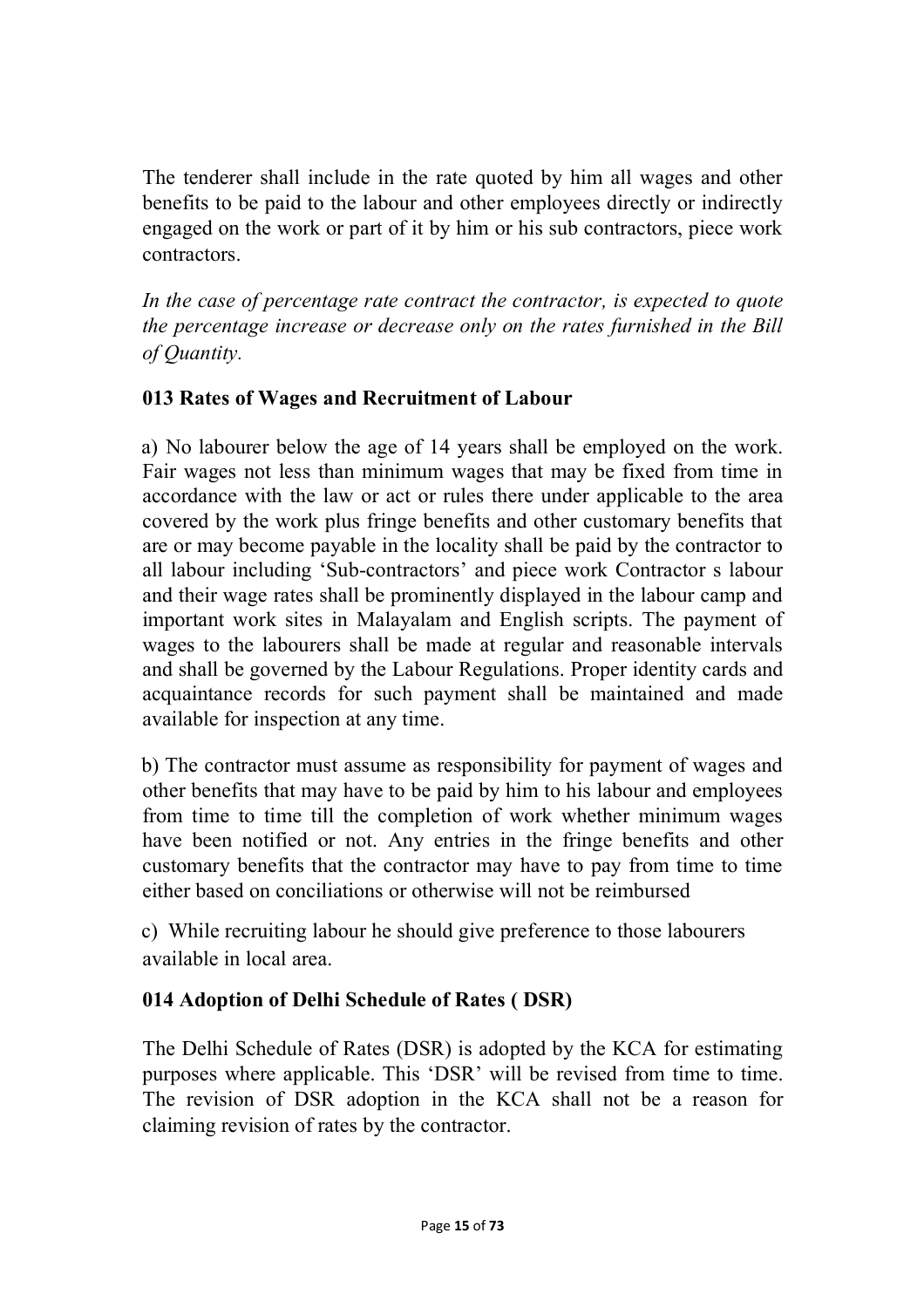The tenderer shall include in the rate quoted by him all wages and other benefits to be paid to the labour and other employees directly or indirectly engaged on the work or part of it by him or his sub contractors, piece work contractors.

In the case of percentage rate contract the contractor, is expected to quote *the percentage increase or decrease only on the rates furnished in the Bill of Quantity.*

## **013 Rates of Wages and Recruitment of Labour**

a) No labourer below the age of 14 years shall be employed on the work. Fair wages not less than minimum wages that may be fixed from time in accordance with the law or act or rules there under applicable to the area covered by the work plus fringe benefits and other customary benefits that are or may become payable in the locality shall be paid by the contractor to all labour including 'Sub-contractors' and piece work Contractor s labour and their wage rates shall be prominently displayed in the labour camp and important work sites in Malayalam and English scripts. The payment of wages to the labourers shall be made at regular and reasonable intervals and shall be governed by the Labour Regulations. Proper identity cards and acquaintance records for such payment shall be maintained and made available for inspection at any time.

b) The contractor must assume as responsibility for payment of wages and other benefits that may have to be paid by him to his labour and employees from time to time till the completion of work whether minimum wages have been notified or not. Any entries in the fringe benefits and other customary benefits that the contractor may have to pay from time to time either based on conciliations or otherwise will not be reimbursed

c) While recruiting labour he should give preference to those labourers available in local area.

## **014 Adoption of Delhi Schedule of Rates ( DSR)**

The Delhi Schedule of Rates (DSR) is adopted by the KCA for estimating purposes where applicable. This 'DSR' will be revised from time to time. The revision of DSR adoption in the KCA shall not be a reason for claiming revision of rates by the contractor.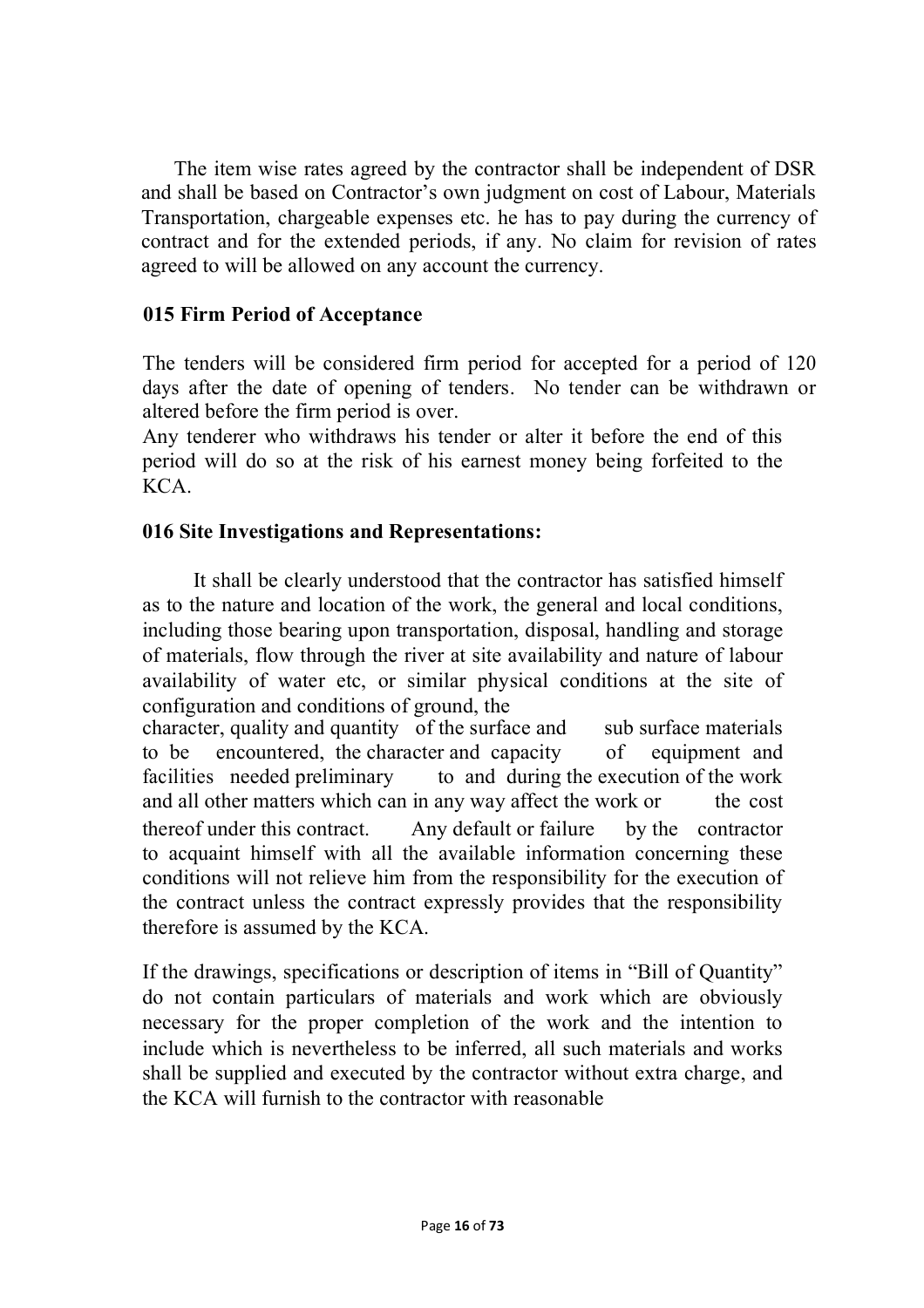The item wise rates agreed by the contractor shall be independent of DSR and shall be based on Contractor's own judgment on cost of Labour, Materials Transportation, chargeable expenses etc. he has to pay during the currency of contract and for the extended periods, if any. No claim for revision of rates agreed to will be allowed on any account the currency.

#### **015 Firm Period of Acceptance**

The tenders will be considered firm period for accepted for a period of 120 days after the date of opening of tenders. No tender can be withdrawn or altered before the firm period is over.

Any tenderer who withdraws his tender or alter it before the end of this period will do so at the risk of his earnest money being forfeited to the KCA.

#### **016 Site Investigations and Representations:**

It shall be clearly understood that the contractor has satisfied himself as to the nature and location of the work, the general and local conditions, including those bearing upon transportation, disposal, handling and storage of materials, flow through the river at site availability and nature of labour availability of water etc, or similar physical conditions at the site of configuration and conditions of ground, the

character, quality and quantity of the surface and sub surface materials to be encountered, the character and capacity of equipment and facilities needed preliminary to and during the execution of the work and all other matters which can in any way affect the work or the cost thereof under this contract. Any default or failure by the contractor to acquaint himself with all the available information concerning these conditions will not relieve him from the responsibility for the execution of the contract unless the contract expressly provides that the responsibility therefore is assumed by the KCA.

If the drawings, specifications or description of items in "Bill of Quantity" do not contain particulars of materials and work which are obviously necessary for the proper completion of the work and the intention to include which is nevertheless to be inferred, all such materials and works shall be supplied and executed by the contractor without extra charge, and the KCA will furnish to the contractor with reasonable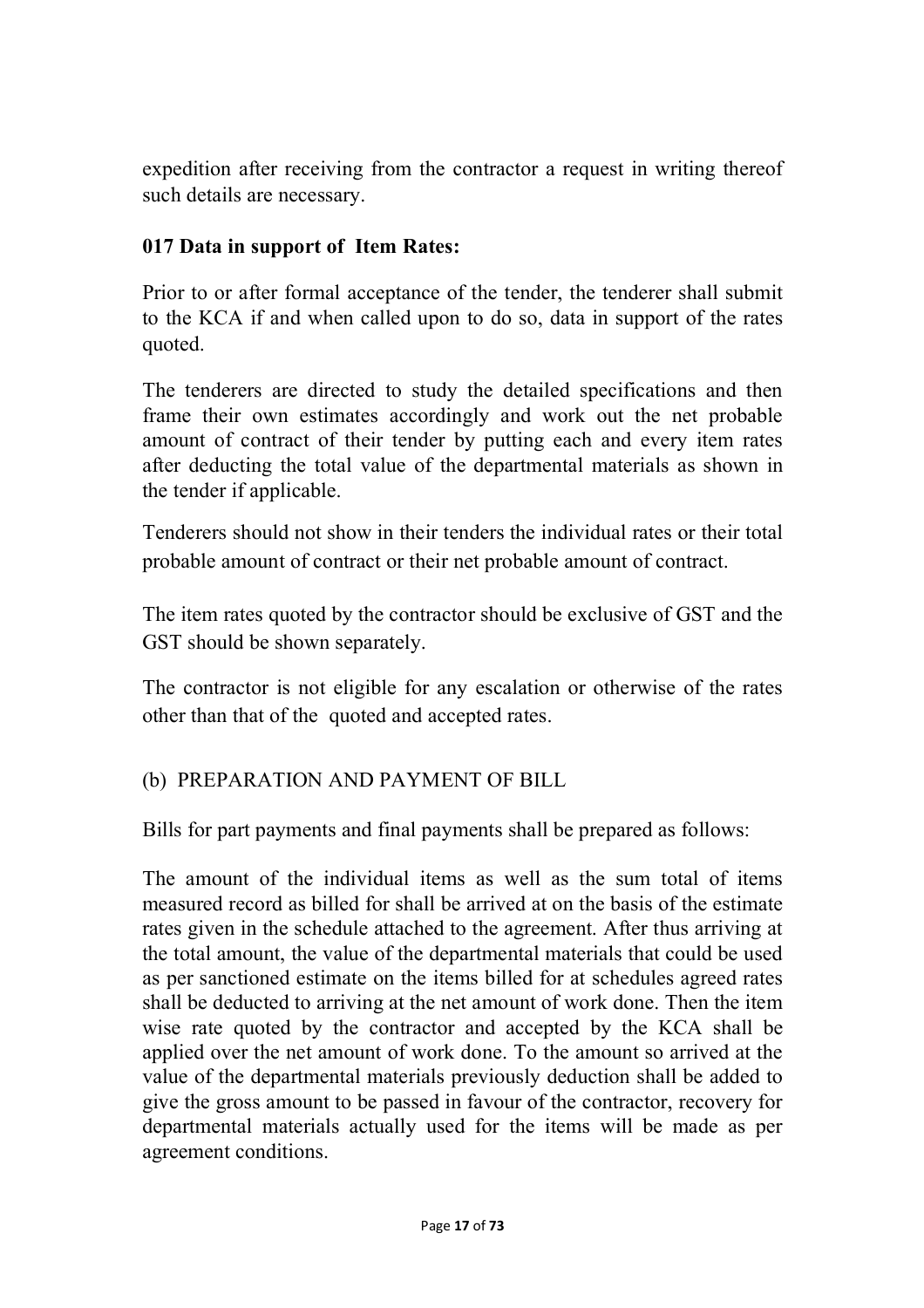expedition after receiving from the contractor a request in writing thereof such details are necessary.

#### **017 Data in support of Item Rates:**

Prior to or after formal acceptance of the tender, the tenderer shall submit to the KCA if and when called upon to do so, data in support of the rates quoted.

The tenderers are directed to study the detailed specifications and then frame their own estimates accordingly and work out the net probable amount of contract of their tender by putting each and every item rates after deducting the total value of the departmental materials as shown in the tender if applicable.

Tenderers should not show in their tenders the individual rates or their total probable amount of contract or their net probable amount of contract.

The item rates quoted by the contractor should be exclusive of GST and the GST should be shown separately.

The contractor is not eligible for any escalation or otherwise of the rates other than that of the quoted and accepted rates.

## (b) PREPARATION AND PAYMENT OF BILL

Bills for part payments and final payments shall be prepared as follows:

The amount of the individual items as well as the sum total of items measured record as billed for shall be arrived at on the basis of the estimate rates given in the schedule attached to the agreement. After thus arriving at the total amount, the value of the departmental materials that could be used as per sanctioned estimate on the items billed for at schedules agreed rates shall be deducted to arriving at the net amount of work done. Then the item wise rate quoted by the contractor and accepted by the KCA shall be applied over the net amount of work done. To the amount so arrived at the value of the departmental materials previously deduction shall be added to give the gross amount to be passed in favour of the contractor, recovery for departmental materials actually used for the items will be made as per agreement conditions.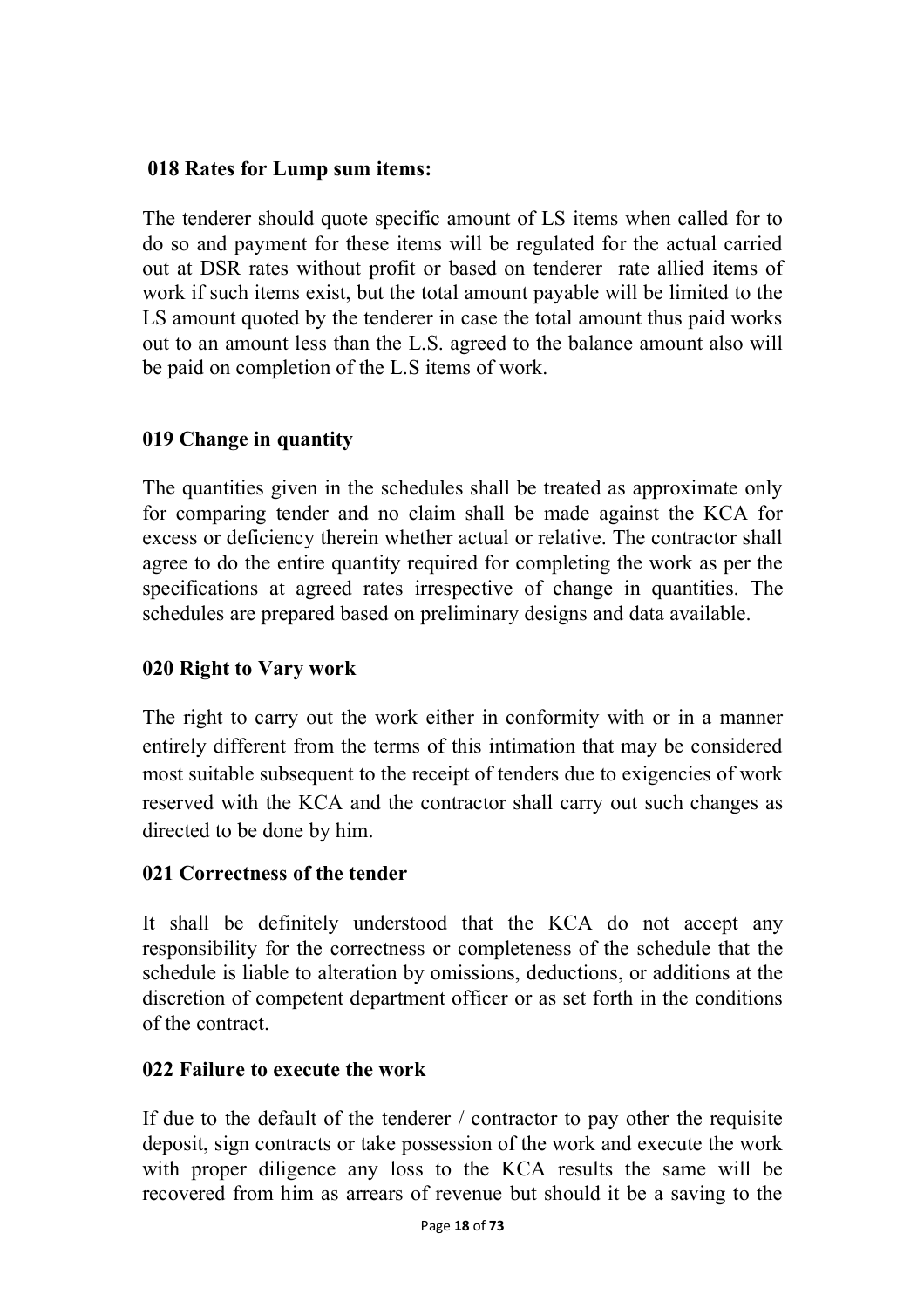#### **018 Rates for Lump sum items:**

The tenderer should quote specific amount of LS items when called for to do so and payment for these items will be regulated for the actual carried out at DSR rates without profit or based on tenderer rate allied items of work if such items exist, but the total amount payable will be limited to the LS amount quoted by the tenderer in case the total amount thus paid works out to an amount less than the L.S. agreed to the balance amount also will be paid on completion of the L.S items of work.

## **019 Change in quantity**

The quantities given in the schedules shall be treated as approximate only for comparing tender and no claim shall be made against the KCA for excess or deficiency therein whether actual or relative. The contractor shall agree to do the entire quantity required for completing the work as per the specifications at agreed rates irrespective of change in quantities. The schedules are prepared based on preliminary designs and data available.

## **020 Right to Vary work**

The right to carry out the work either in conformity with or in a manner entirely different from the terms of this intimation that may be considered most suitable subsequent to the receipt of tenders due to exigencies of work reserved with the KCA and the contractor shall carry out such changes as directed to be done by him.

## **021 Correctness of the tender**

It shall be definitely understood that the KCA do not accept any responsibility for the correctness or completeness of the schedule that the schedule is liable to alteration by omissions, deductions, or additions at the discretion of competent department officer or as set forth in the conditions of the contract.

## **022 Failure to execute the work**

If due to the default of the tenderer / contractor to pay other the requisite deposit, sign contracts or take possession of the work and execute the work with proper diligence any loss to the KCA results the same will be recovered from him as arrears of revenue but should it be a saving to the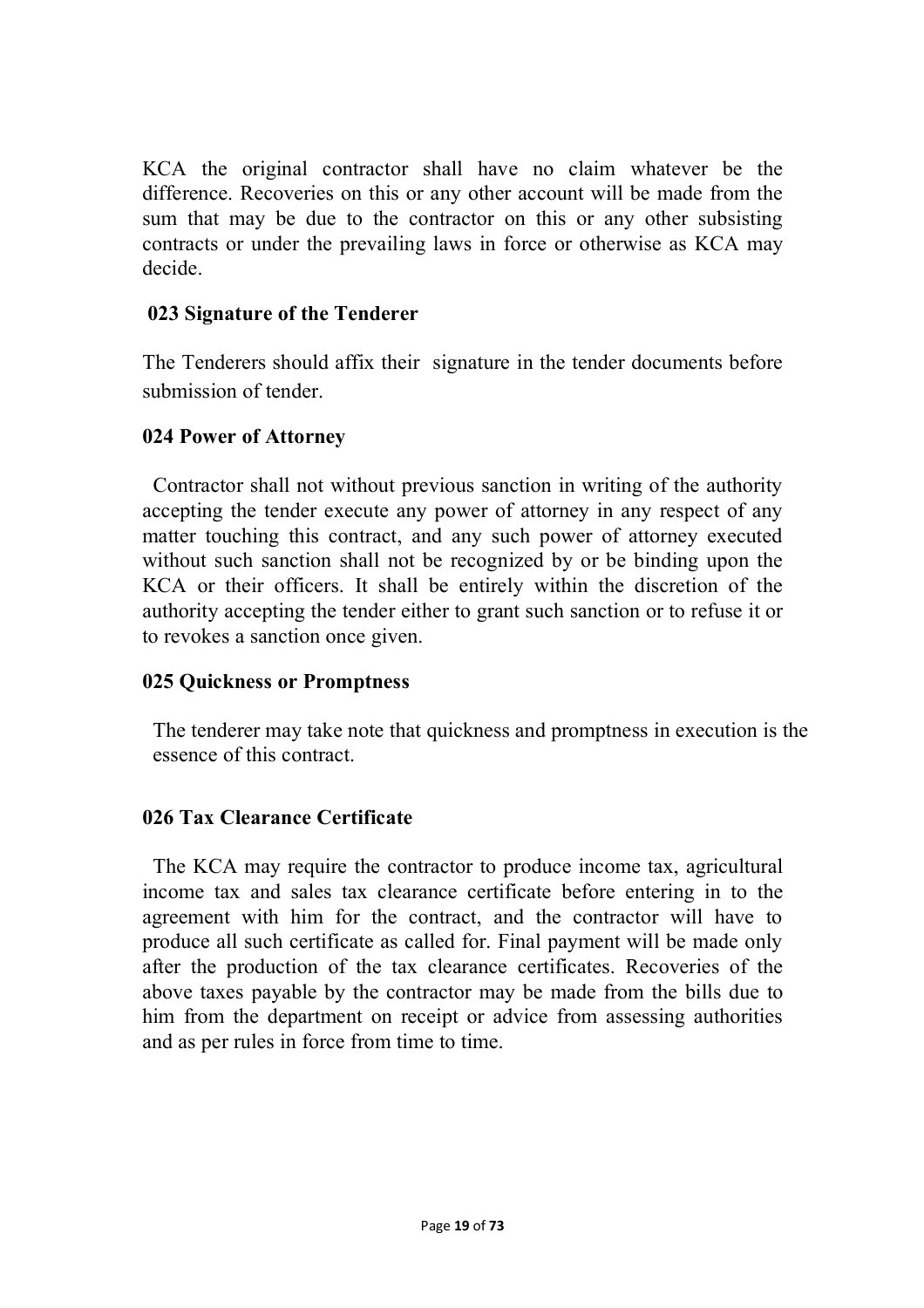KCA the original contractor shall have no claim whatever be the difference. Recoveries on this or any other account will be made from the sum that may be due to the contractor on this or any other subsisting contracts or under the prevailing laws in force or otherwise as KCA may decide.

#### **023 Signature of the Tenderer**

The Tenderers should affix their signature in the tender documents before submission of tender.

#### **024 Power of Attorney**

Contractor shall not without previous sanction in writing of the authority accepting the tender execute any power of attorney in any respect of any matter touching this contract, and any such power of attorney executed without such sanction shall not be recognized by or be binding upon the KCA or their officers. It shall be entirely within the discretion of the authority accepting the tender either to grant such sanction or to refuse it or to revokes a sanction once given.

#### **025 Quickness or Promptness**

The tenderer may take note that quickness and promptness in execution is the essence of this contract.

## **026 Tax Clearance Certificate**

The KCA may require the contractor to produce income tax, agricultural income tax and sales tax clearance certificate before entering in to the agreement with him for the contract, and the contractor will have to produce all such certificate as called for. Final payment will be made only after the production of the tax clearance certificates. Recoveries of the above taxes payable by the contractor may be made from the bills due to him from the department on receipt or advice from assessing authorities and as per rules in force from time to time.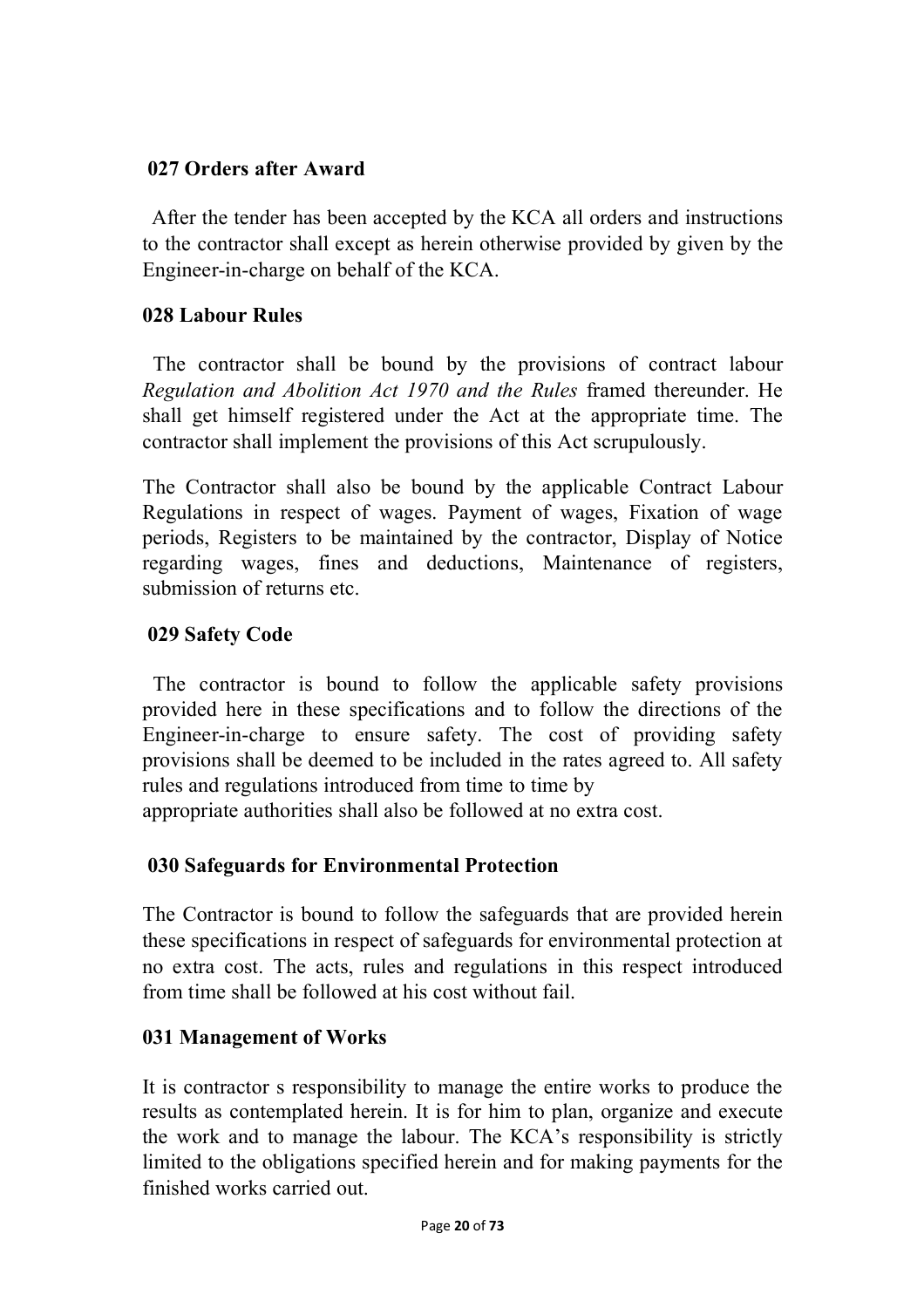#### **027 Orders after Award**

After the tender has been accepted by the KCA all orders and instructions to the contractor shall except as herein otherwise provided by given by the Engineer-in-charge on behalf of the KCA.

#### **028 Labour Rules**

The contractor shall be bound by the provisions of contract labour *Regulation and Abolition Act 1970 and the Rules* framed thereunder. He shall get himself registered under the Act at the appropriate time. The contractor shall implement the provisions of this Act scrupulously.

The Contractor shall also be bound by the applicable Contract Labour Regulations in respect of wages. Payment of wages, Fixation of wage periods, Registers to be maintained by the contractor, Display of Notice regarding wages, fines and deductions, Maintenance of registers, submission of returns etc.

## **029 Safety Code**

The contractor is bound to follow the applicable safety provisions provided here in these specifications and to follow the directions of the Engineer-in-charge to ensure safety. The cost of providing safety provisions shall be deemed to be included in the rates agreed to. All safety rules and regulations introduced from time to time by

appropriate authorities shall also be followed at no extra cost.

## **030 Safeguards for Environmental Protection**

The Contractor is bound to follow the safeguards that are provided herein these specifications in respect of safeguards for environmental protection at no extra cost. The acts, rules and regulations in this respect introduced from time shall be followed at his cost without fail.

## **031 Management of Works**

It is contractor s responsibility to manage the entire works to produce the results as contemplated herein. It is for him to plan, organize and execute the work and to manage the labour. The KCA's responsibility is strictly limited to the obligations specified herein and for making payments for the finished works carried out.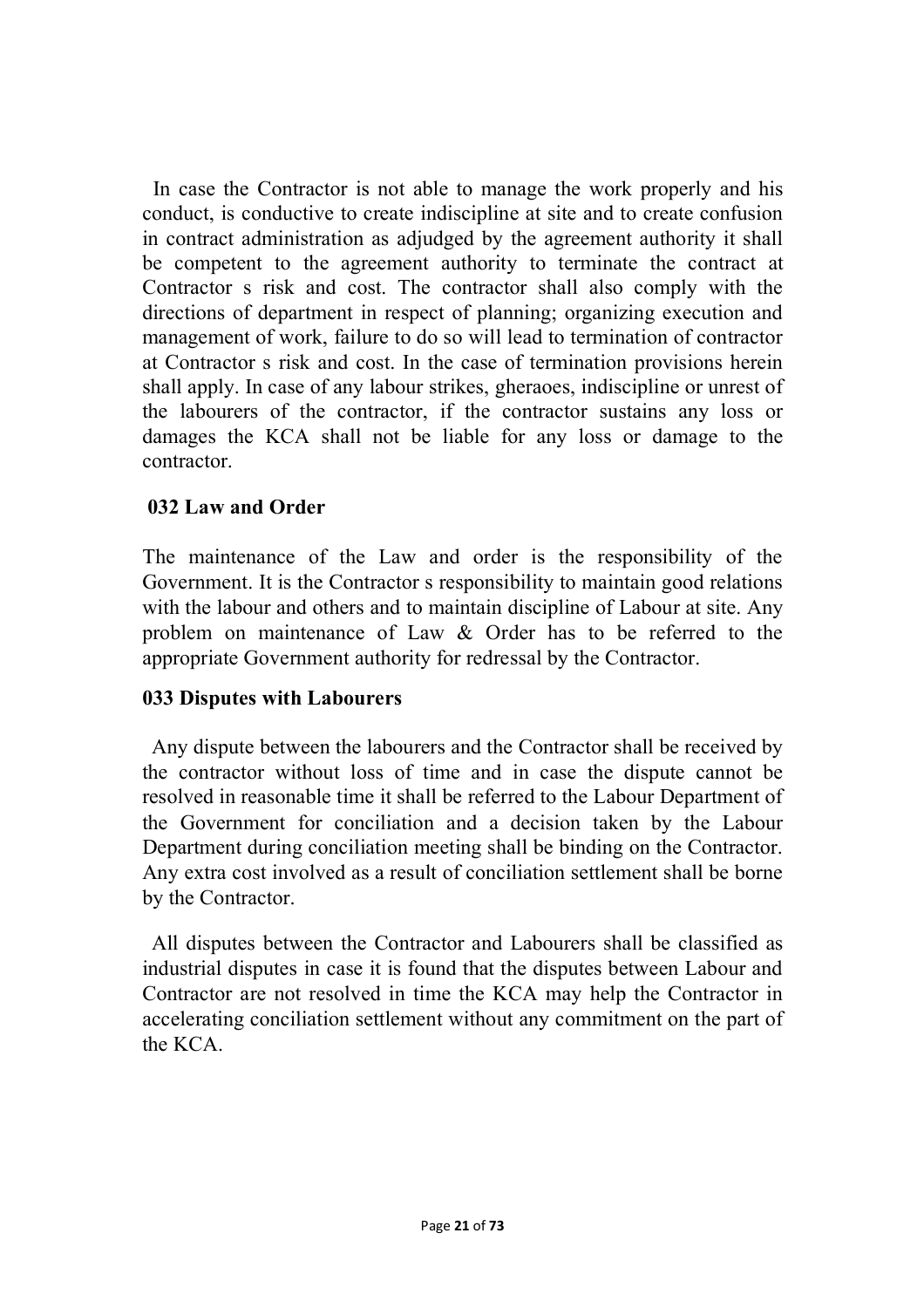In case the Contractor is not able to manage the work properly and his conduct, is conductive to create indiscipline at site and to create confusion in contract administration as adjudged by the agreement authority it shall be competent to the agreement authority to terminate the contract at Contractor s risk and cost. The contractor shall also comply with the directions of department in respect of planning; organizing execution and management of work, failure to do so will lead to termination of contractor at Contractor s risk and cost. In the case of termination provisions herein shall apply. In case of any labour strikes, gheraoes, indiscipline or unrest of the labourers of the contractor, if the contractor sustains any loss or damages the KCA shall not be liable for any loss or damage to the contractor.

#### **032 Law and Order**

The maintenance of the Law and order is the responsibility of the Government. It is the Contractor s responsibility to maintain good relations with the labour and others and to maintain discipline of Labour at site. Any problem on maintenance of Law & Order has to be referred to the appropriate Government authority for redressal by the Contractor.

#### **033 Disputes with Labourers**

Any dispute between the labourers and the Contractor shall be received by the contractor without loss of time and in case the dispute cannot be resolved in reasonable time it shall be referred to the Labour Department of the Government for conciliation and a decision taken by the Labour Department during conciliation meeting shall be binding on the Contractor. Any extra cost involved as a result of conciliation settlement shall be borne by the Contractor.

All disputes between the Contractor and Labourers shall be classified as industrial disputes in case it is found that the disputes between Labour and Contractor are not resolved in time the KCA may help the Contractor in accelerating conciliation settlement without any commitment on the part of the KCA.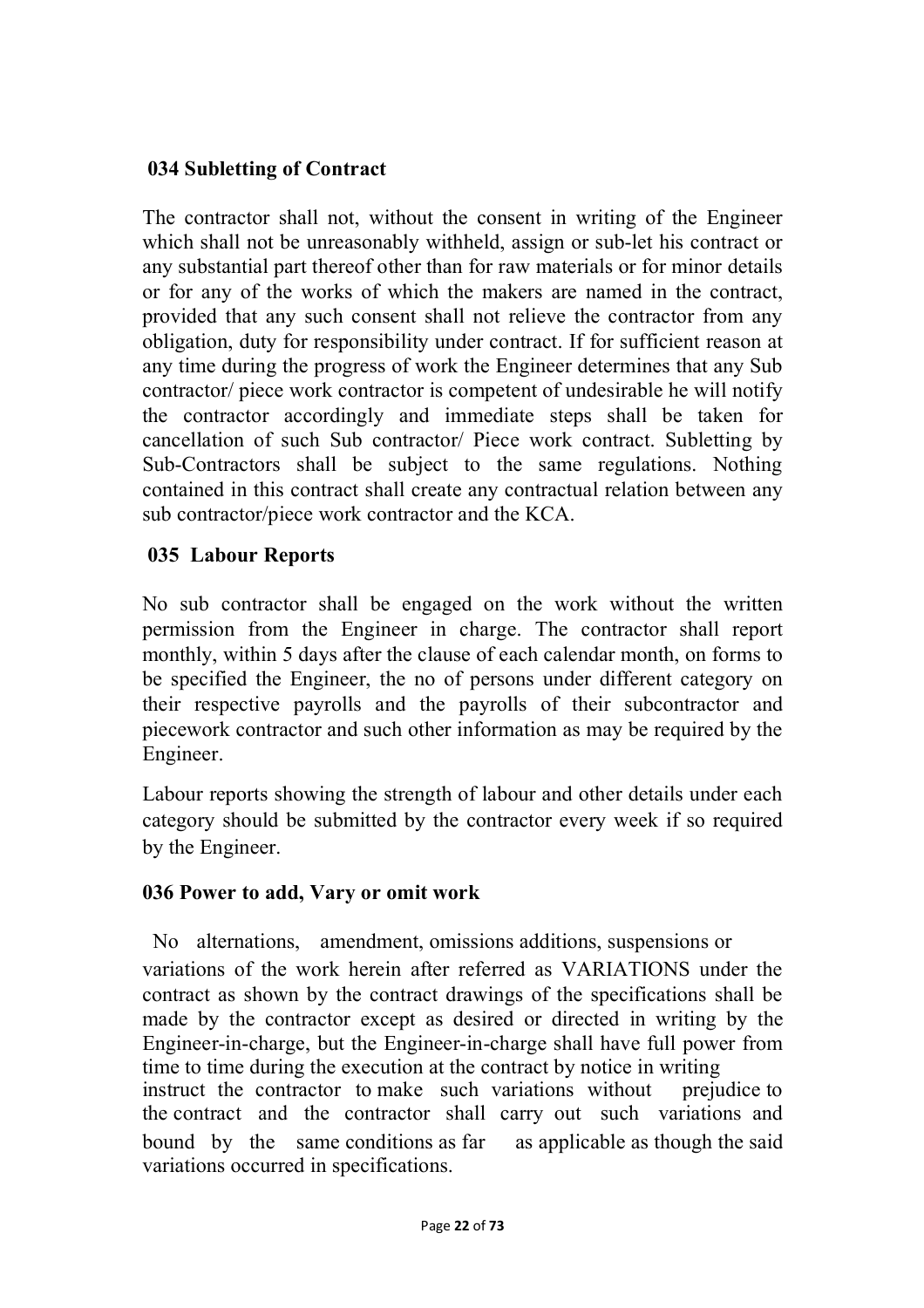#### **034 Subletting of Contract**

The contractor shall not, without the consent in writing of the Engineer which shall not be unreasonably withheld, assign or sub-let his contract or any substantial part thereof other than for raw materials or for minor details or for any of the works of which the makers are named in the contract, provided that any such consent shall not relieve the contractor from any obligation, duty for responsibility under contract. If for sufficient reason at any time during the progress of work the Engineer determines that any Sub contractor/ piece work contractor is competent of undesirable he will notify the contractor accordingly and immediate steps shall be taken for cancellation of such Sub contractor/ Piece work contract. Subletting by Sub-Contractors shall be subject to the same regulations. Nothing contained in this contract shall create any contractual relation between any sub contractor/piece work contractor and the KCA.

#### **035 Labour Reports**

No sub contractor shall be engaged on the work without the written permission from the Engineer in charge. The contractor shall report monthly, within 5 days after the clause of each calendar month, on forms to be specified the Engineer, the no of persons under different category on their respective payrolls and the payrolls of their subcontractor and piecework contractor and such other information as may be required by the Engineer.

Labour reports showing the strength of labour and other details under each category should be submitted by the contractor every week if so required by the Engineer.

#### **036 Power to add, Vary or omit work**

No alternations, amendment, omissions additions, suspensions or variations of the work herein after referred as VARIATIONS under the contract as shown by the contract drawings of the specifications shall be made by the contractor except as desired or directed in writing by the Engineer-in-charge, but the Engineer-in-charge shall have full power from time to time during the execution at the contract by notice in writing instruct the contractor to make such variations without prejudice to the contract and the contractor shall carry out such variations and bound by the same conditions as far as applicable as though the said variations occurred in specifications.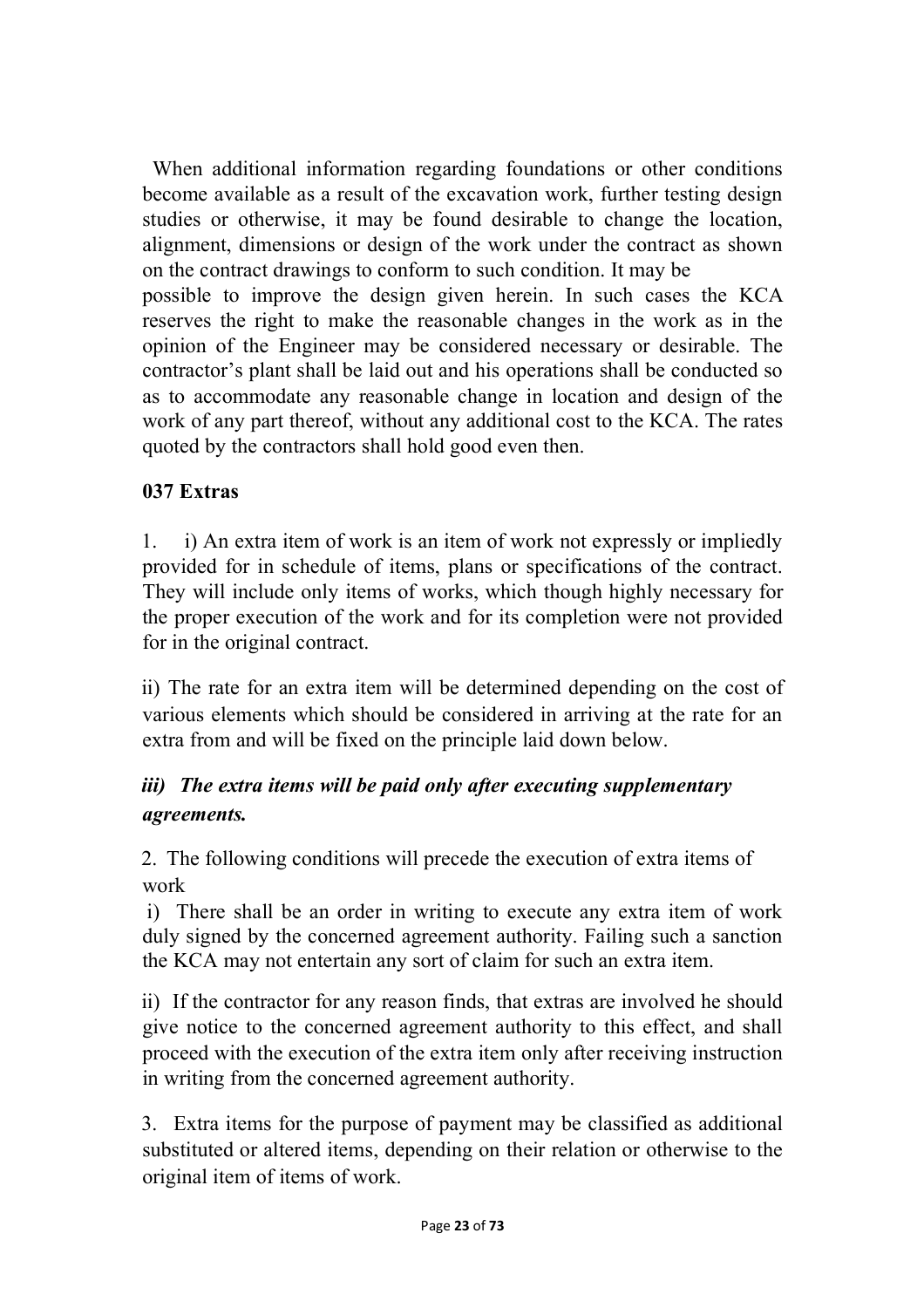When additional information regarding foundations or other conditions become available as a result of the excavation work, further testing design studies or otherwise, it may be found desirable to change the location, alignment, dimensions or design of the work under the contract as shown on the contract drawings to conform to such condition. It may be possible to improve the design given herein. In such cases the KCA reserves the right to make the reasonable changes in the work as in the

opinion of the Engineer may be considered necessary or desirable. The contractor's plant shall be laid out and his operations shall be conducted so as to accommodate any reasonable change in location and design of the work of any part thereof, without any additional cost to the KCA. The rates quoted by the contractors shall hold good even then.

## **037 Extras**

1. i) An extra item of work is an item of work not expressly or impliedly provided for in schedule of items, plans or specifications of the contract. They will include only items of works, which though highly necessary for the proper execution of the work and for its completion were not provided for in the original contract.

ii) The rate for an extra item will be determined depending on the cost of various elements which should be considered in arriving at the rate for an extra from and will be fixed on the principle laid down below.

# *iii) The extra items will be paid only after executing supplementary agreements.*

2. The following conditions will precede the execution of extra items of work

i) There shall be an order in writing to execute any extra item of work duly signed by the concerned agreement authority. Failing such a sanction the KCA may not entertain any sort of claim for such an extra item.

ii) If the contractor for any reason finds, that extras are involved he should give notice to the concerned agreement authority to this effect, and shall proceed with the execution of the extra item only after receiving instruction in writing from the concerned agreement authority.

3. Extra items for the purpose of payment may be classified as additional substituted or altered items, depending on their relation or otherwise to the original item of items of work.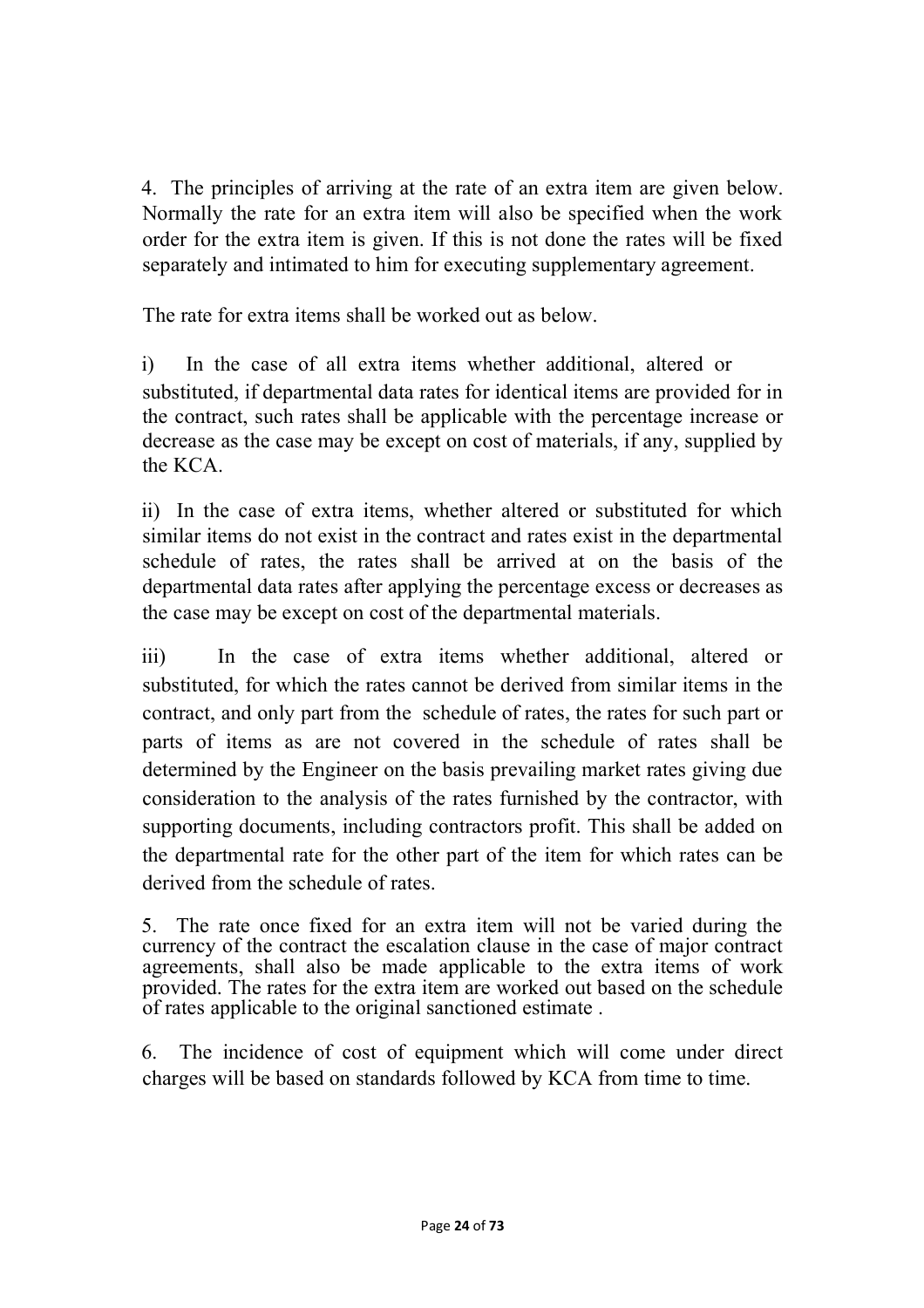4. The principles of arriving at the rate of an extra item are given below. Normally the rate for an extra item will also be specified when the work order for the extra item is given. If this is not done the rates will be fixed separately and intimated to him for executing supplementary agreement.

The rate for extra items shall be worked out as below.

i) In the case of all extra items whether additional, altered or substituted, if departmental data rates for identical items are provided for in the contract, such rates shall be applicable with the percentage increase or decrease as the case may be except on cost of materials, if any, supplied by the KCA.

ii) In the case of extra items, whether altered or substituted for which similar items do not exist in the contract and rates exist in the departmental schedule of rates, the rates shall be arrived at on the basis of the departmental data rates after applying the percentage excess or decreases as the case may be except on cost of the departmental materials.

iii) In the case of extra items whether additional, altered or substituted, for which the rates cannot be derived from similar items in the contract, and only part from the schedule of rates, the rates for such part or parts of items as are not covered in the schedule of rates shall be determined by the Engineer on the basis prevailing market rates giving due consideration to the analysis of the rates furnished by the contractor, with supporting documents, including contractors profit. This shall be added on the departmental rate for the other part of the item for which rates can be derived from the schedule of rates.

5. The rate once fixed for an extra item will not be varied during the currency of the contract the escalation clause in the case of major contract agreements, shall also be made applicable to the extra items of work provided. The rates for the extra item are worked out based on the schedule of rates applicable to the original sanctioned estimate .

6. The incidence of cost of equipment which will come under direct charges will be based on standards followed by KCA from time to time.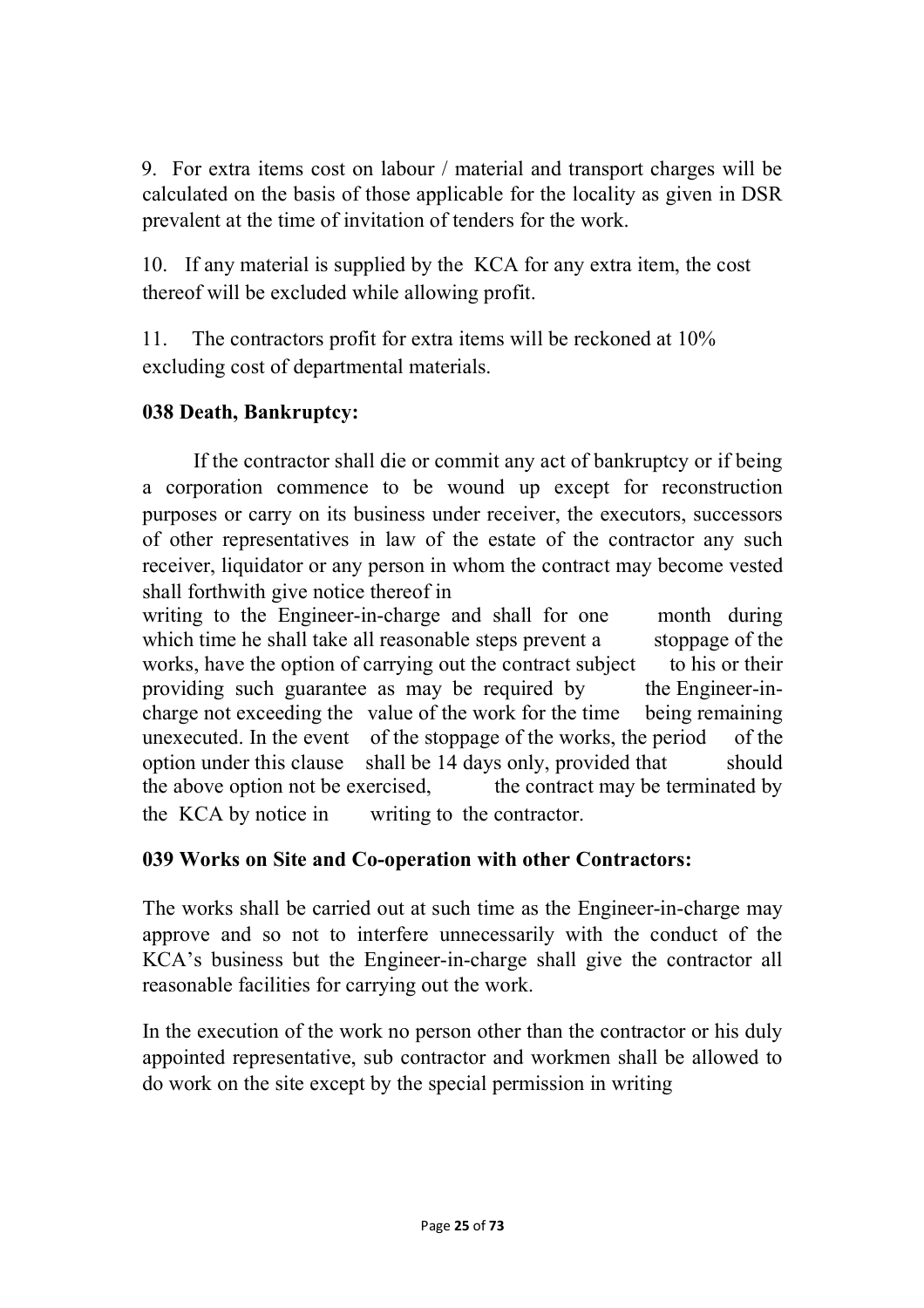9. For extra items cost on labour / material and transport charges will be calculated on the basis of those applicable for the locality as given in DSR prevalent at the time of invitation of tenders for the work.

10. If any material is supplied by the KCA for any extra item, the cost thereof will be excluded while allowing profit.

11. The contractors profit for extra items will be reckoned at 10% excluding cost of departmental materials.

#### **038 Death, Bankruptcy:**

If the contractor shall die or commit any act of bankruptcy or if being a corporation commence to be wound up except for reconstruction purposes or carry on its business under receiver, the executors, successors of other representatives in law of the estate of the contractor any such receiver, liquidator or any person in whom the contract may become vested shall forthwith give notice thereof in

writing to the Engineer-in-charge and shall for one month during which time he shall take all reasonable steps prevent a stoppage of the works, have the option of carrying out the contract subject to his or their providing such guarantee as may be required by the Engineer-incharge not exceeding the value of the work for the time being remaining unexecuted. In the event of the stoppage of the works, the period of the option under this clause shall be 14 days only, provided that should the above option not be exercised, the contract may be terminated by the KCA by notice in writing to the contractor.

## **039 Works on Site and Co-operation with other Contractors:**

The works shall be carried out at such time as the Engineer-in-charge may approve and so not to interfere unnecessarily with the conduct of the KCA's business but the Engineer-in-charge shall give the contractor all reasonable facilities for carrying out the work.

In the execution of the work no person other than the contractor or his duly appointed representative, sub contractor and workmen shall be allowed to do work on the site except by the special permission in writing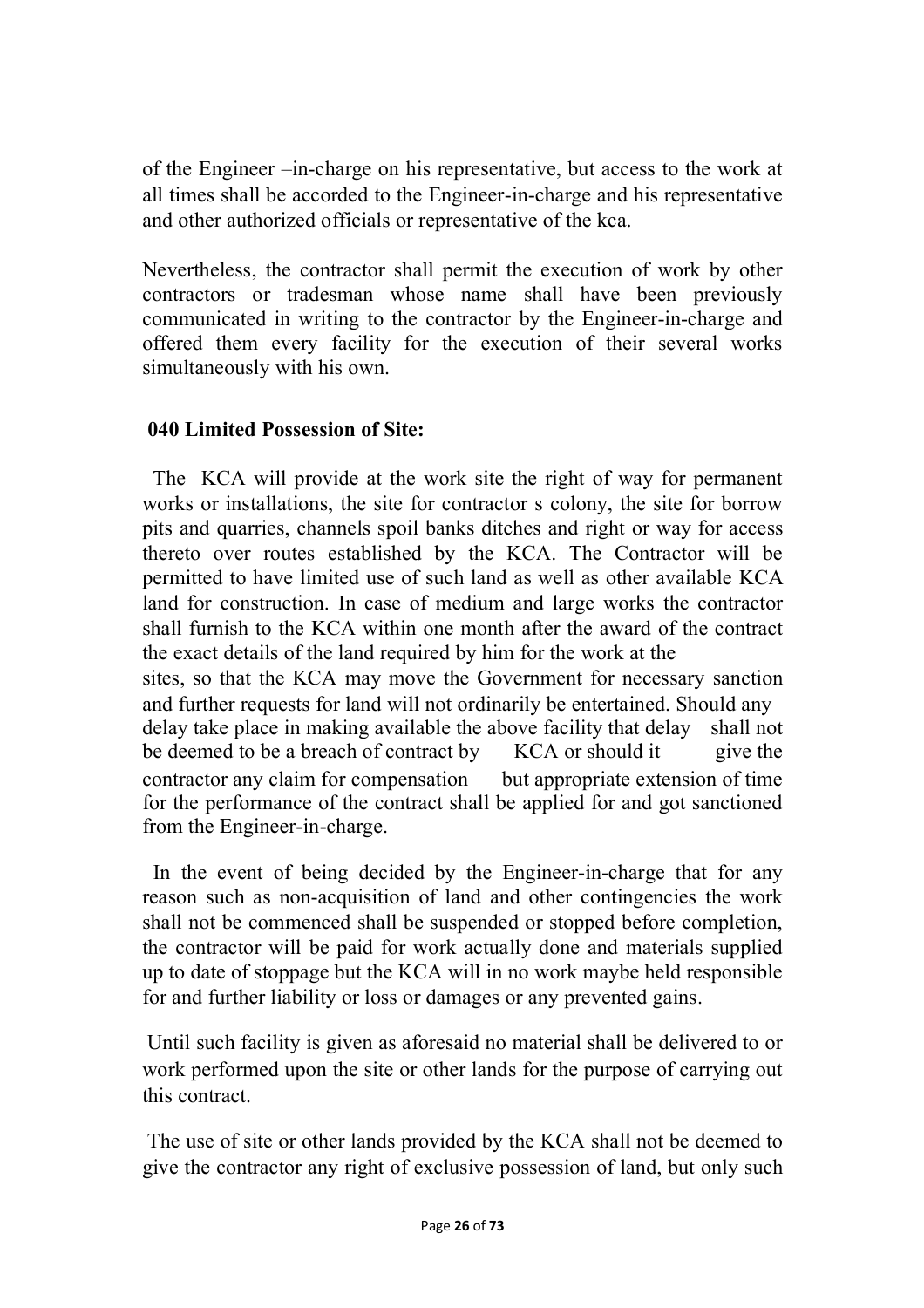of the Engineer –in-charge on his representative, but access to the work at all times shall be accorded to the Engineer-in-charge and his representative and other authorized officials or representative of the kca.

Nevertheless, the contractor shall permit the execution of work by other contractors or tradesman whose name shall have been previously communicated in writing to the contractor by the Engineer-in-charge and offered them every facility for the execution of their several works simultaneously with his own.

## **040 Limited Possession of Site:**

The KCA will provide at the work site the right of way for permanent works or installations, the site for contractor s colony, the site for borrow pits and quarries, channels spoil banks ditches and right or way for access thereto over routes established by the KCA. The Contractor will be permitted to have limited use of such land as well as other available KCA land for construction. In case of medium and large works the contractor shall furnish to the KCA within one month after the award of the contract the exact details of the land required by him for the work at the sites, so that the KCA may move the Government for necessary sanction and further requests for land will not ordinarily be entertained. Should any delay take place in making available the above facility that delay shall not be deemed to be a breach of contract by KCA or should it give the contractor any claim for compensation but appropriate extension of time for the performance of the contract shall be applied for and got sanctioned from the Engineer-in-charge.

In the event of being decided by the Engineer-in-charge that for any reason such as non-acquisition of land and other contingencies the work shall not be commenced shall be suspended or stopped before completion, the contractor will be paid for work actually done and materials supplied up to date of stoppage but the KCA will in no work maybe held responsible for and further liability or loss or damages or any prevented gains.

Until such facility is given as aforesaid no material shall be delivered to or work performed upon the site or other lands for the purpose of carrying out this contract.

The use of site or other lands provided by the KCA shall not be deemed to give the contractor any right of exclusive possession of land, but only such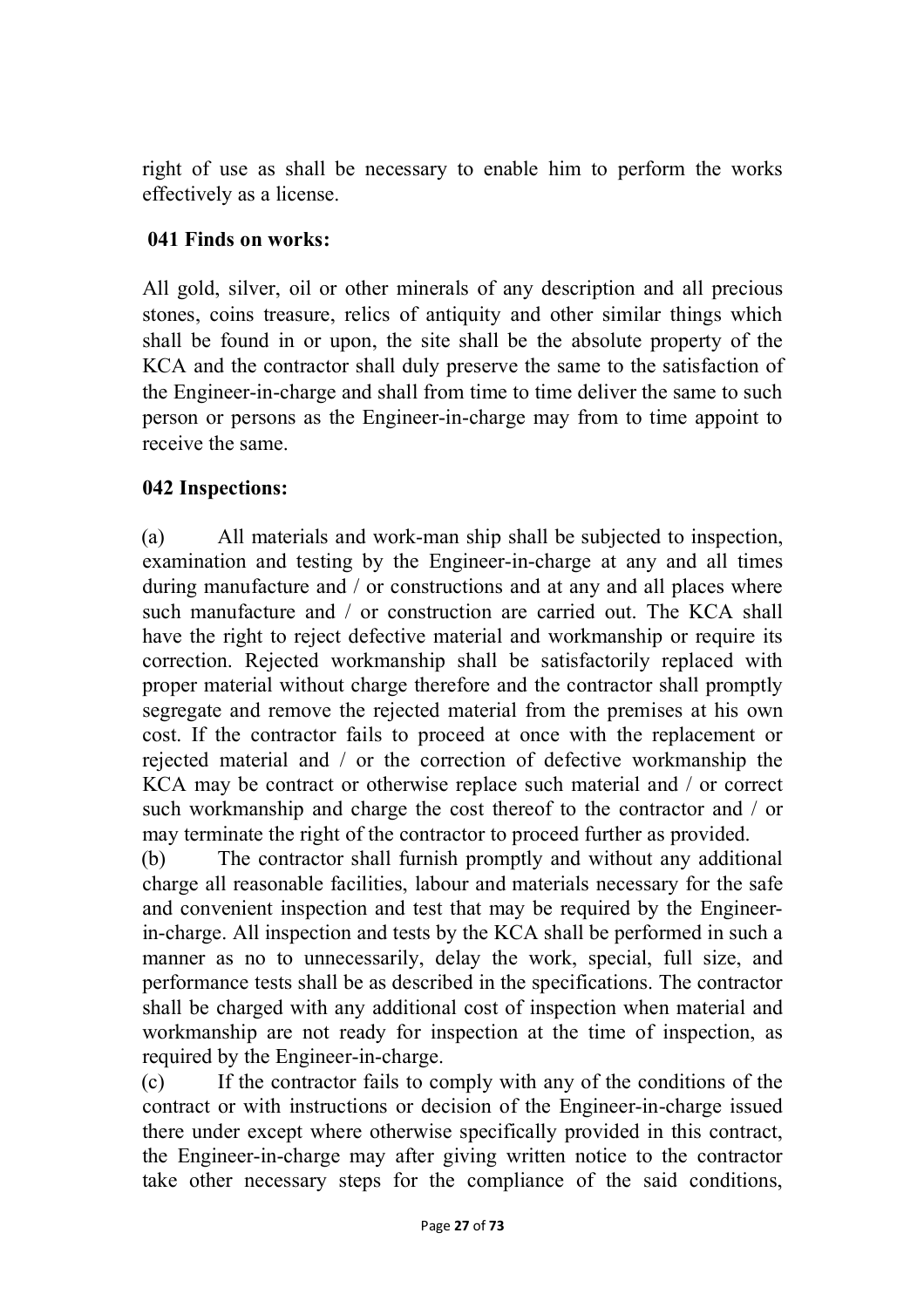right of use as shall be necessary to enable him to perform the works effectively as a license.

#### **041 Finds on works:**

All gold, silver, oil or other minerals of any description and all precious stones, coins treasure, relics of antiquity and other similar things which shall be found in or upon, the site shall be the absolute property of the KCA and the contractor shall duly preserve the same to the satisfaction of the Engineer-in-charge and shall from time to time deliver the same to such person or persons as the Engineer-in-charge may from to time appoint to receive the same.

#### **042 Inspections:**

(a) All materials and work-man ship shall be subjected to inspection, examination and testing by the Engineer-in-charge at any and all times during manufacture and / or constructions and at any and all places where such manufacture and / or construction are carried out. The KCA shall have the right to reject defective material and workmanship or require its correction. Rejected workmanship shall be satisfactorily replaced with proper material without charge therefore and the contractor shall promptly segregate and remove the rejected material from the premises at his own cost. If the contractor fails to proceed at once with the replacement or rejected material and / or the correction of defective workmanship the KCA may be contract or otherwise replace such material and / or correct such workmanship and charge the cost thereof to the contractor and / or may terminate the right of the contractor to proceed further as provided.

(b) The contractor shall furnish promptly and without any additional charge all reasonable facilities, labour and materials necessary for the safe and convenient inspection and test that may be required by the Engineerin-charge. All inspection and tests by the KCA shall be performed in such a manner as no to unnecessarily, delay the work, special, full size, and performance tests shall be as described in the specifications. The contractor shall be charged with any additional cost of inspection when material and workmanship are not ready for inspection at the time of inspection, as required by the Engineer-in-charge.

(c) If the contractor fails to comply with any of the conditions of the contract or with instructions or decision of the Engineer-in-charge issued there under except where otherwise specifically provided in this contract, the Engineer-in-charge may after giving written notice to the contractor take other necessary steps for the compliance of the said conditions,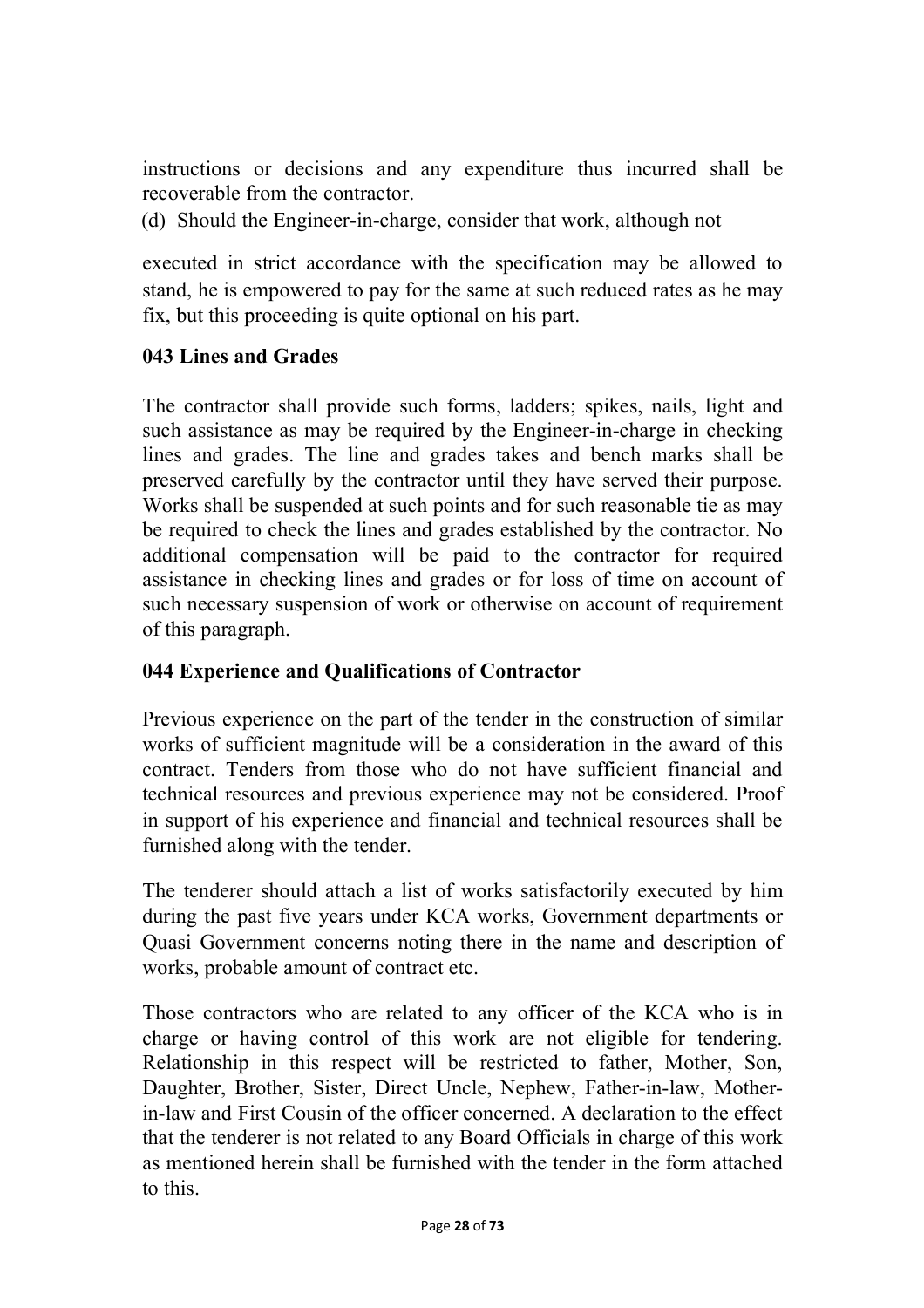instructions or decisions and any expenditure thus incurred shall be recoverable from the contractor.

(d) Should the Engineer-in-charge, consider that work, although not

executed in strict accordance with the specification may be allowed to stand, he is empowered to pay for the same at such reduced rates as he may fix, but this proceeding is quite optional on his part.

#### **043 Lines and Grades**

The contractor shall provide such forms, ladders; spikes, nails, light and such assistance as may be required by the Engineer-in-charge in checking lines and grades. The line and grades takes and bench marks shall be preserved carefully by the contractor until they have served their purpose. Works shall be suspended at such points and for such reasonable tie as may be required to check the lines and grades established by the contractor. No additional compensation will be paid to the contractor for required assistance in checking lines and grades or for loss of time on account of such necessary suspension of work or otherwise on account of requirement of this paragraph.

#### **044 Experience and Qualifications of Contractor**

Previous experience on the part of the tender in the construction of similar works of sufficient magnitude will be a consideration in the award of this contract. Tenders from those who do not have sufficient financial and technical resources and previous experience may not be considered. Proof in support of his experience and financial and technical resources shall be furnished along with the tender.

The tenderer should attach a list of works satisfactorily executed by him during the past five years under KCA works, Government departments or Quasi Government concerns noting there in the name and description of works, probable amount of contract etc.

Those contractors who are related to any officer of the KCA who is in charge or having control of this work are not eligible for tendering. Relationship in this respect will be restricted to father, Mother, Son, Daughter, Brother, Sister, Direct Uncle, Nephew, Father-in-law, Motherin-law and First Cousin of the officer concerned. A declaration to the effect that the tenderer is not related to any Board Officials in charge of this work as mentioned herein shall be furnished with the tender in the form attached to this.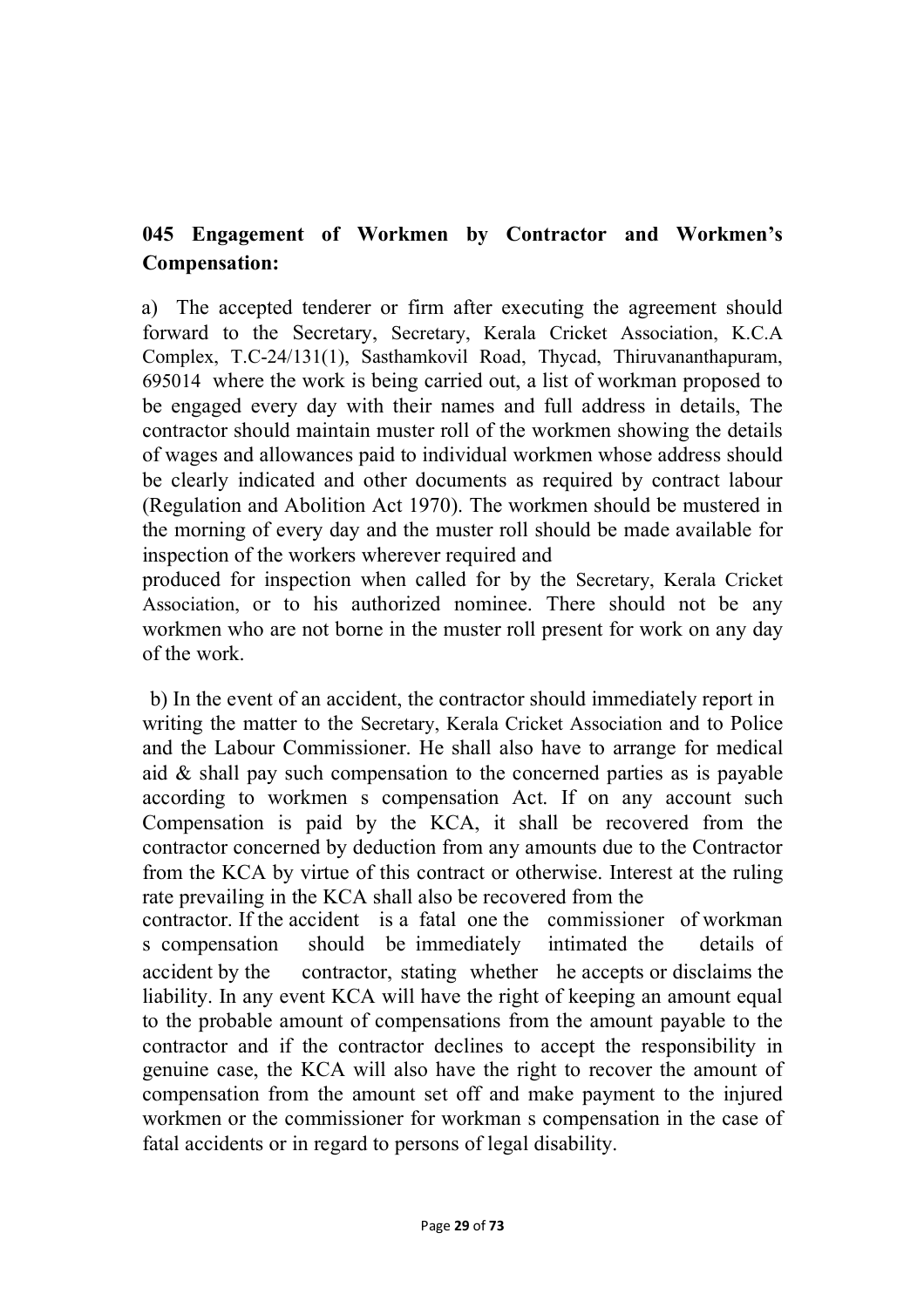# **045 Engagement of Workmen by Contractor and Workmen's Compensation:**

a) The accepted tenderer or firm after executing the agreement should forward to the Secretary, Secretary, Kerala Cricket Association, K.C.A Complex, T.C-24/131(1), Sasthamkovil Road, Thycad, Thiruvananthapuram, 695014 where the work is being carried out, a list of workman proposed to be engaged every day with their names and full address in details, The contractor should maintain muster roll of the workmen showing the details of wages and allowances paid to individual workmen whose address should be clearly indicated and other documents as required by contract labour (Regulation and Abolition Act 1970). The workmen should be mustered in the morning of every day and the muster roll should be made available for inspection of the workers wherever required and

produced for inspection when called for by the Secretary, Kerala Cricket Association, or to his authorized nominee. There should not be any workmen who are not borne in the muster roll present for work on any day of the work.

b) In the event of an accident, the contractor should immediately report in writing the matter to the Secretary, Kerala Cricket Association and to Police and the Labour Commissioner. He shall also have to arrange for medical aid & shall pay such compensation to the concerned parties as is payable according to workmen s compensation Act. If on any account such Compensation is paid by the KCA, it shall be recovered from the contractor concerned by deduction from any amounts due to the Contractor from the KCA by virtue of this contract or otherwise. Interest at the ruling rate prevailing in the KCA shall also be recovered from the

contractor. If the accident is a fatal one the commissioner of workman s compensation should be immediately intimated the details of accident by the contractor, stating whether he accepts or disclaims the liability. In any event KCA will have the right of keeping an amount equal to the probable amount of compensations from the amount payable to the contractor and if the contractor declines to accept the responsibility in genuine case, the KCA will also have the right to recover the amount of compensation from the amount set off and make payment to the injured workmen or the commissioner for workman s compensation in the case of fatal accidents or in regard to persons of legal disability.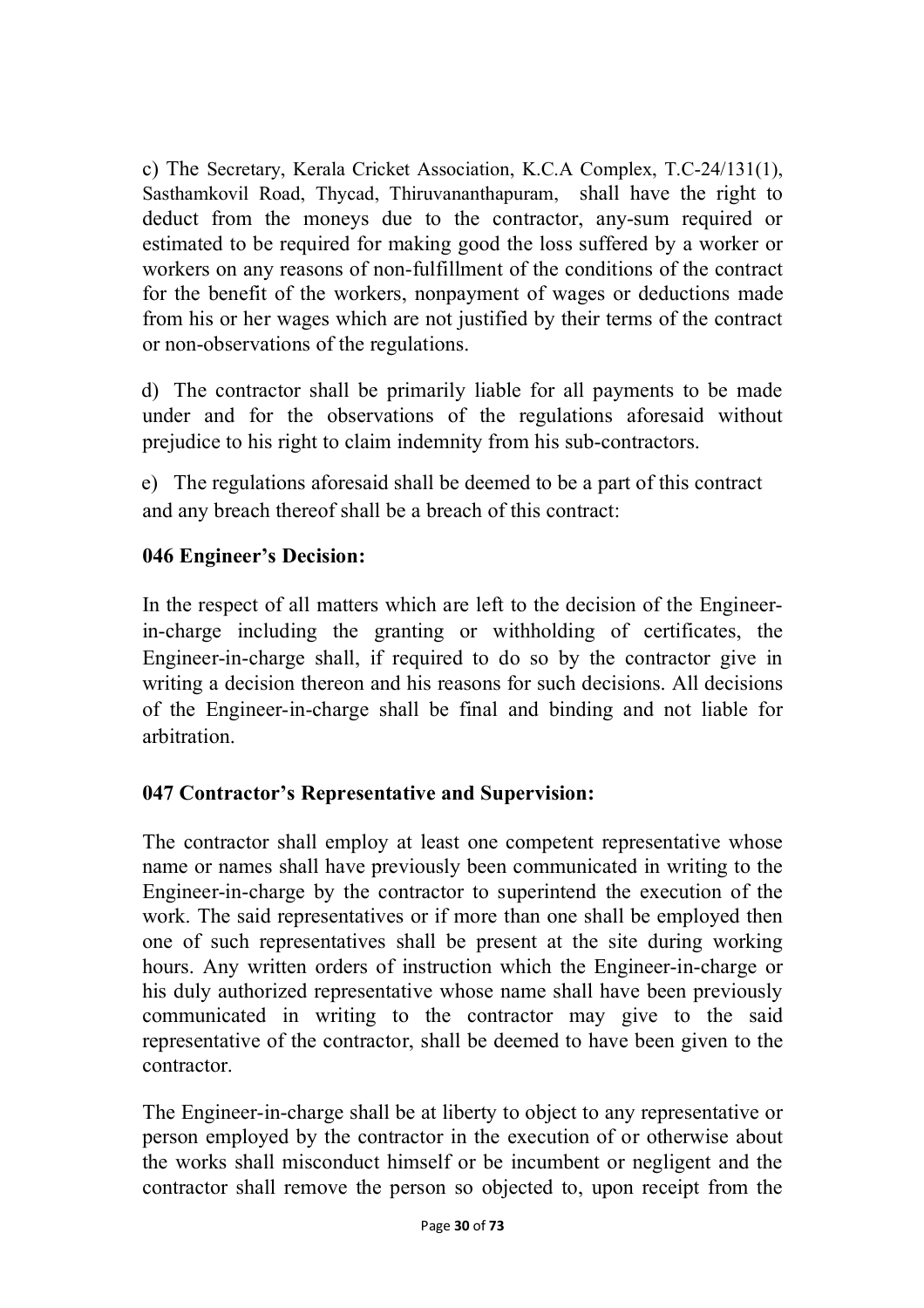c) The Secretary, Kerala Cricket Association, K.C.A Complex, T.C-24/131(1), Sasthamkovil Road, Thycad, Thiruvananthapuram, shall have the right to deduct from the moneys due to the contractor, any-sum required or estimated to be required for making good the loss suffered by a worker or workers on any reasons of non-fulfillment of the conditions of the contract for the benefit of the workers, nonpayment of wages or deductions made from his or her wages which are not justified by their terms of the contract or non-observations of the regulations.

d) The contractor shall be primarily liable for all payments to be made under and for the observations of the regulations aforesaid without prejudice to his right to claim indemnity from his sub-contractors.

e) The regulations aforesaid shall be deemed to be a part of this contract and any breach thereof shall be a breach of this contract:

## **046 Engineer's Decision:**

In the respect of all matters which are left to the decision of the Engineerin-charge including the granting or withholding of certificates, the Engineer-in-charge shall, if required to do so by the contractor give in writing a decision thereon and his reasons for such decisions. All decisions of the Engineer-in-charge shall be final and binding and not liable for arbitration.

## **047 Contractor's Representative and Supervision:**

The contractor shall employ at least one competent representative whose name or names shall have previously been communicated in writing to the Engineer-in-charge by the contractor to superintend the execution of the work. The said representatives or if more than one shall be employed then one of such representatives shall be present at the site during working hours. Any written orders of instruction which the Engineer-in-charge or his duly authorized representative whose name shall have been previously communicated in writing to the contractor may give to the said representative of the contractor, shall be deemed to have been given to the contractor.

The Engineer-in-charge shall be at liberty to object to any representative or person employed by the contractor in the execution of or otherwise about the works shall misconduct himself or be incumbent or negligent and the contractor shall remove the person so objected to, upon receipt from the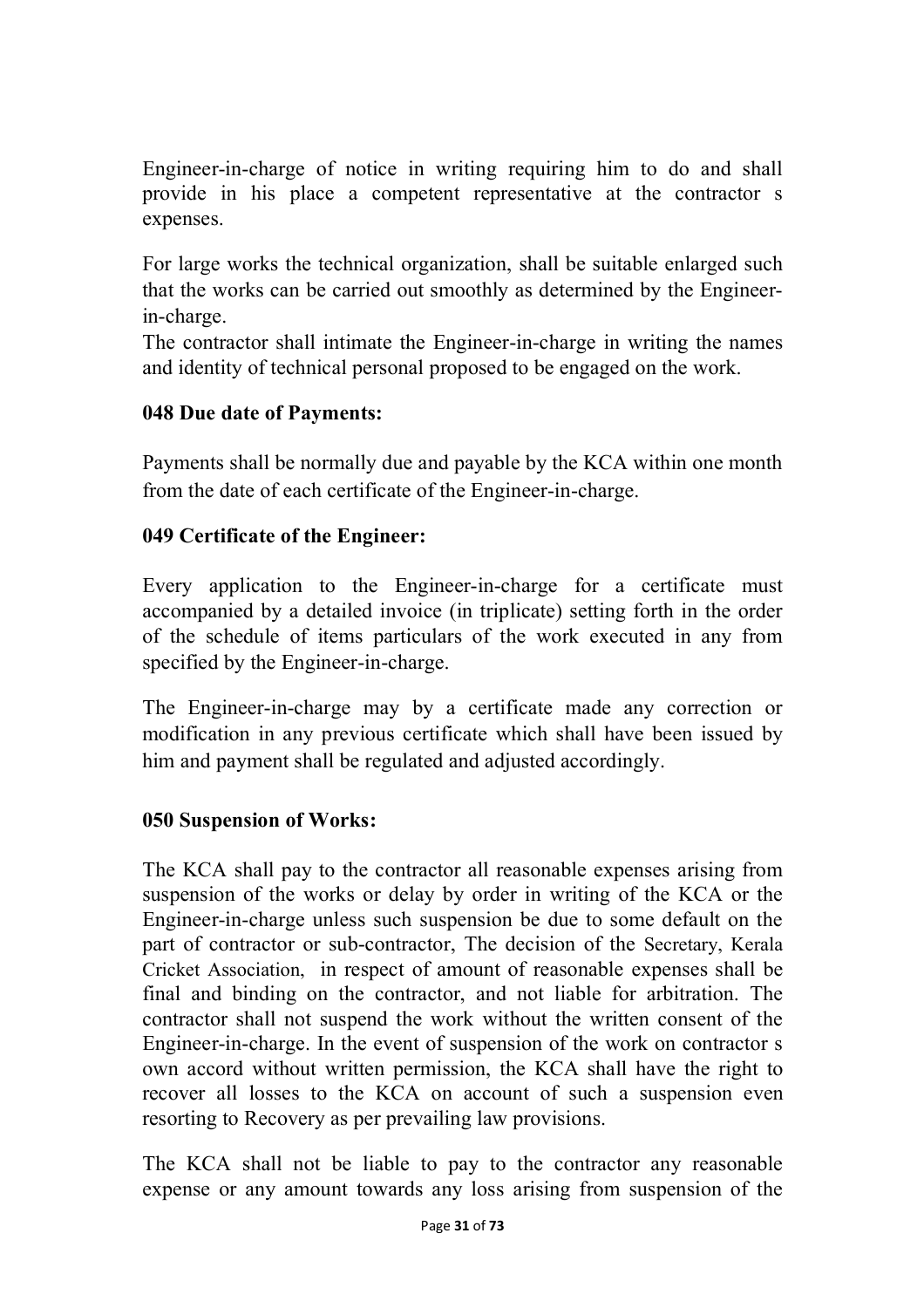Engineer-in-charge of notice in writing requiring him to do and shall provide in his place a competent representative at the contractor s expenses.

For large works the technical organization, shall be suitable enlarged such that the works can be carried out smoothly as determined by the Engineerin-charge.

The contractor shall intimate the Engineer-in-charge in writing the names and identity of technical personal proposed to be engaged on the work.

## **048 Due date of Payments:**

Payments shall be normally due and payable by the KCA within one month from the date of each certificate of the Engineer-in-charge.

## **049 Certificate of the Engineer:**

Every application to the Engineer-in-charge for a certificate must accompanied by a detailed invoice (in triplicate) setting forth in the order of the schedule of items particulars of the work executed in any from specified by the Engineer-in-charge.

The Engineer-in-charge may by a certificate made any correction or modification in any previous certificate which shall have been issued by him and payment shall be regulated and adjusted accordingly.

#### **050 Suspension of Works:**

The KCA shall pay to the contractor all reasonable expenses arising from suspension of the works or delay by order in writing of the KCA or the Engineer-in-charge unless such suspension be due to some default on the part of contractor or sub-contractor, The decision of the Secretary, Kerala Cricket Association, in respect of amount of reasonable expenses shall be final and binding on the contractor, and not liable for arbitration. The contractor shall not suspend the work without the written consent of the Engineer-in-charge. In the event of suspension of the work on contractor s own accord without written permission, the KCA shall have the right to recover all losses to the KCA on account of such a suspension even resorting to Recovery as per prevailing law provisions.

The KCA shall not be liable to pay to the contractor any reasonable expense or any amount towards any loss arising from suspension of the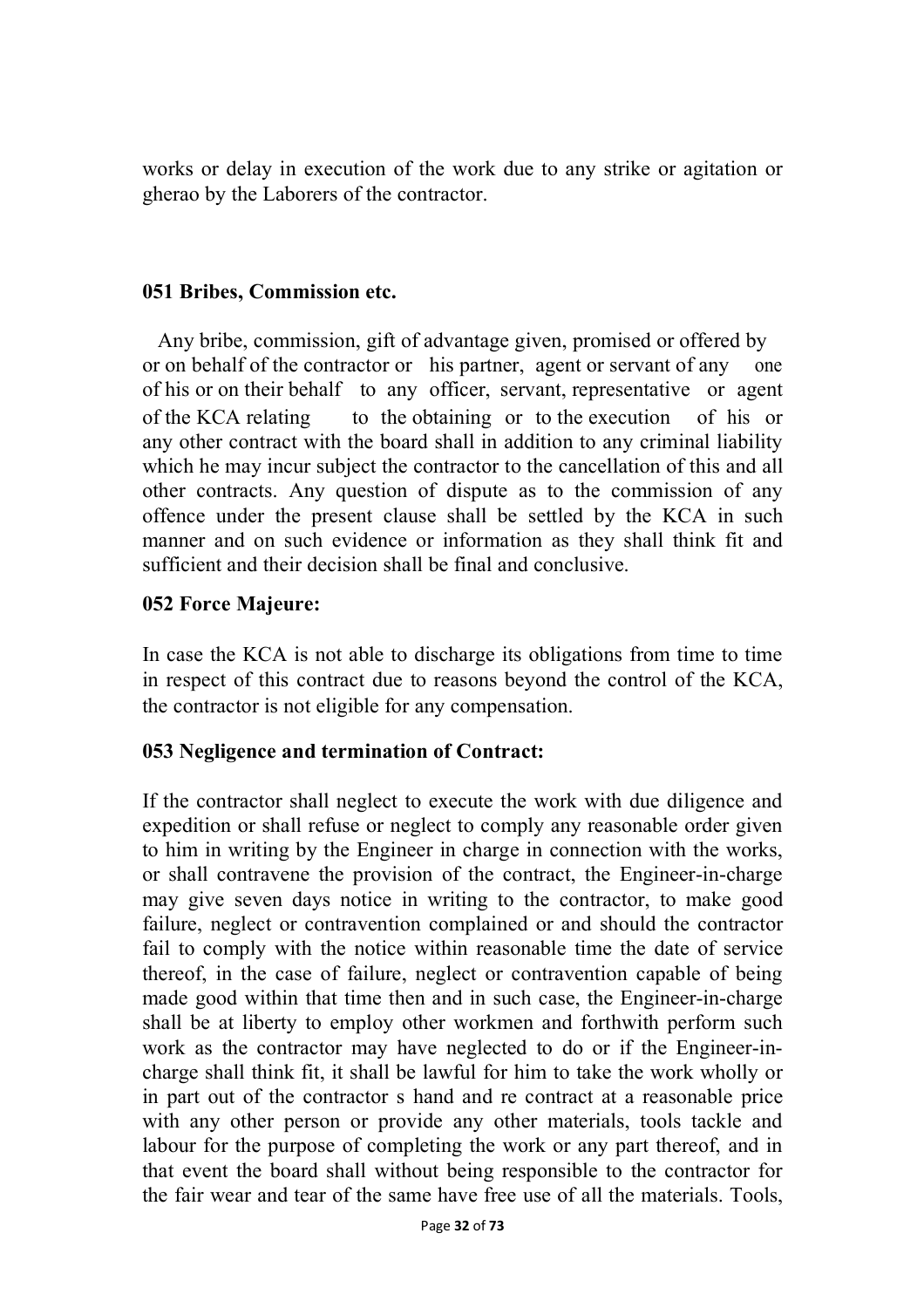works or delay in execution of the work due to any strike or agitation or gherao by the Laborers of the contractor.

#### **051 Bribes, Commission etc.**

Any bribe, commission, gift of advantage given, promised or offered by or on behalf of the contractor or his partner, agent or servant of any one of his or on their behalf to any officer, servant, representative or agent of the KCA relating to the obtaining or to the execution of his or any other contract with the board shall in addition to any criminal liability which he may incur subject the contractor to the cancellation of this and all other contracts. Any question of dispute as to the commission of any offence under the present clause shall be settled by the KCA in such manner and on such evidence or information as they shall think fit and sufficient and their decision shall be final and conclusive.

#### **052 Force Majeure:**

In case the KCA is not able to discharge its obligations from time to time in respect of this contract due to reasons beyond the control of the KCA, the contractor is not eligible for any compensation.

## **053 Negligence and termination of Contract:**

If the contractor shall neglect to execute the work with due diligence and expedition or shall refuse or neglect to comply any reasonable order given to him in writing by the Engineer in charge in connection with the works, or shall contravene the provision of the contract, the Engineer-in-charge may give seven days notice in writing to the contractor, to make good failure, neglect or contravention complained or and should the contractor fail to comply with the notice within reasonable time the date of service thereof, in the case of failure, neglect or contravention capable of being made good within that time then and in such case, the Engineer-in-charge shall be at liberty to employ other workmen and forthwith perform such work as the contractor may have neglected to do or if the Engineer-incharge shall think fit, it shall be lawful for him to take the work wholly or in part out of the contractor s hand and re contract at a reasonable price with any other person or provide any other materials, tools tackle and labour for the purpose of completing the work or any part thereof, and in that event the board shall without being responsible to the contractor for the fair wear and tear of the same have free use of all the materials. Tools,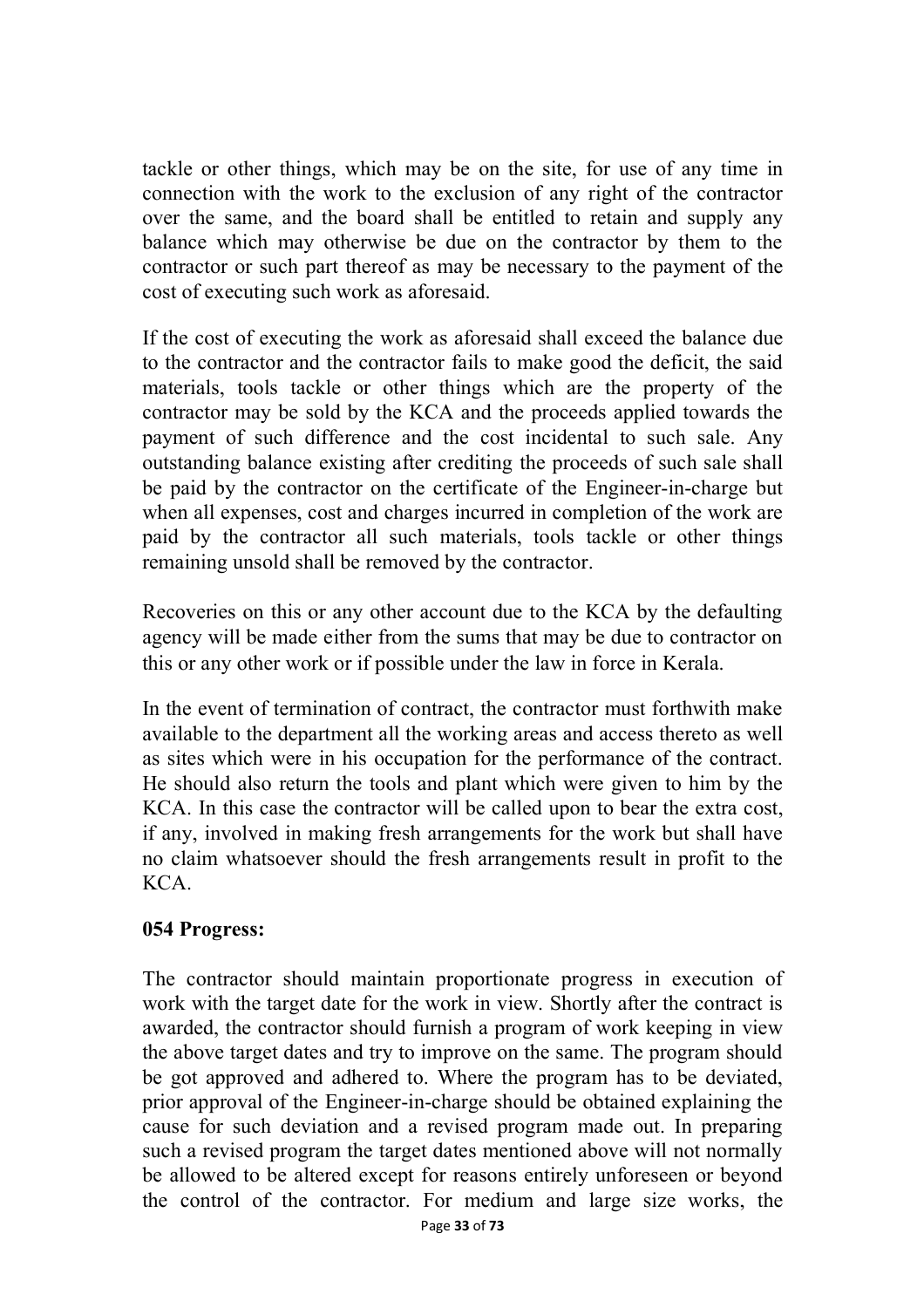tackle or other things, which may be on the site, for use of any time in connection with the work to the exclusion of any right of the contractor over the same, and the board shall be entitled to retain and supply any balance which may otherwise be due on the contractor by them to the contractor or such part thereof as may be necessary to the payment of the cost of executing such work as aforesaid.

If the cost of executing the work as aforesaid shall exceed the balance due to the contractor and the contractor fails to make good the deficit, the said materials, tools tackle or other things which are the property of the contractor may be sold by the KCA and the proceeds applied towards the payment of such difference and the cost incidental to such sale. Any outstanding balance existing after crediting the proceeds of such sale shall be paid by the contractor on the certificate of the Engineer-in-charge but when all expenses, cost and charges incurred in completion of the work are paid by the contractor all such materials, tools tackle or other things remaining unsold shall be removed by the contractor.

Recoveries on this or any other account due to the KCA by the defaulting agency will be made either from the sums that may be due to contractor on this or any other work or if possible under the law in force in Kerala.

In the event of termination of contract, the contractor must forthwith make available to the department all the working areas and access thereto as well as sites which were in his occupation for the performance of the contract. He should also return the tools and plant which were given to him by the KCA. In this case the contractor will be called upon to bear the extra cost, if any, involved in making fresh arrangements for the work but shall have no claim whatsoever should the fresh arrangements result in profit to the KCA.

#### **054 Progress:**

The contractor should maintain proportionate progress in execution of work with the target date for the work in view. Shortly after the contract is awarded, the contractor should furnish a program of work keeping in view the above target dates and try to improve on the same. The program should be got approved and adhered to. Where the program has to be deviated, prior approval of the Engineer-in-charge should be obtained explaining the cause for such deviation and a revised program made out. In preparing such a revised program the target dates mentioned above will not normally be allowed to be altered except for reasons entirely unforeseen or beyond the control of the contractor. For medium and large size works, the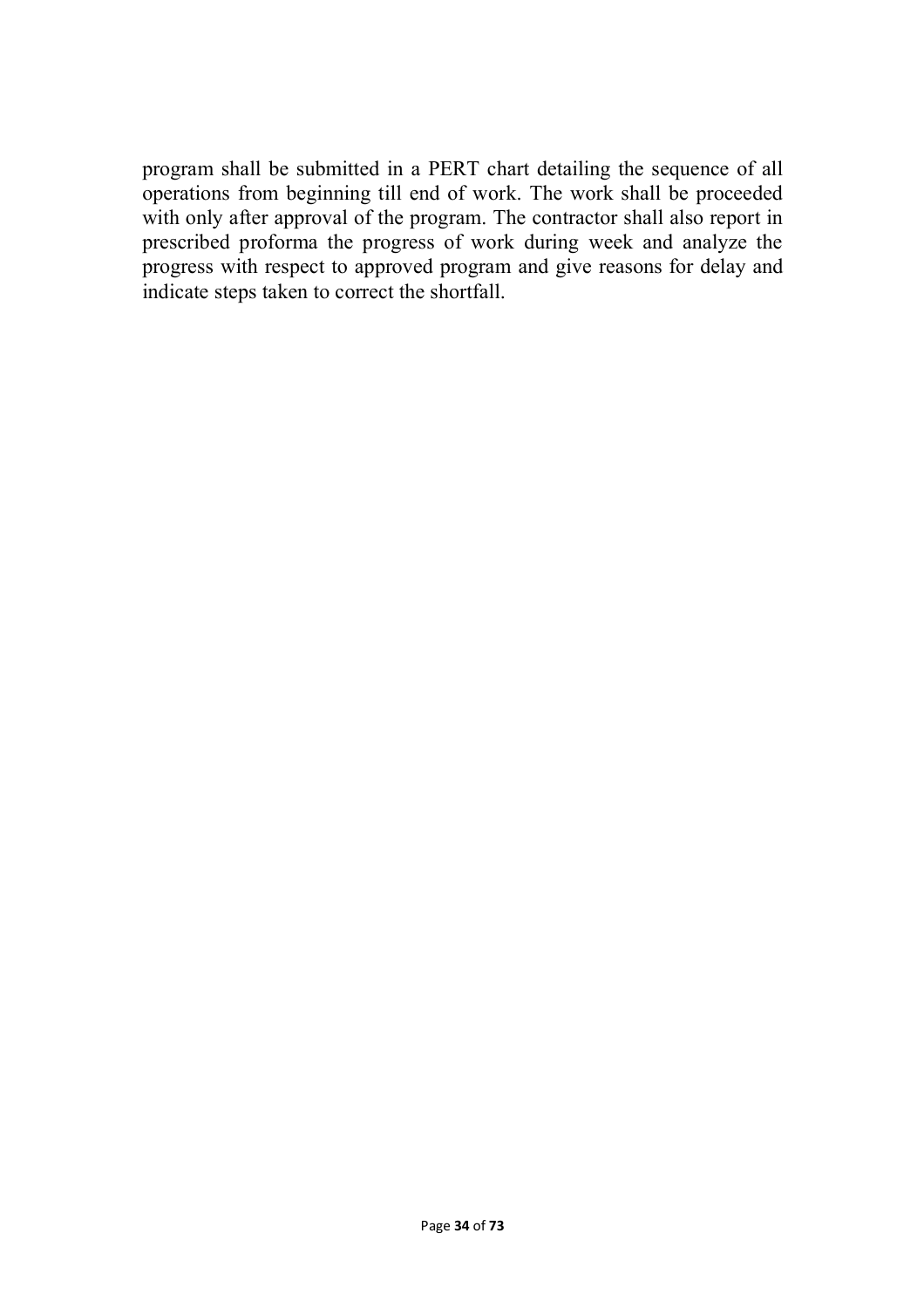program shall be submitted in a PERT chart detailing the sequence of all operations from beginning till end of work. The work shall be proceeded with only after approval of the program. The contractor shall also report in prescribed proforma the progress of work during week and analyze the progress with respect to approved program and give reasons for delay and indicate steps taken to correct the shortfall.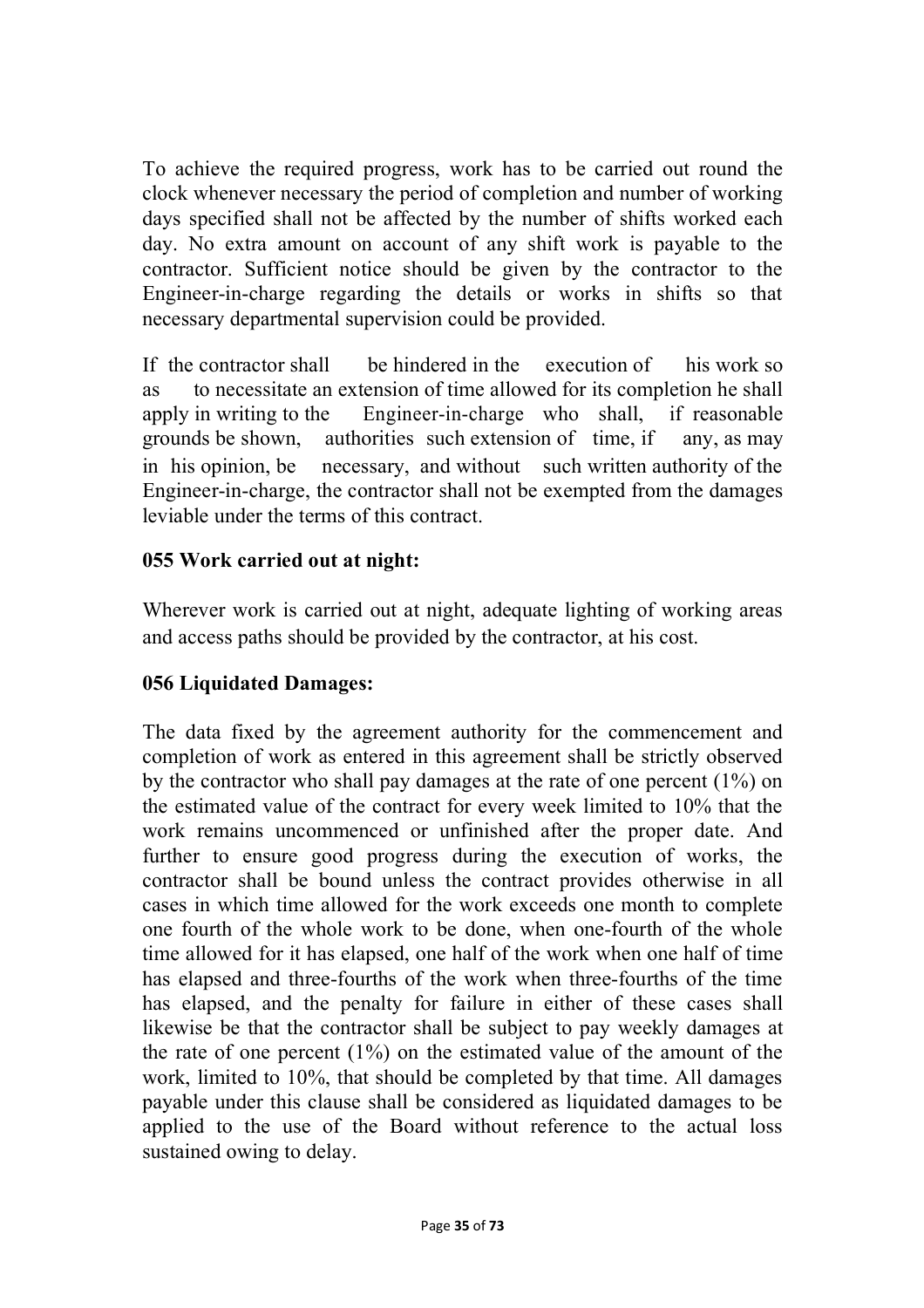To achieve the required progress, work has to be carried out round the clock whenever necessary the period of completion and number of working days specified shall not be affected by the number of shifts worked each day. No extra amount on account of any shift work is payable to the contractor. Sufficient notice should be given by the contractor to the Engineer-in-charge regarding the details or works in shifts so that necessary departmental supervision could be provided.

If the contractor shall be hindered in the execution of his work so as to necessitate an extension of time allowed for its completion he shall apply in writing to the Engineer-in-charge who shall, if reasonable grounds be shown, authorities such extension of time, if any, as may in his opinion, be necessary, and without such written authority of the Engineer-in-charge, the contractor shall not be exempted from the damages leviable under the terms of this contract.

#### **055 Work carried out at night:**

Wherever work is carried out at night, adequate lighting of working areas and access paths should be provided by the contractor, at his cost.

## **056 Liquidated Damages:**

The data fixed by the agreement authority for the commencement and completion of work as entered in this agreement shall be strictly observed by the contractor who shall pay damages at the rate of one percent (1%) on the estimated value of the contract for every week limited to 10% that the work remains uncommenced or unfinished after the proper date. And further to ensure good progress during the execution of works, the contractor shall be bound unless the contract provides otherwise in all cases in which time allowed for the work exceeds one month to complete one fourth of the whole work to be done, when one-fourth of the whole time allowed for it has elapsed, one half of the work when one half of time has elapsed and three-fourths of the work when three-fourths of the time has elapsed, and the penalty for failure in either of these cases shall likewise be that the contractor shall be subject to pay weekly damages at the rate of one percent (1%) on the estimated value of the amount of the work, limited to 10%, that should be completed by that time. All damages payable under this clause shall be considered as liquidated damages to be applied to the use of the Board without reference to the actual loss sustained owing to delay.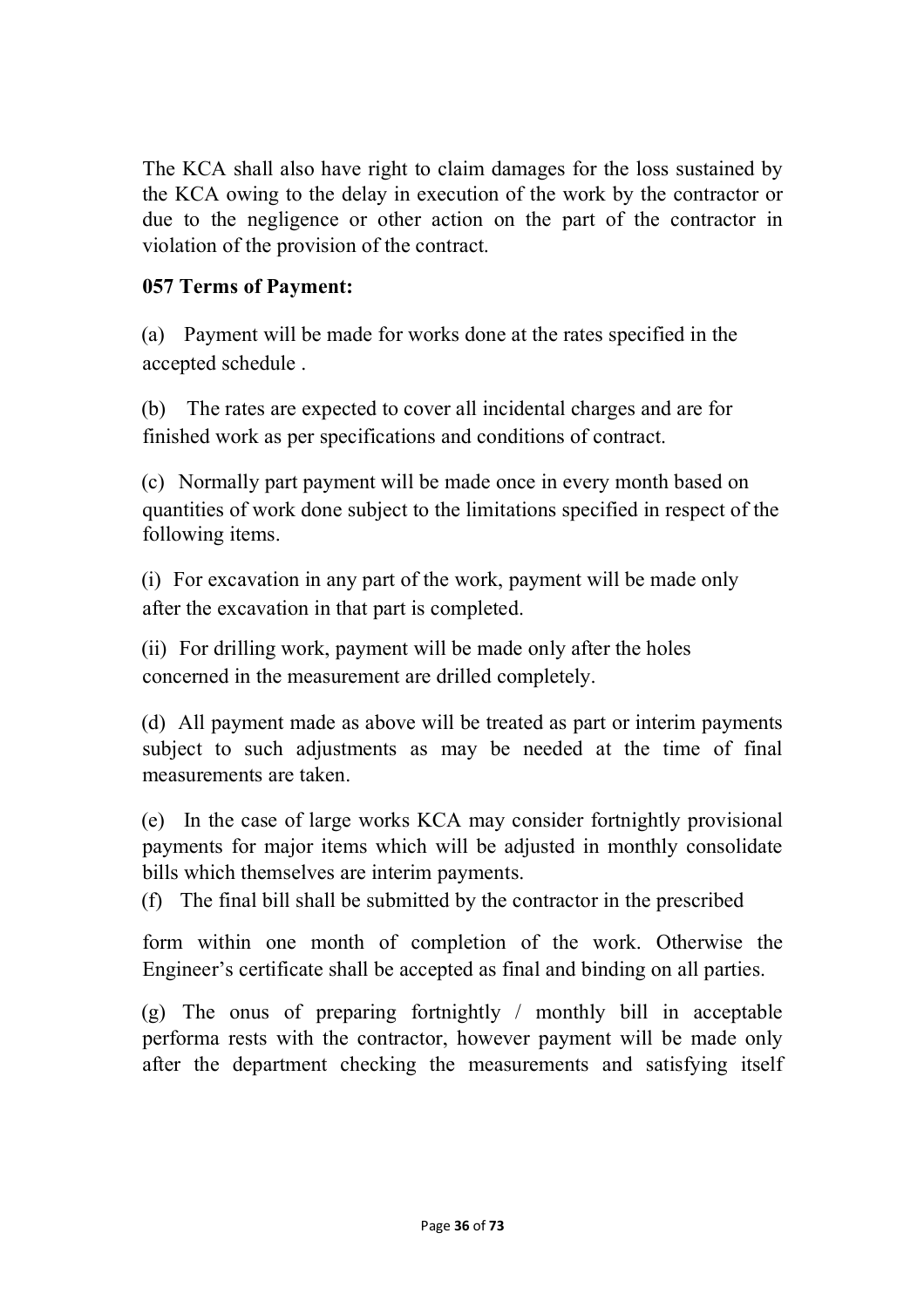The KCA shall also have right to claim damages for the loss sustained by the KCA owing to the delay in execution of the work by the contractor or due to the negligence or other action on the part of the contractor in violation of the provision of the contract.

## **057 Terms of Payment:**

(a) Payment will be made for works done at the rates specified in the accepted schedule .

(b) The rates are expected to cover all incidental charges and are for finished work as per specifications and conditions of contract.

(c) Normally part payment will be made once in every month based on quantities of work done subject to the limitations specified in respect of the following items.

(i) For excavation in any part of the work, payment will be made only after the excavation in that part is completed.

(ii) For drilling work, payment will be made only after the holes concerned in the measurement are drilled completely.

(d) All payment made as above will be treated as part or interim payments subject to such adjustments as may be needed at the time of final measurements are taken.

(e) In the case of large works KCA may consider fortnightly provisional payments for major items which will be adjusted in monthly consolidate bills which themselves are interim payments.

(f) The final bill shall be submitted by the contractor in the prescribed

form within one month of completion of the work. Otherwise the Engineer's certificate shall be accepted as final and binding on all parties.

(g) The onus of preparing fortnightly / monthly bill in acceptable performa rests with the contractor, however payment will be made only after the department checking the measurements and satisfying itself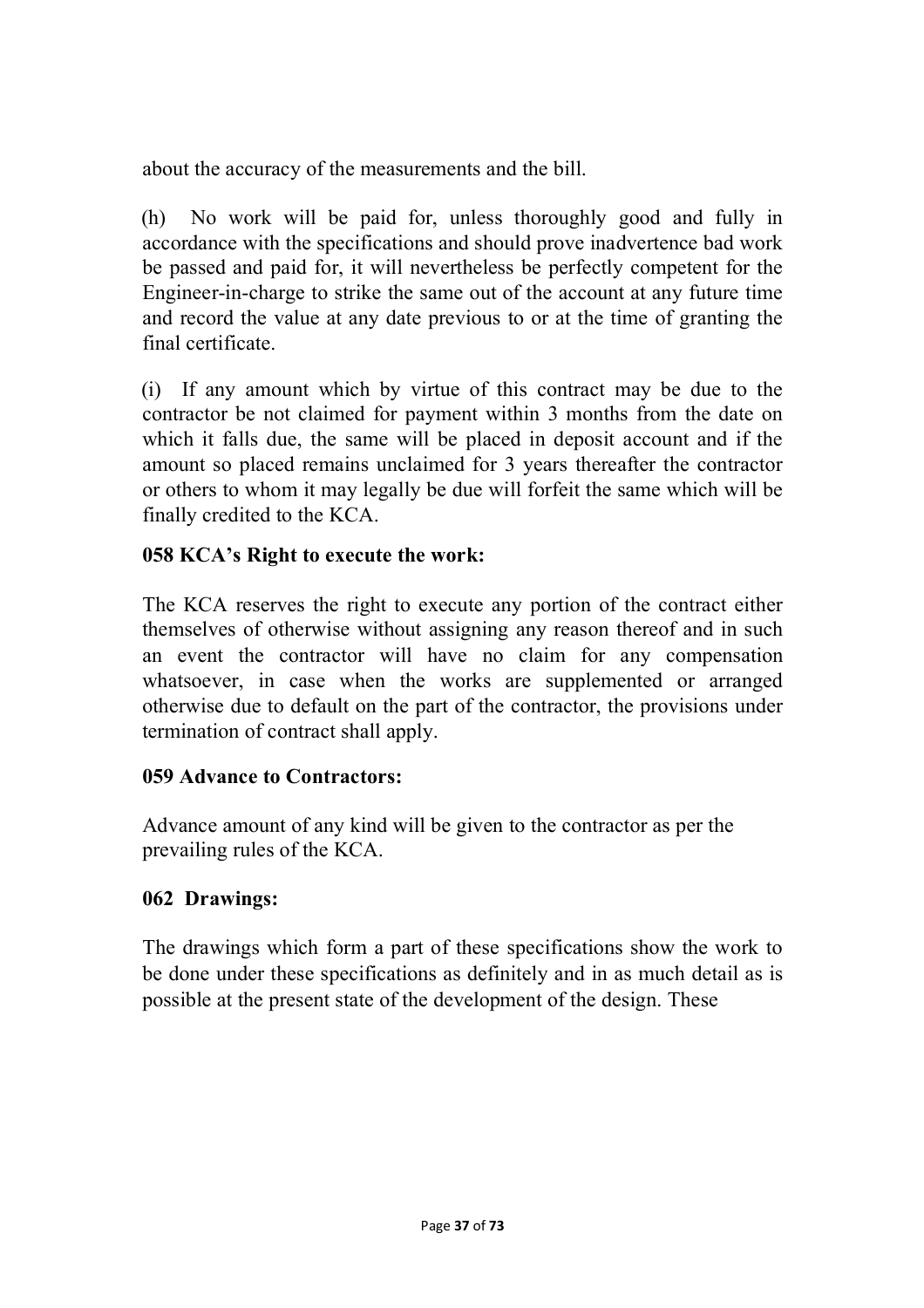about the accuracy of the measurements and the bill.

(h) No work will be paid for, unless thoroughly good and fully in accordance with the specifications and should prove inadvertence bad work be passed and paid for, it will nevertheless be perfectly competent for the Engineer-in-charge to strike the same out of the account at any future time and record the value at any date previous to or at the time of granting the final certificate.

(i) If any amount which by virtue of this contract may be due to the contractor be not claimed for payment within 3 months from the date on which it falls due, the same will be placed in deposit account and if the amount so placed remains unclaimed for 3 years thereafter the contractor or others to whom it may legally be due will forfeit the same which will be finally credited to the KCA.

## **058 KCA's Right to execute the work:**

The KCA reserves the right to execute any portion of the contract either themselves of otherwise without assigning any reason thereof and in such an event the contractor will have no claim for any compensation whatsoever, in case when the works are supplemented or arranged otherwise due to default on the part of the contractor, the provisions under termination of contract shall apply.

## **059 Advance to Contractors:**

Advance amount of any kind will be given to the contractor as per the prevailing rules of the KCA.

## **062 Drawings:**

The drawings which form a part of these specifications show the work to be done under these specifications as definitely and in as much detail as is possible at the present state of the development of the design. These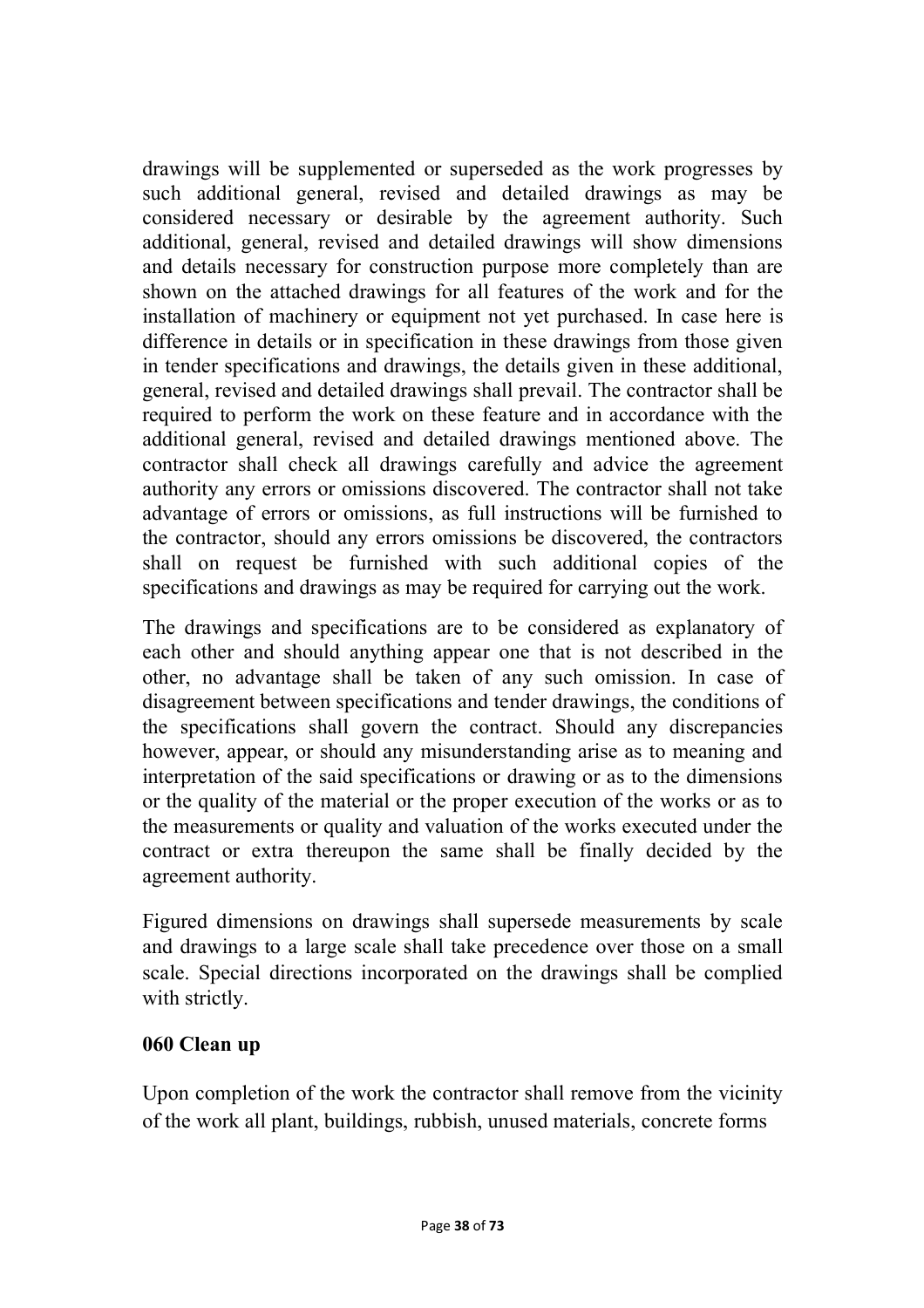drawings will be supplemented or superseded as the work progresses by such additional general, revised and detailed drawings as may be considered necessary or desirable by the agreement authority. Such additional, general, revised and detailed drawings will show dimensions and details necessary for construction purpose more completely than are shown on the attached drawings for all features of the work and for the installation of machinery or equipment not yet purchased. In case here is difference in details or in specification in these drawings from those given in tender specifications and drawings, the details given in these additional, general, revised and detailed drawings shall prevail. The contractor shall be required to perform the work on these feature and in accordance with the additional general, revised and detailed drawings mentioned above. The contractor shall check all drawings carefully and advice the agreement authority any errors or omissions discovered. The contractor shall not take advantage of errors or omissions, as full instructions will be furnished to the contractor, should any errors omissions be discovered, the contractors shall on request be furnished with such additional copies of the specifications and drawings as may be required for carrying out the work.

The drawings and specifications are to be considered as explanatory of each other and should anything appear one that is not described in the other, no advantage shall be taken of any such omission. In case of disagreement between specifications and tender drawings, the conditions of the specifications shall govern the contract. Should any discrepancies however, appear, or should any misunderstanding arise as to meaning and interpretation of the said specifications or drawing or as to the dimensions or the quality of the material or the proper execution of the works or as to the measurements or quality and valuation of the works executed under the contract or extra thereupon the same shall be finally decided by the agreement authority.

Figured dimensions on drawings shall supersede measurements by scale and drawings to a large scale shall take precedence over those on a small scale. Special directions incorporated on the drawings shall be complied with strictly.

### **060 Clean up**

Upon completion of the work the contractor shall remove from the vicinity of the work all plant, buildings, rubbish, unused materials, concrete forms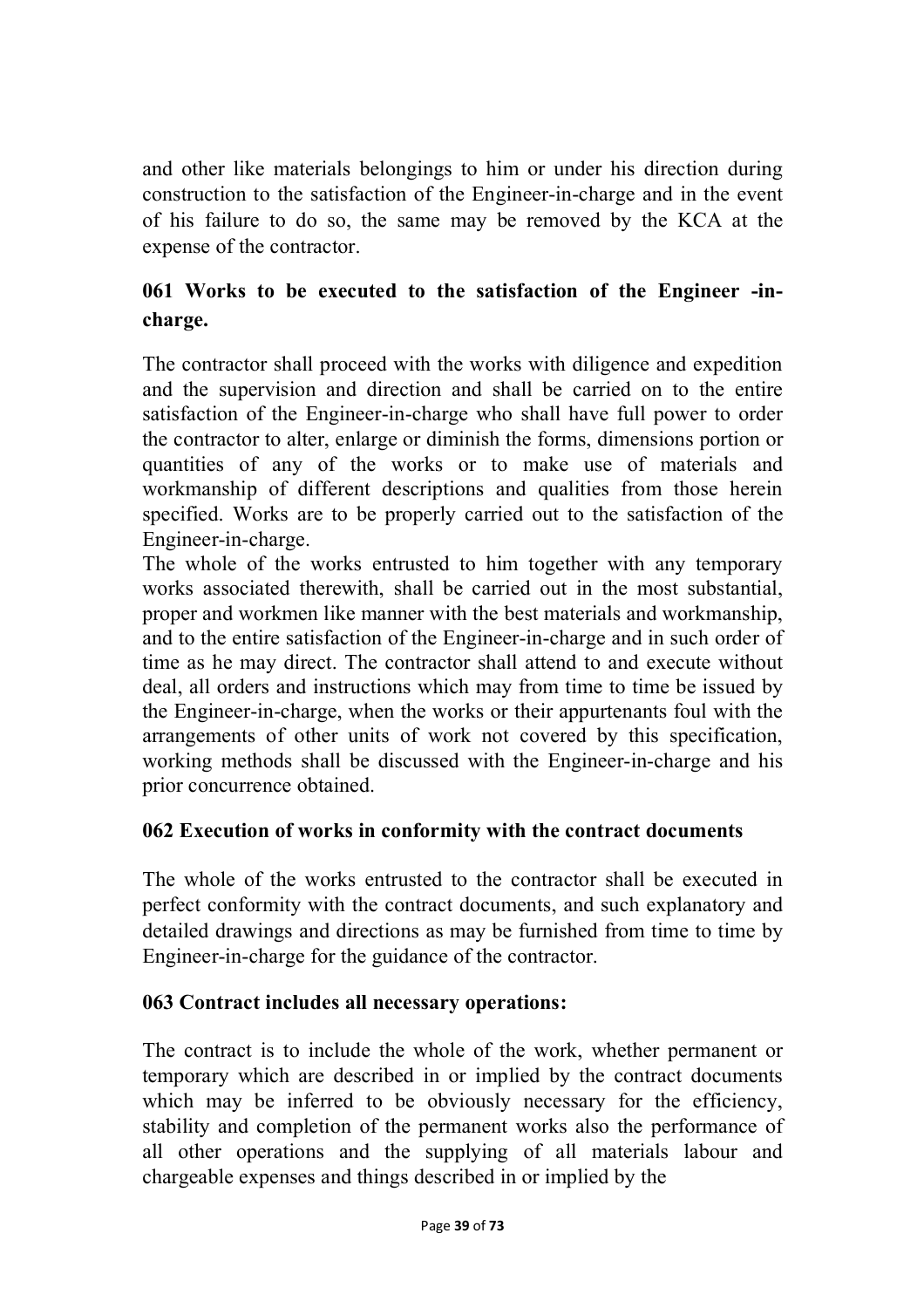and other like materials belongings to him or under his direction during construction to the satisfaction of the Engineer-in-charge and in the event of his failure to do so, the same may be removed by the KCA at the expense of the contractor.

# **061 Works to be executed to the satisfaction of the Engineer -incharge.**

The contractor shall proceed with the works with diligence and expedition and the supervision and direction and shall be carried on to the entire satisfaction of the Engineer-in-charge who shall have full power to order the contractor to alter, enlarge or diminish the forms, dimensions portion or quantities of any of the works or to make use of materials and workmanship of different descriptions and qualities from those herein specified. Works are to be properly carried out to the satisfaction of the Engineer-in-charge.

The whole of the works entrusted to him together with any temporary works associated therewith, shall be carried out in the most substantial, proper and workmen like manner with the best materials and workmanship, and to the entire satisfaction of the Engineer-in-charge and in such order of time as he may direct. The contractor shall attend to and execute without deal, all orders and instructions which may from time to time be issued by the Engineer-in-charge, when the works or their appurtenants foul with the arrangements of other units of work not covered by this specification, working methods shall be discussed with the Engineer-in-charge and his prior concurrence obtained.

## **062 Execution of works in conformity with the contract documents**

The whole of the works entrusted to the contractor shall be executed in perfect conformity with the contract documents, and such explanatory and detailed drawings and directions as may be furnished from time to time by Engineer-in-charge for the guidance of the contractor.

## **063 Contract includes all necessary operations:**

The contract is to include the whole of the work, whether permanent or temporary which are described in or implied by the contract documents which may be inferred to be obviously necessary for the efficiency, stability and completion of the permanent works also the performance of all other operations and the supplying of all materials labour and chargeable expenses and things described in or implied by the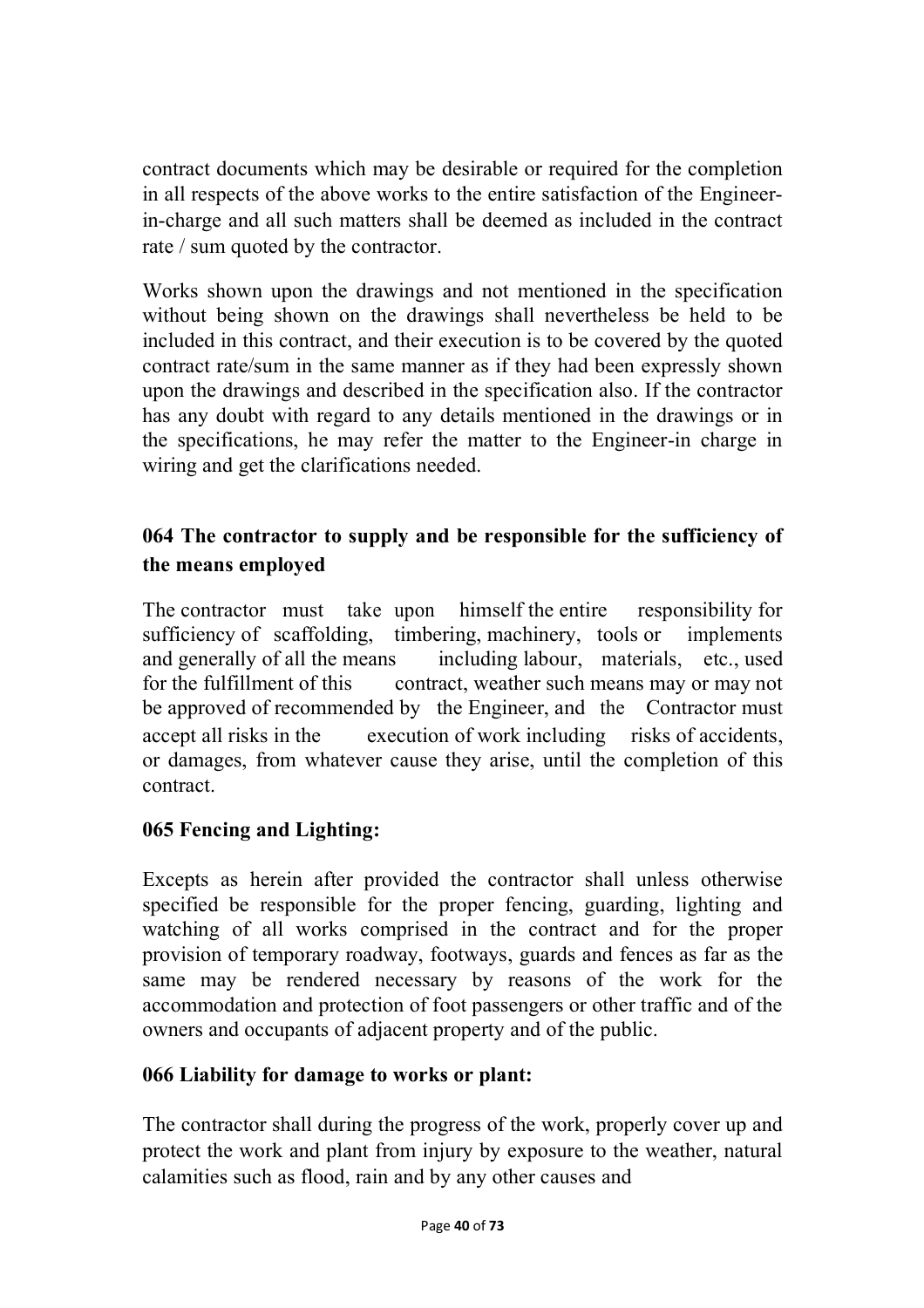contract documents which may be desirable or required for the completion in all respects of the above works to the entire satisfaction of the Engineerin-charge and all such matters shall be deemed as included in the contract rate / sum quoted by the contractor.

Works shown upon the drawings and not mentioned in the specification without being shown on the drawings shall nevertheless be held to be included in this contract, and their execution is to be covered by the quoted contract rate/sum in the same manner as if they had been expressly shown upon the drawings and described in the specification also. If the contractor has any doubt with regard to any details mentioned in the drawings or in the specifications, he may refer the matter to the Engineer-in charge in wiring and get the clarifications needed.

# **064 The contractor to supply and be responsible for the sufficiency of the means employed**

The contractor must take upon himself the entire responsibility for sufficiency of scaffolding, timbering, machinery, tools or implements and generally of all the means including labour, materials, etc., used for the fulfillment of this contract, weather such means may or may not be approved of recommended by the Engineer, and the Contractor must accept all risks in the execution of work including risks of accidents, or damages, from whatever cause they arise, until the completion of this contract.

## **065 Fencing and Lighting:**

Excepts as herein after provided the contractor shall unless otherwise specified be responsible for the proper fencing, guarding, lighting and watching of all works comprised in the contract and for the proper provision of temporary roadway, footways, guards and fences as far as the same may be rendered necessary by reasons of the work for the accommodation and protection of foot passengers or other traffic and of the owners and occupants of adjacent property and of the public.

## **066 Liability for damage to works or plant:**

The contractor shall during the progress of the work, properly cover up and protect the work and plant from injury by exposure to the weather, natural calamities such as flood, rain and by any other causes and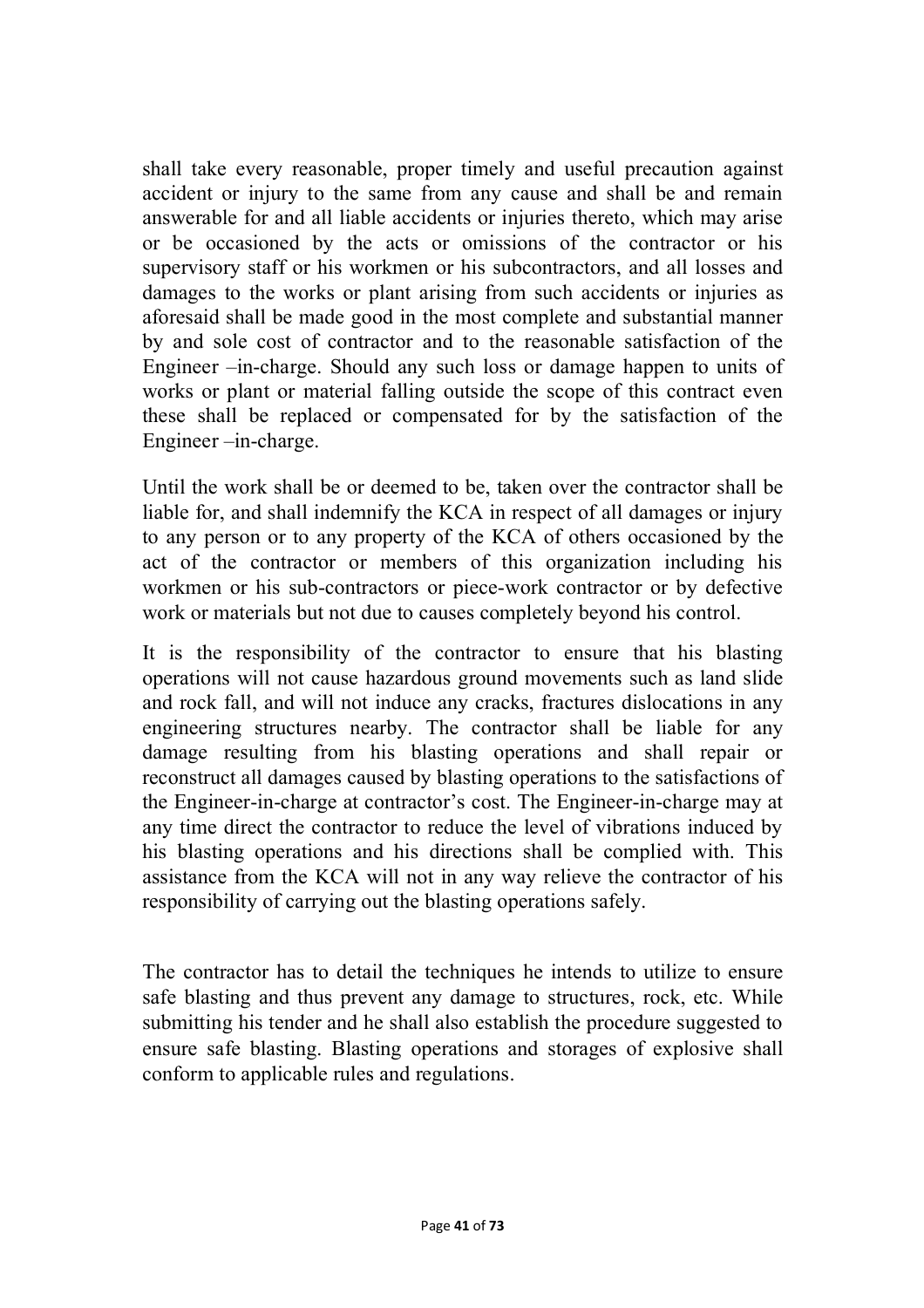shall take every reasonable, proper timely and useful precaution against accident or injury to the same from any cause and shall be and remain answerable for and all liable accidents or injuries thereto, which may arise or be occasioned by the acts or omissions of the contractor or his supervisory staff or his workmen or his subcontractors, and all losses and damages to the works or plant arising from such accidents or injuries as aforesaid shall be made good in the most complete and substantial manner by and sole cost of contractor and to the reasonable satisfaction of the Engineer –in-charge. Should any such loss or damage happen to units of works or plant or material falling outside the scope of this contract even these shall be replaced or compensated for by the satisfaction of the Engineer –in-charge.

Until the work shall be or deemed to be, taken over the contractor shall be liable for, and shall indemnify the KCA in respect of all damages or injury to any person or to any property of the KCA of others occasioned by the act of the contractor or members of this organization including his workmen or his sub-contractors or piece-work contractor or by defective work or materials but not due to causes completely beyond his control.

It is the responsibility of the contractor to ensure that his blasting operations will not cause hazardous ground movements such as land slide and rock fall, and will not induce any cracks, fractures dislocations in any engineering structures nearby. The contractor shall be liable for any damage resulting from his blasting operations and shall repair or reconstruct all damages caused by blasting operations to the satisfactions of the Engineer-in-charge at contractor's cost. The Engineer-in-charge may at any time direct the contractor to reduce the level of vibrations induced by his blasting operations and his directions shall be complied with. This assistance from the KCA will not in any way relieve the contractor of his responsibility of carrying out the blasting operations safely.

The contractor has to detail the techniques he intends to utilize to ensure safe blasting and thus prevent any damage to structures, rock, etc. While submitting his tender and he shall also establish the procedure suggested to ensure safe blasting. Blasting operations and storages of explosive shall conform to applicable rules and regulations.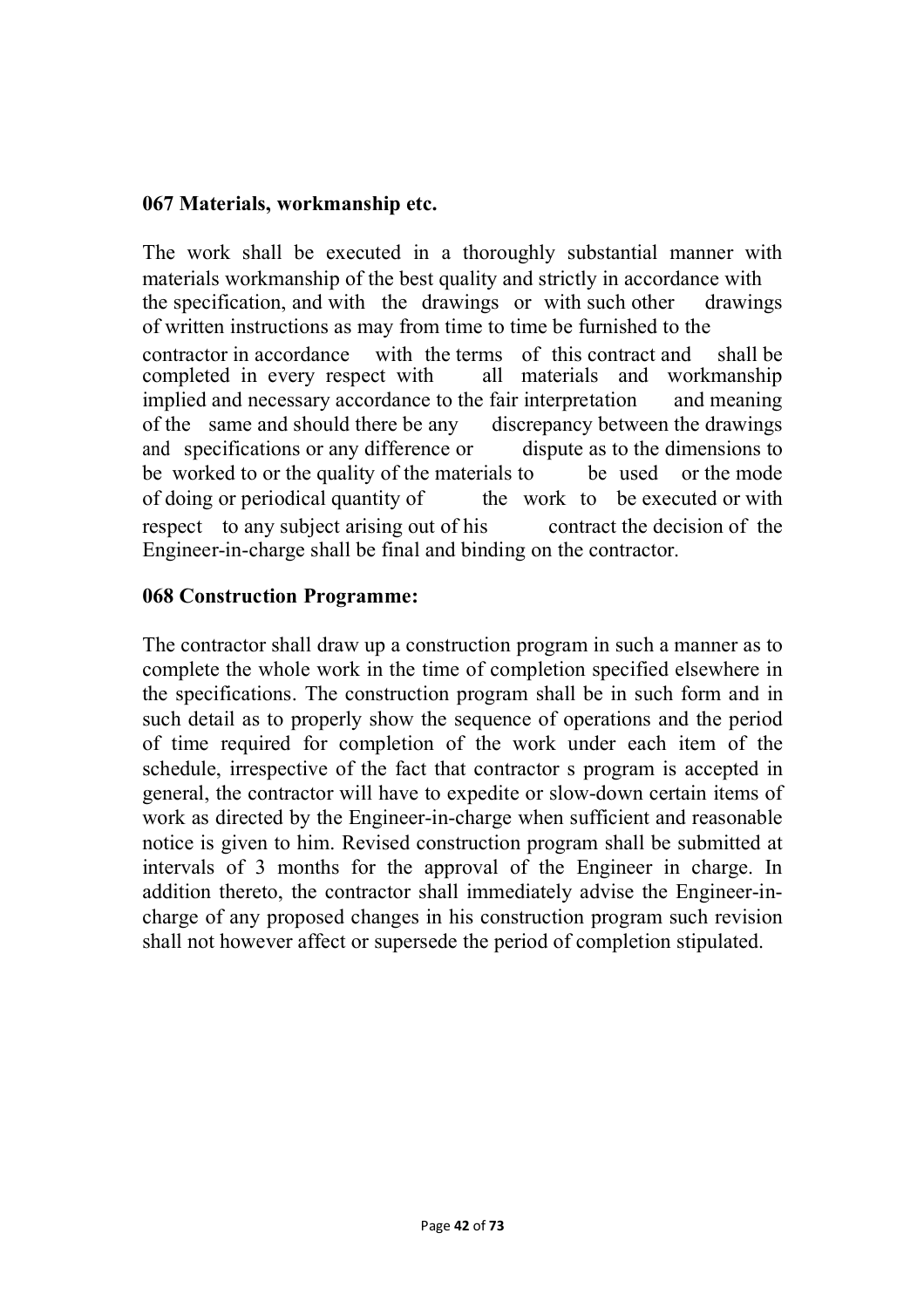#### **067 Materials, workmanship etc.**

The work shall be executed in a thoroughly substantial manner with materials workmanship of the best quality and strictly in accordance with the specification, and with the drawings or with such other drawings of written instructions as may from time to time be furnished to the contractor in accordance with the terms of this contract and shall be completed in every respect with all materials and workmanship implied and necessary accordance to the fair interpretation and meaning of the same and should there be any discrepancy between the drawings and specifications or any difference or dispute as to the dimensions to be worked to or the quality of the materials to be used or the mode of doing or periodical quantity of the work to be executed or with respect to any subject arising out of his contract the decision of the Engineer-in-charge shall be final and binding on the contractor.

#### **068 Construction Programme:**

The contractor shall draw up a construction program in such a manner as to complete the whole work in the time of completion specified elsewhere in the specifications. The construction program shall be in such form and in such detail as to properly show the sequence of operations and the period of time required for completion of the work under each item of the schedule, irrespective of the fact that contractor s program is accepted in general, the contractor will have to expedite or slow-down certain items of work as directed by the Engineer-in-charge when sufficient and reasonable notice is given to him. Revised construction program shall be submitted at intervals of 3 months for the approval of the Engineer in charge. In addition thereto, the contractor shall immediately advise the Engineer-incharge of any proposed changes in his construction program such revision shall not however affect or supersede the period of completion stipulated.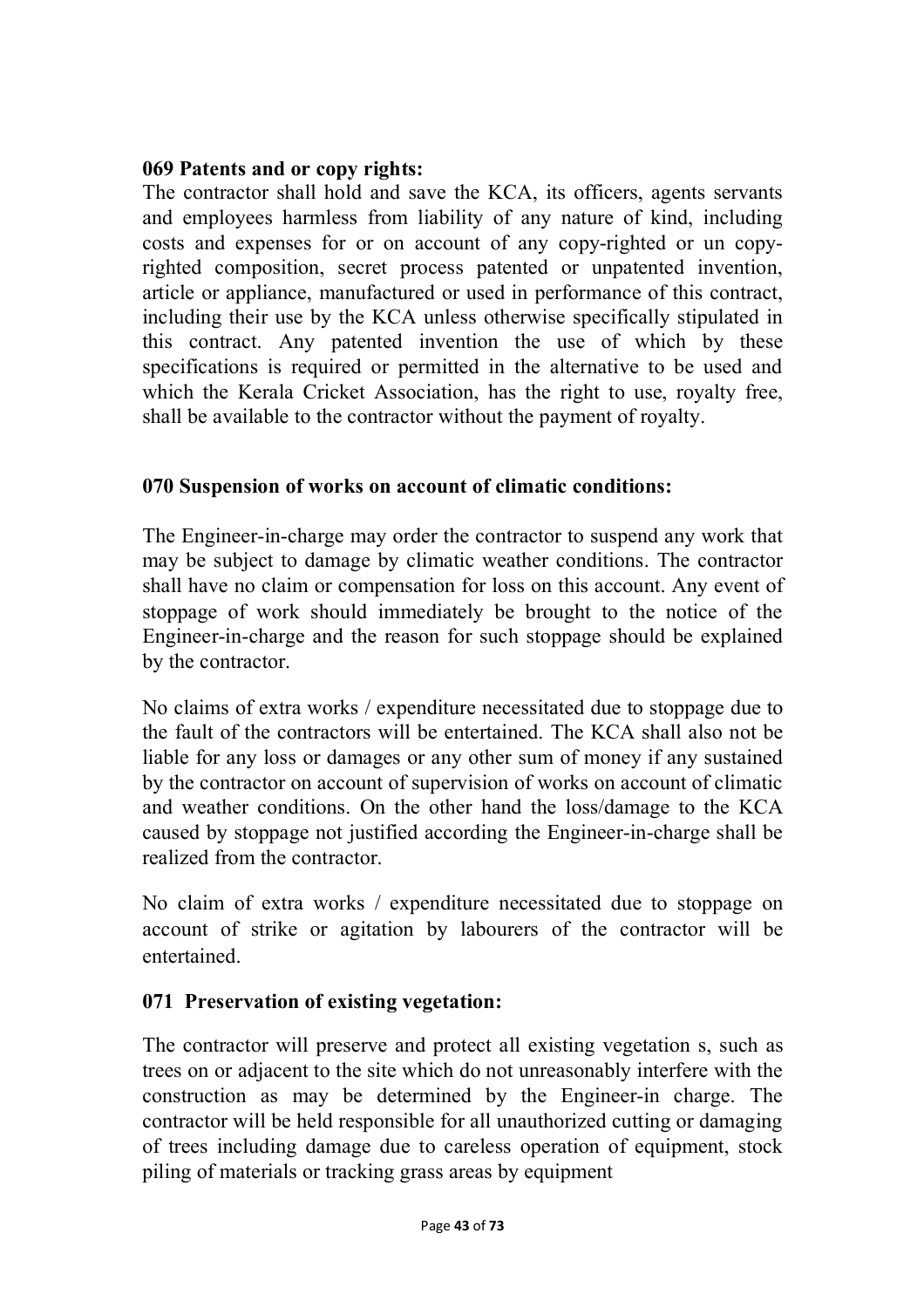### **069 Patents and or copy rights:**

The contractor shall hold and save the KCA, its officers, agents servants and employees harmless from liability of any nature of kind, including costs and expenses for or on account of any copy-righted or un copyrighted composition, secret process patented or unpatented invention, article or appliance, manufactured or used in performance of this contract, including their use by the KCA unless otherwise specifically stipulated in this contract. Any patented invention the use of which by these specifications is required or permitted in the alternative to be used and which the Kerala Cricket Association, has the right to use, royalty free, shall be available to the contractor without the payment of royalty.

### **070 Suspension of works on account of climatic conditions:**

The Engineer-in-charge may order the contractor to suspend any work that may be subject to damage by climatic weather conditions. The contractor shall have no claim or compensation for loss on this account. Any event of stoppage of work should immediately be brought to the notice of the Engineer-in-charge and the reason for such stoppage should be explained by the contractor.

No claims of extra works / expenditure necessitated due to stoppage due to the fault of the contractors will be entertained. The KCA shall also not be liable for any loss or damages or any other sum of money if any sustained by the contractor on account of supervision of works on account of climatic and weather conditions. On the other hand the loss/damage to the KCA caused by stoppage not justified according the Engineer-in-charge shall be realized from the contractor.

No claim of extra works / expenditure necessitated due to stoppage on account of strike or agitation by labourers of the contractor will be entertained.

### **071 Preservation of existing vegetation:**

The contractor will preserve and protect all existing vegetation s, such as trees on or adjacent to the site which do not unreasonably interfere with the construction as may be determined by the Engineer-in charge. The contractor will be held responsible for all unauthorized cutting or damaging of trees including damage due to careless operation of equipment, stock piling of materials or tracking grass areas by equipment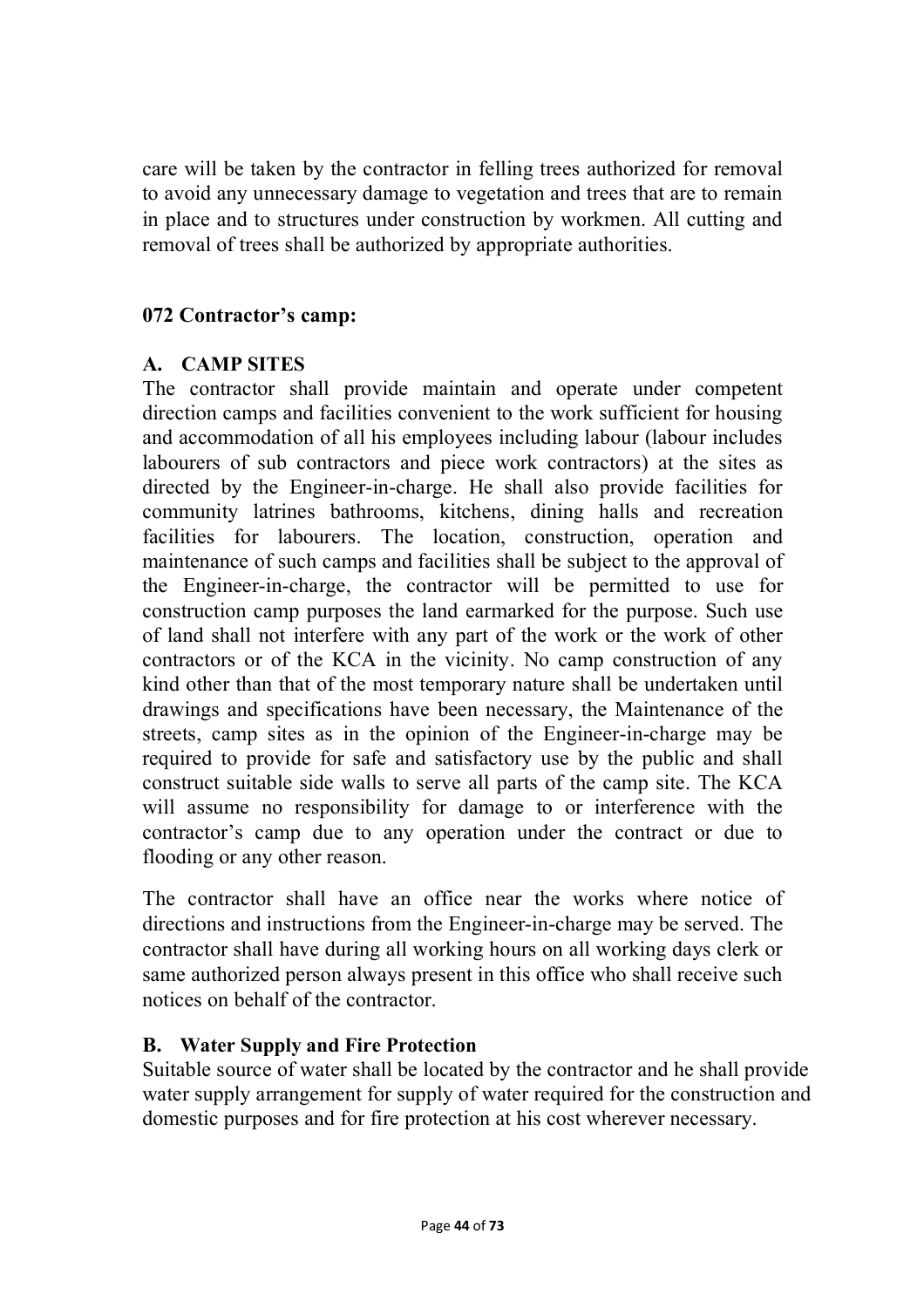care will be taken by the contractor in felling trees authorized for removal to avoid any unnecessary damage to vegetation and trees that are to remain in place and to structures under construction by workmen. All cutting and removal of trees shall be authorized by appropriate authorities.

### **072 Contractor's camp:**

### **A. CAMP SITES**

The contractor shall provide maintain and operate under competent direction camps and facilities convenient to the work sufficient for housing and accommodation of all his employees including labour (labour includes labourers of sub contractors and piece work contractors) at the sites as directed by the Engineer-in-charge. He shall also provide facilities for community latrines bathrooms, kitchens, dining halls and recreation facilities for labourers. The location, construction, operation and maintenance of such camps and facilities shall be subject to the approval of the Engineer-in-charge, the contractor will be permitted to use for construction camp purposes the land earmarked for the purpose. Such use of land shall not interfere with any part of the work or the work of other contractors or of the KCA in the vicinity. No camp construction of any kind other than that of the most temporary nature shall be undertaken until drawings and specifications have been necessary, the Maintenance of the streets, camp sites as in the opinion of the Engineer-in-charge may be required to provide for safe and satisfactory use by the public and shall construct suitable side walls to serve all parts of the camp site. The KCA will assume no responsibility for damage to or interference with the contractor's camp due to any operation under the contract or due to flooding or any other reason.

The contractor shall have an office near the works where notice of directions and instructions from the Engineer-in-charge may be served. The contractor shall have during all working hours on all working days clerk or same authorized person always present in this office who shall receive such notices on behalf of the contractor.

## **B. Water Supply and Fire Protection**

Suitable source of water shall be located by the contractor and he shall provide water supply arrangement for supply of water required for the construction and domestic purposes and for fire protection at his cost wherever necessary.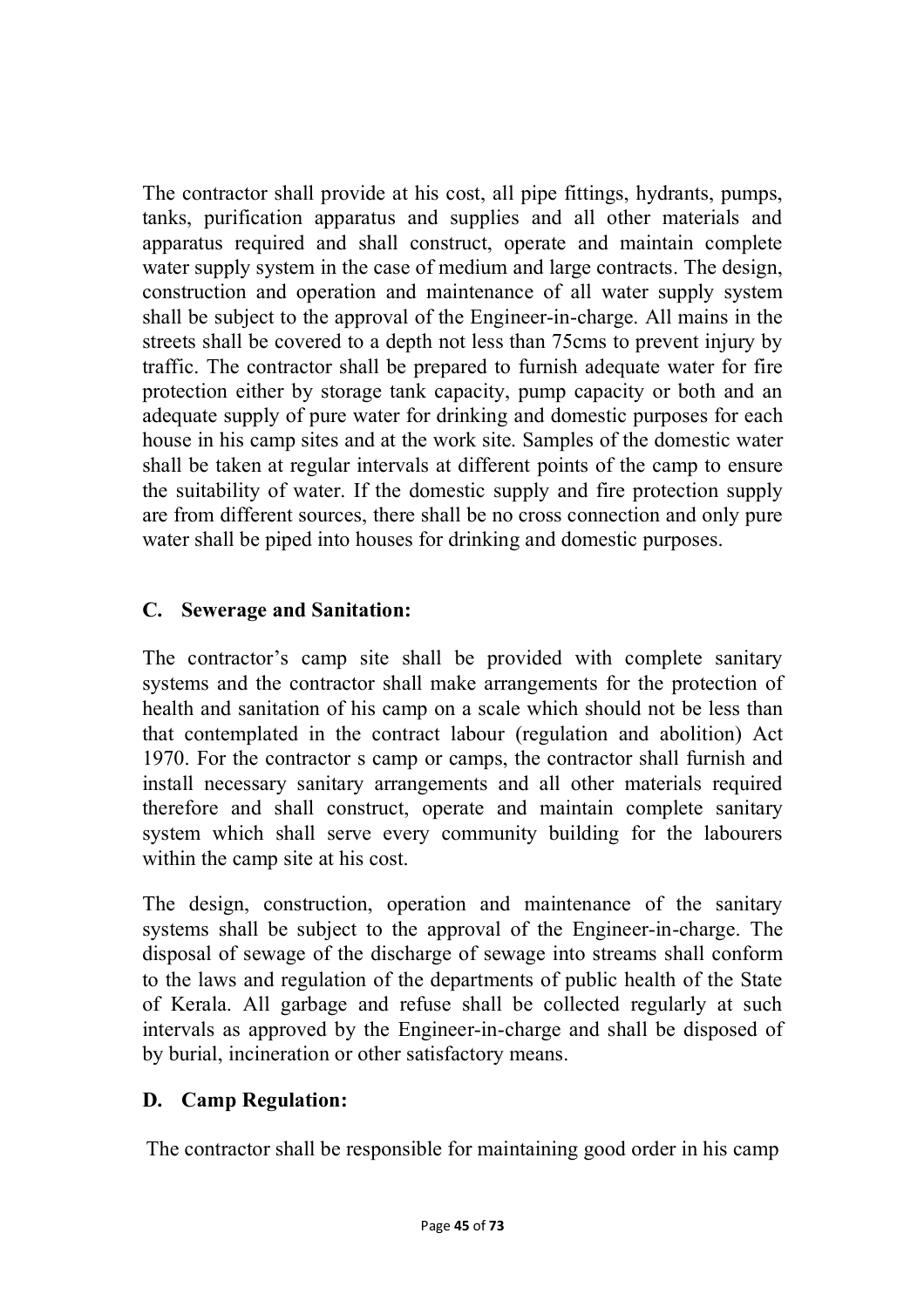The contractor shall provide at his cost, all pipe fittings, hydrants, pumps, tanks, purification apparatus and supplies and all other materials and apparatus required and shall construct, operate and maintain complete water supply system in the case of medium and large contracts. The design, construction and operation and maintenance of all water supply system shall be subject to the approval of the Engineer-in-charge. All mains in the streets shall be covered to a depth not less than 75cms to prevent injury by traffic. The contractor shall be prepared to furnish adequate water for fire protection either by storage tank capacity, pump capacity or both and an adequate supply of pure water for drinking and domestic purposes for each house in his camp sites and at the work site. Samples of the domestic water shall be taken at regular intervals at different points of the camp to ensure the suitability of water. If the domestic supply and fire protection supply are from different sources, there shall be no cross connection and only pure water shall be piped into houses for drinking and domestic purposes.

# **C. Sewerage and Sanitation:**

The contractor's camp site shall be provided with complete sanitary systems and the contractor shall make arrangements for the protection of health and sanitation of his camp on a scale which should not be less than that contemplated in the contract labour (regulation and abolition) Act 1970. For the contractor s camp or camps, the contractor shall furnish and install necessary sanitary arrangements and all other materials required therefore and shall construct, operate and maintain complete sanitary system which shall serve every community building for the labourers within the camp site at his cost.

The design, construction, operation and maintenance of the sanitary systems shall be subject to the approval of the Engineer-in-charge. The disposal of sewage of the discharge of sewage into streams shall conform to the laws and regulation of the departments of public health of the State of Kerala. All garbage and refuse shall be collected regularly at such intervals as approved by the Engineer-in-charge and shall be disposed of by burial, incineration or other satisfactory means.

## **D. Camp Regulation:**

The contractor shall be responsible for maintaining good order in his camp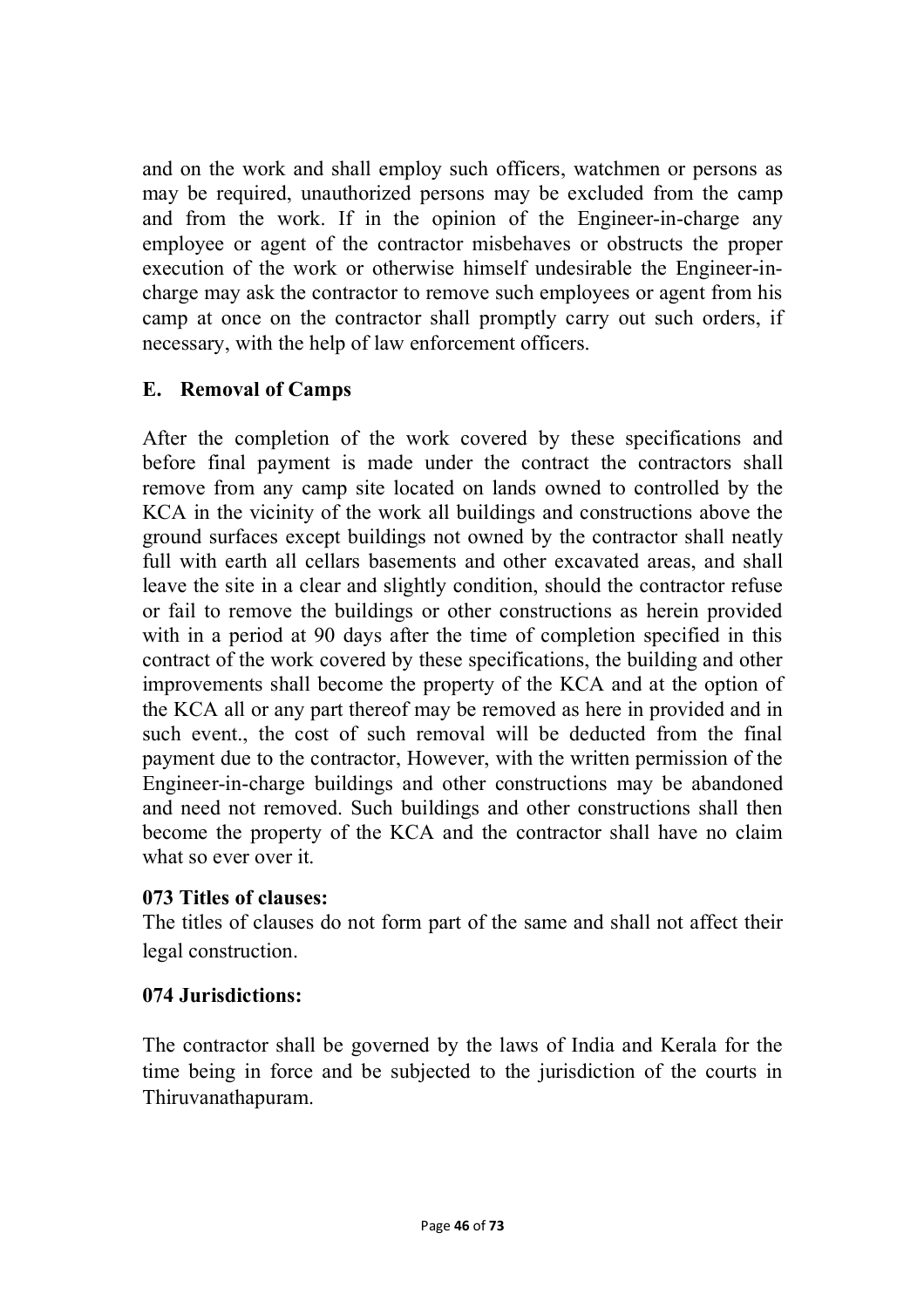and on the work and shall employ such officers, watchmen or persons as may be required, unauthorized persons may be excluded from the camp and from the work. If in the opinion of the Engineer-in-charge any employee or agent of the contractor misbehaves or obstructs the proper execution of the work or otherwise himself undesirable the Engineer-incharge may ask the contractor to remove such employees or agent from his camp at once on the contractor shall promptly carry out such orders, if necessary, with the help of law enforcement officers.

### **E. Removal of Camps**

After the completion of the work covered by these specifications and before final payment is made under the contract the contractors shall remove from any camp site located on lands owned to controlled by the KCA in the vicinity of the work all buildings and constructions above the ground surfaces except buildings not owned by the contractor shall neatly full with earth all cellars basements and other excavated areas, and shall leave the site in a clear and slightly condition, should the contractor refuse or fail to remove the buildings or other constructions as herein provided with in a period at 90 days after the time of completion specified in this contract of the work covered by these specifications, the building and other improvements shall become the property of the KCA and at the option of the KCA all or any part thereof may be removed as here in provided and in such event., the cost of such removal will be deducted from the final payment due to the contractor, However, with the written permission of the Engineer-in-charge buildings and other constructions may be abandoned and need not removed. Such buildings and other constructions shall then become the property of the KCA and the contractor shall have no claim what so ever over it.

### **073 Titles of clauses:**

The titles of clauses do not form part of the same and shall not affect their legal construction.

## **074 Jurisdictions:**

The contractor shall be governed by the laws of India and Kerala for the time being in force and be subjected to the jurisdiction of the courts in Thiruvanathapuram.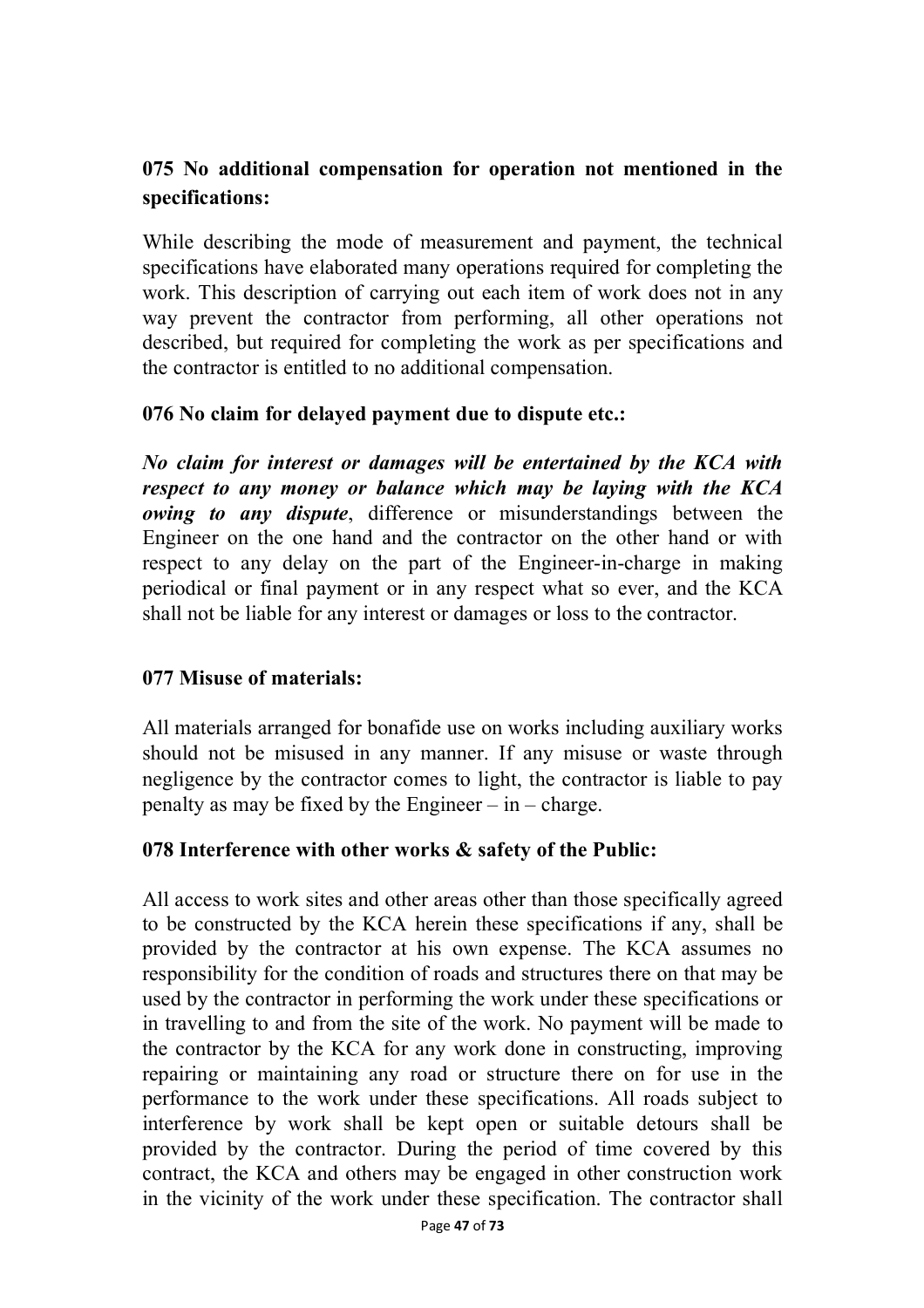## **075 No additional compensation for operation not mentioned in the specifications:**

While describing the mode of measurement and payment, the technical specifications have elaborated many operations required for completing the work. This description of carrying out each item of work does not in any way prevent the contractor from performing, all other operations not described, but required for completing the work as per specifications and the contractor is entitled to no additional compensation.

### **076 No claim for delayed payment due to dispute etc.:**

*No claim for interest or damages will be entertained by the KCA with respect to any money or balance which may be laying with the KCA owing to any dispute*, difference or misunderstandings between the Engineer on the one hand and the contractor on the other hand or with respect to any delay on the part of the Engineer-in-charge in making periodical or final payment or in any respect what so ever, and the KCA shall not be liable for any interest or damages or loss to the contractor.

### **077 Misuse of materials:**

All materials arranged for bonafide use on works including auxiliary works should not be misused in any manner. If any misuse or waste through negligence by the contractor comes to light, the contractor is liable to pay penalty as may be fixed by the Engineer – in – charge.

### **078 Interference with other works & safety of the Public:**

All access to work sites and other areas other than those specifically agreed to be constructed by the KCA herein these specifications if any, shall be provided by the contractor at his own expense. The KCA assumes no responsibility for the condition of roads and structures there on that may be used by the contractor in performing the work under these specifications or in travelling to and from the site of the work. No payment will be made to the contractor by the KCA for any work done in constructing, improving repairing or maintaining any road or structure there on for use in the performance to the work under these specifications. All roads subject to interference by work shall be kept open or suitable detours shall be provided by the contractor. During the period of time covered by this contract, the KCA and others may be engaged in other construction work in the vicinity of the work under these specification. The contractor shall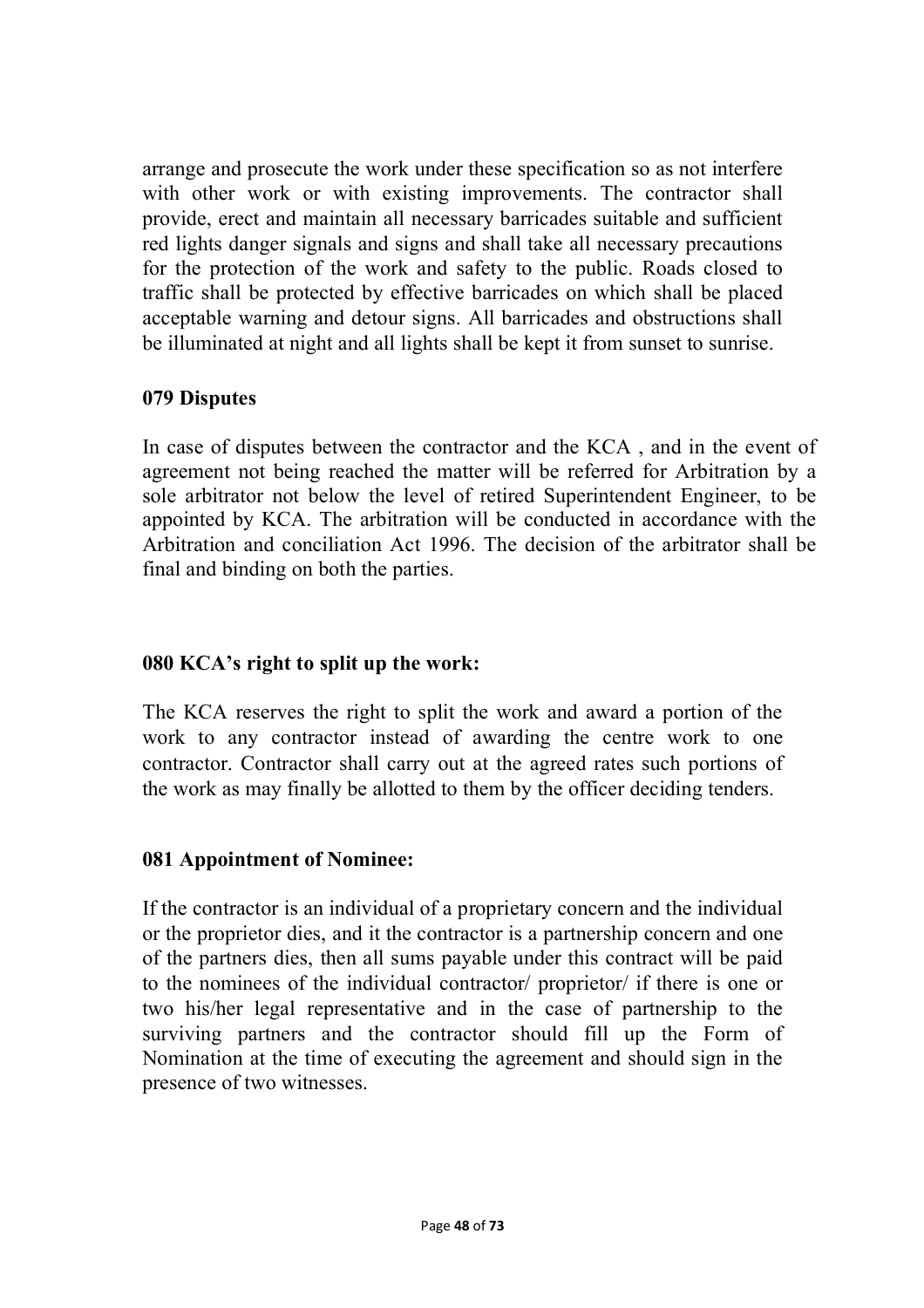arrange and prosecute the work under these specification so as not interfere with other work or with existing improvements. The contractor shall provide, erect and maintain all necessary barricades suitable and sufficient red lights danger signals and signs and shall take all necessary precautions for the protection of the work and safety to the public. Roads closed to traffic shall be protected by effective barricades on which shall be placed acceptable warning and detour signs. All barricades and obstructions shall be illuminated at night and all lights shall be kept it from sunset to sunrise.

### **079 Disputes**

In case of disputes between the contractor and the KCA , and in the event of agreement not being reached the matter will be referred for Arbitration by a sole arbitrator not below the level of retired Superintendent Engineer, to be appointed by KCA. The arbitration will be conducted in accordance with the Arbitration and conciliation Act 1996. The decision of the arbitrator shall be final and binding on both the parties.

### **080 KCA's right to split up the work:**

The KCA reserves the right to split the work and award a portion of the work to any contractor instead of awarding the centre work to one contractor. Contractor shall carry out at the agreed rates such portions of the work as may finally be allotted to them by the officer deciding tenders.

### **081 Appointment of Nominee:**

If the contractor is an individual of a proprietary concern and the individual or the proprietor dies, and it the contractor is a partnership concern and one of the partners dies, then all sums payable under this contract will be paid to the nominees of the individual contractor/ proprietor/ if there is one or two his/her legal representative and in the case of partnership to the surviving partners and the contractor should fill up the Form of Nomination at the time of executing the agreement and should sign in the presence of two witnesses.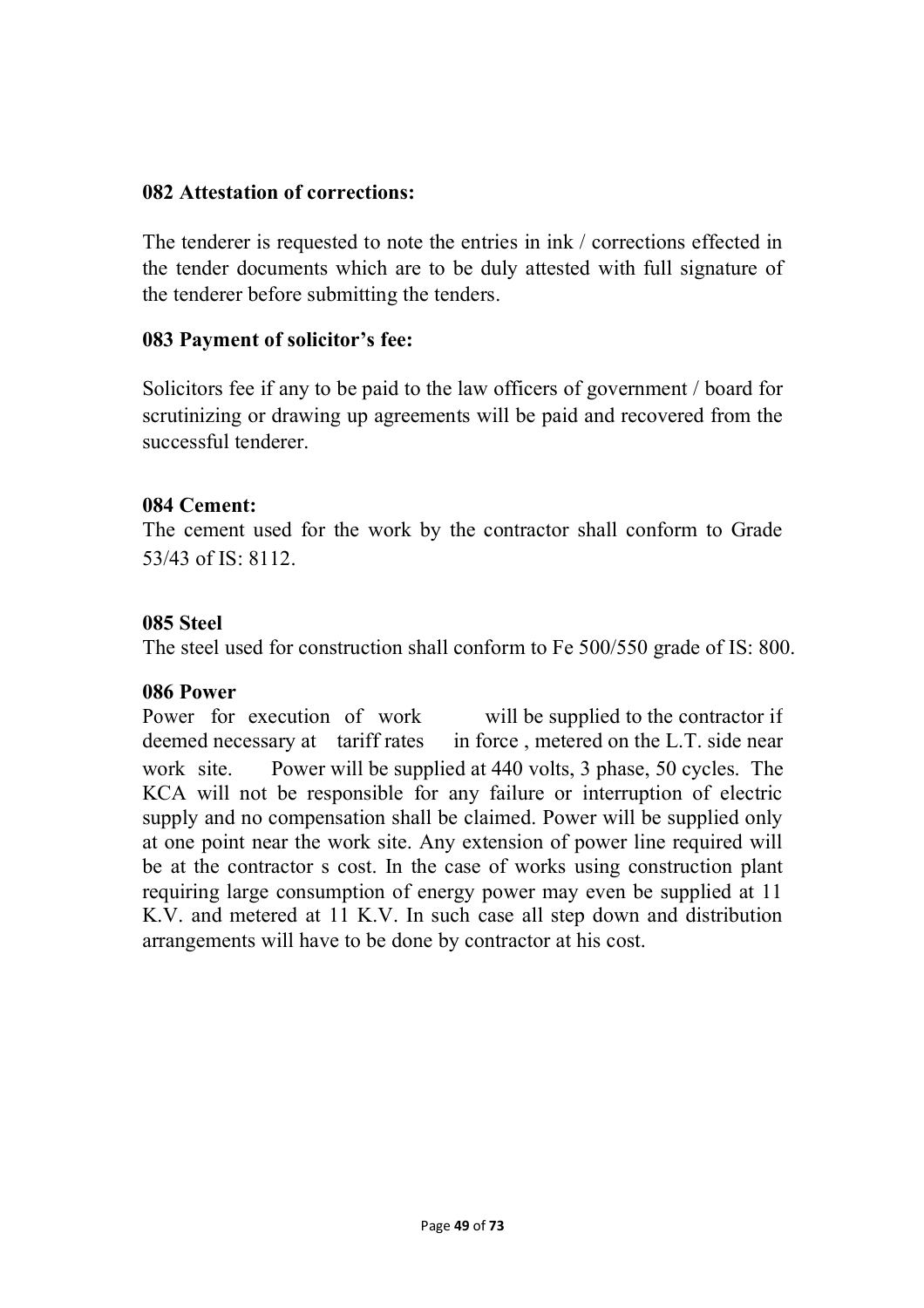#### **082 Attestation of corrections:**

The tenderer is requested to note the entries in ink / corrections effected in the tender documents which are to be duly attested with full signature of the tenderer before submitting the tenders.

#### **083 Payment of solicitor's fee:**

Solicitors fee if any to be paid to the law officers of government / board for scrutinizing or drawing up agreements will be paid and recovered from the successful tenderer.

#### **084 Cement:**

The cement used for the work by the contractor shall conform to Grade 53/43 of  $IS: 8112$ .

#### **085 Steel**

The steel used for construction shall conform to Fe 500/550 grade of IS: 800.

### **086 Power**

Power for execution of work will be supplied to the contractor if deemed necessary at tariff rates in force, metered on the L.T. side near work site. Power will be supplied at 440 volts, 3 phase, 50 cycles. The KCA will not be responsible for any failure or interruption of electric supply and no compensation shall be claimed. Power will be supplied only at one point near the work site. Any extension of power line required will be at the contractor s cost. In the case of works using construction plant requiring large consumption of energy power may even be supplied at 11 K.V. and metered at 11 K.V. In such case all step down and distribution arrangements will have to be done by contractor at his cost.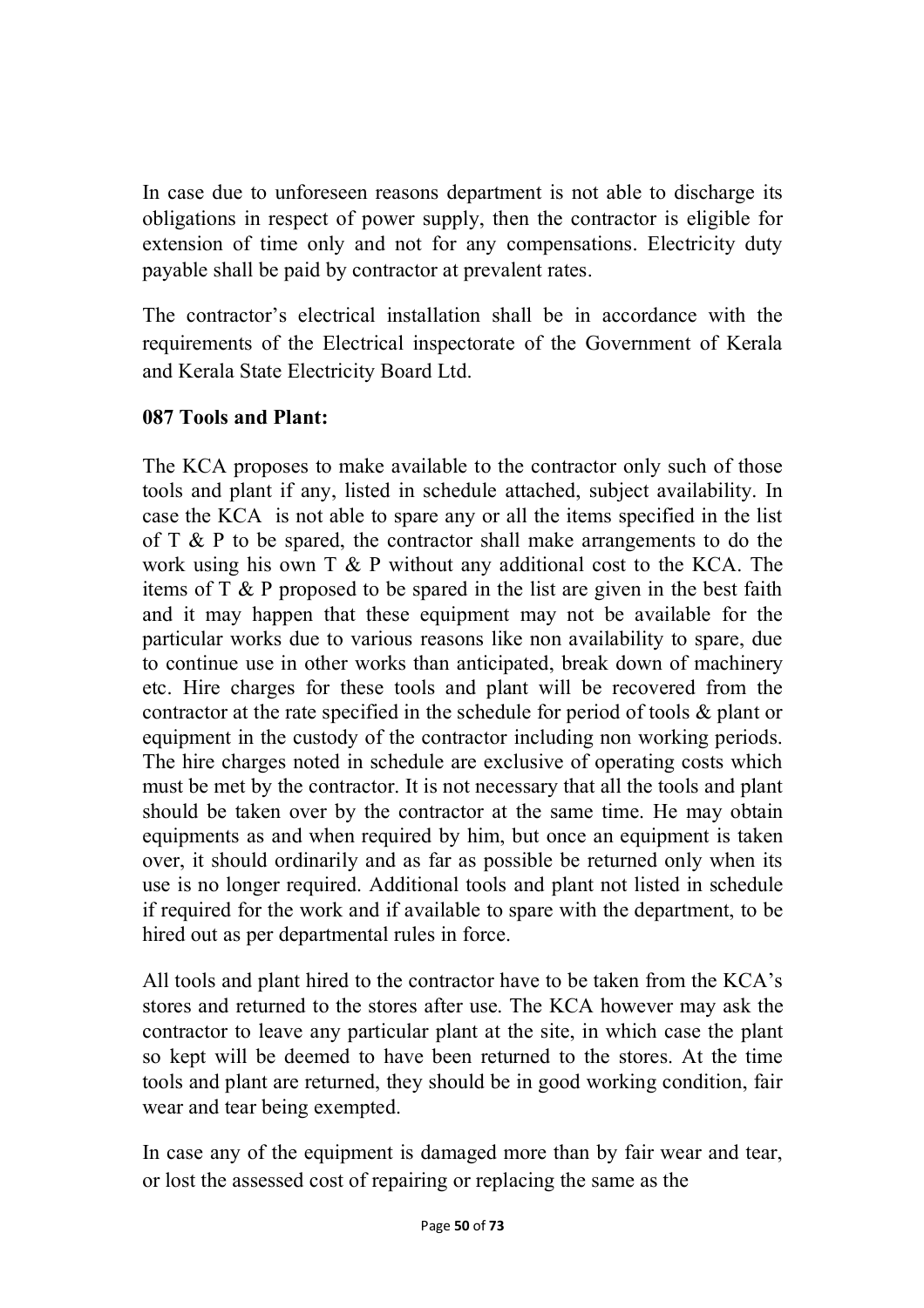In case due to unforeseen reasons department is not able to discharge its obligations in respect of power supply, then the contractor is eligible for extension of time only and not for any compensations. Electricity duty payable shall be paid by contractor at prevalent rates.

The contractor's electrical installation shall be in accordance with the requirements of the Electrical inspectorate of the Government of Kerala and Kerala State Electricity Board Ltd.

### **087 Tools and Plant:**

The KCA proposes to make available to the contractor only such of those tools and plant if any, listed in schedule attached, subject availability. In case the KCA is not able to spare any or all the items specified in the list of  $T \& P$  to be spared, the contractor shall make arrangements to do the work using his own T & P without any additional cost to the KCA. The items of T & P proposed to be spared in the list are given in the best faith and it may happen that these equipment may not be available for the particular works due to various reasons like non availability to spare, due to continue use in other works than anticipated, break down of machinery etc. Hire charges for these tools and plant will be recovered from the contractor at the rate specified in the schedule for period of tools & plant or equipment in the custody of the contractor including non working periods. The hire charges noted in schedule are exclusive of operating costs which must be met by the contractor. It is not necessary that all the tools and plant should be taken over by the contractor at the same time. He may obtain equipments as and when required by him, but once an equipment is taken over, it should ordinarily and as far as possible be returned only when its use is no longer required. Additional tools and plant not listed in schedule if required for the work and if available to spare with the department, to be hired out as per departmental rules in force.

All tools and plant hired to the contractor have to be taken from the KCA's stores and returned to the stores after use. The KCA however may ask the contractor to leave any particular plant at the site, in which case the plant so kept will be deemed to have been returned to the stores. At the time tools and plant are returned, they should be in good working condition, fair wear and tear being exempted.

In case any of the equipment is damaged more than by fair wear and tear, or lost the assessed cost of repairing or replacing the same as the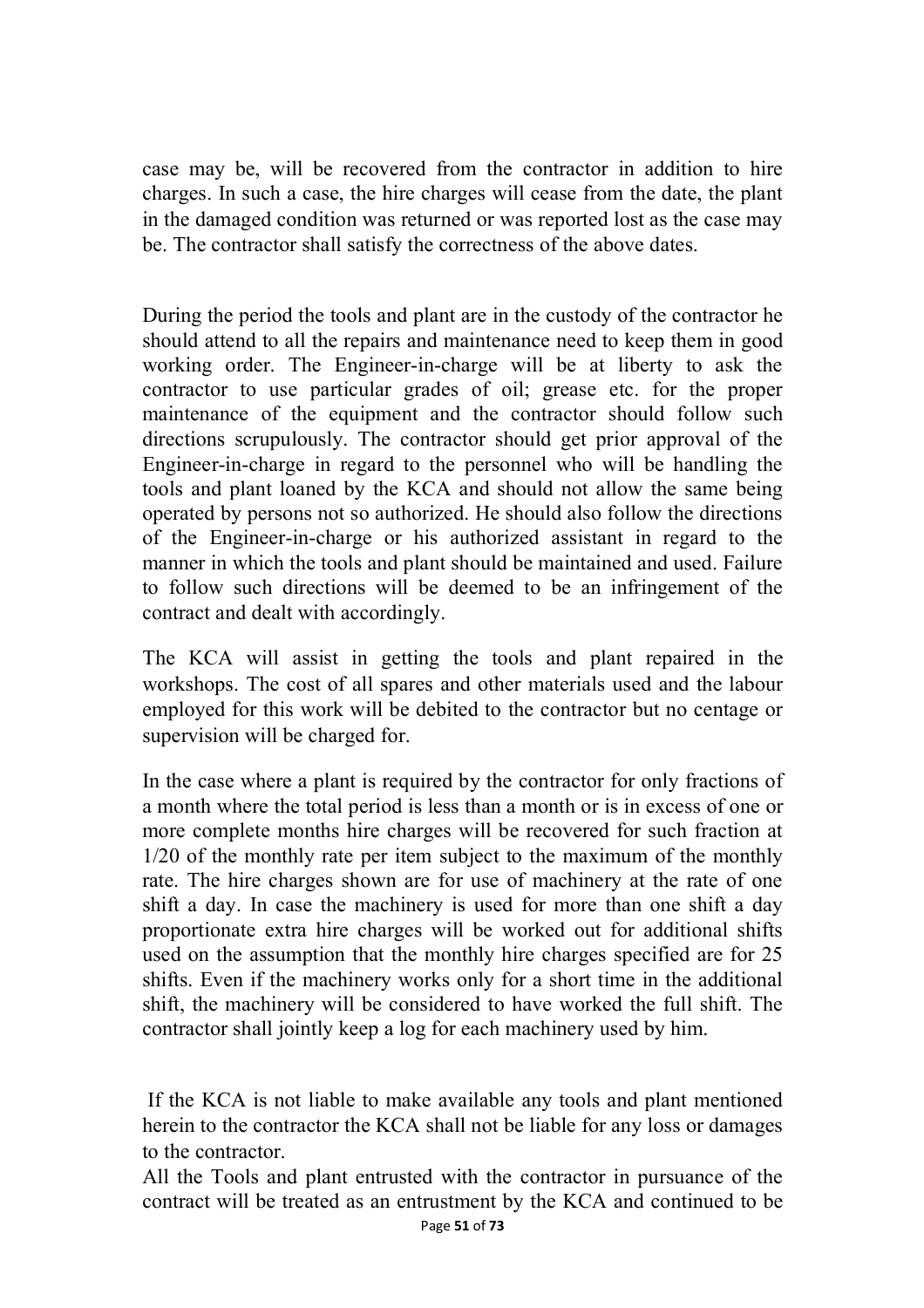case may be, will be recovered from the contractor in addition to hire charges. In such a case, the hire charges will cease from the date, the plant in the damaged condition was returned or was reported lost as the case may be. The contractor shall satisfy the correctness of the above dates.

During the period the tools and plant are in the custody of the contractor he should attend to all the repairs and maintenance need to keep them in good working order. The Engineer-in-charge will be at liberty to ask the contractor to use particular grades of oil; grease etc. for the proper maintenance of the equipment and the contractor should follow such directions scrupulously. The contractor should get prior approval of the Engineer-in-charge in regard to the personnel who will be handling the tools and plant loaned by the KCA and should not allow the same being operated by persons not so authorized. He should also follow the directions of the Engineer-in-charge or his authorized assistant in regard to the manner in which the tools and plant should be maintained and used. Failure to follow such directions will be deemed to be an infringement of the contract and dealt with accordingly.

The KCA will assist in getting the tools and plant repaired in the workshops. The cost of all spares and other materials used and the labour employed for this work will be debited to the contractor but no centage or supervision will be charged for.

In the case where a plant is required by the contractor for only fractions of a month where the total period is less than a month or is in excess of one or more complete months hire charges will be recovered for such fraction at 1/20 of the monthly rate per item subject to the maximum of the monthly rate. The hire charges shown are for use of machinery at the rate of one shift a day. In case the machinery is used for more than one shift a day proportionate extra hire charges will be worked out for additional shifts used on the assumption that the monthly hire charges specified are for 25 shifts. Even if the machinery works only for a short time in the additional shift, the machinery will be considered to have worked the full shift. The contractor shall jointly keep a log for each machinery used by him.

If the KCA is not liable to make available any tools and plant mentioned herein to the contractor the KCA shall not be liable for any loss or damages to the contractor.

All the Tools and plant entrusted with the contractor in pursuance of the contract will be treated as an entrustment by the KCA and continued to be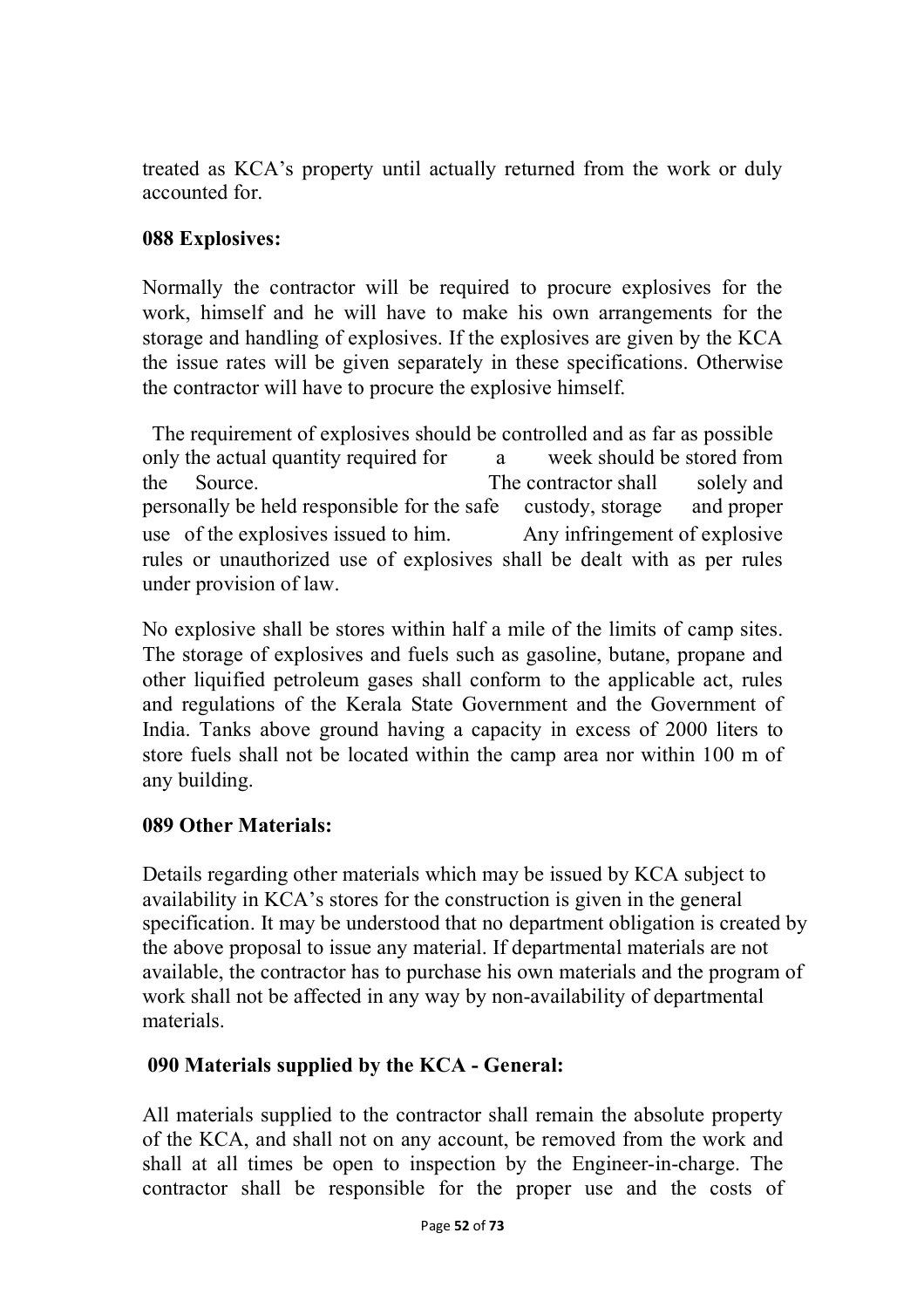treated as KCA's property until actually returned from the work or duly accounted for.

## **088 Explosives:**

Normally the contractor will be required to procure explosives for the work, himself and he will have to make his own arrangements for the storage and handling of explosives. If the explosives are given by the KCA the issue rates will be given separately in these specifications. Otherwise the contractor will have to procure the explosive himself.

The requirement of explosives should be controlled and as far as possible only the actual quantity required for a week should be stored from the Source. The contractor shall solely and personally be held responsible for the safe custody, storage and proper use of the explosives issued to him. Any infringement of explosive rules or unauthorized use of explosives shall be dealt with as per rules under provision of law.

No explosive shall be stores within half a mile of the limits of camp sites. The storage of explosives and fuels such as gasoline, butane, propane and other liquified petroleum gases shall conform to the applicable act, rules and regulations of the Kerala State Government and the Government of India. Tanks above ground having a capacity in excess of 2000 liters to store fuels shall not be located within the camp area nor within 100 m of any building.

## **089 Other Materials:**

Details regarding other materials which may be issued by KCA subject to availability in KCA's stores for the construction is given in the general specification. It may be understood that no department obligation is created by the above proposal to issue any material. If departmental materials are not available, the contractor has to purchase his own materials and the program of work shall not be affected in any way by non-availability of departmental materials.

## **090 Materials supplied by the KCA - General:**

All materials supplied to the contractor shall remain the absolute property of the KCA, and shall not on any account, be removed from the work and shall at all times be open to inspection by the Engineer-in-charge. The contractor shall be responsible for the proper use and the costs of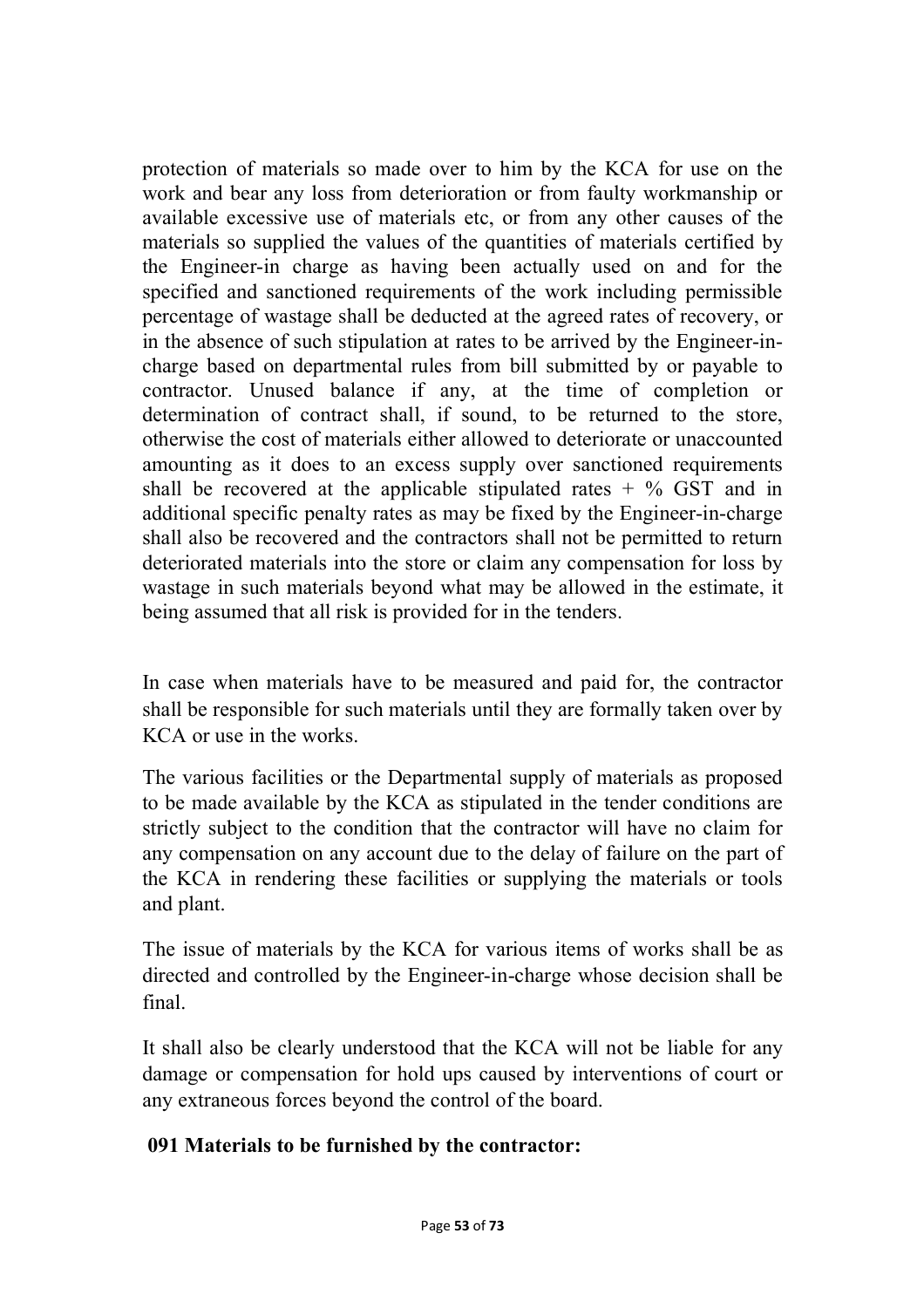protection of materials so made over to him by the KCA for use on the work and bear any loss from deterioration or from faulty workmanship or available excessive use of materials etc, or from any other causes of the materials so supplied the values of the quantities of materials certified by the Engineer-in charge as having been actually used on and for the specified and sanctioned requirements of the work including permissible percentage of wastage shall be deducted at the agreed rates of recovery, or in the absence of such stipulation at rates to be arrived by the Engineer-incharge based on departmental rules from bill submitted by or payable to contractor. Unused balance if any, at the time of completion or determination of contract shall, if sound, to be returned to the store, otherwise the cost of materials either allowed to deteriorate or unaccounted amounting as it does to an excess supply over sanctioned requirements shall be recovered at the applicable stipulated rates  $+$  % GST and in additional specific penalty rates as may be fixed by the Engineer-in-charge shall also be recovered and the contractors shall not be permitted to return deteriorated materials into the store or claim any compensation for loss by wastage in such materials beyond what may be allowed in the estimate, it being assumed that all risk is provided for in the tenders.

In case when materials have to be measured and paid for, the contractor shall be responsible for such materials until they are formally taken over by KCA or use in the works.

The various facilities or the Departmental supply of materials as proposed to be made available by the KCA as stipulated in the tender conditions are strictly subject to the condition that the contractor will have no claim for any compensation on any account due to the delay of failure on the part of the KCA in rendering these facilities or supplying the materials or tools and plant.

The issue of materials by the KCA for various items of works shall be as directed and controlled by the Engineer-in-charge whose decision shall be final.

It shall also be clearly understood that the KCA will not be liable for any damage or compensation for hold ups caused by interventions of court or any extraneous forces beyond the control of the board.

## **091 Materials to be furnished by the contractor:**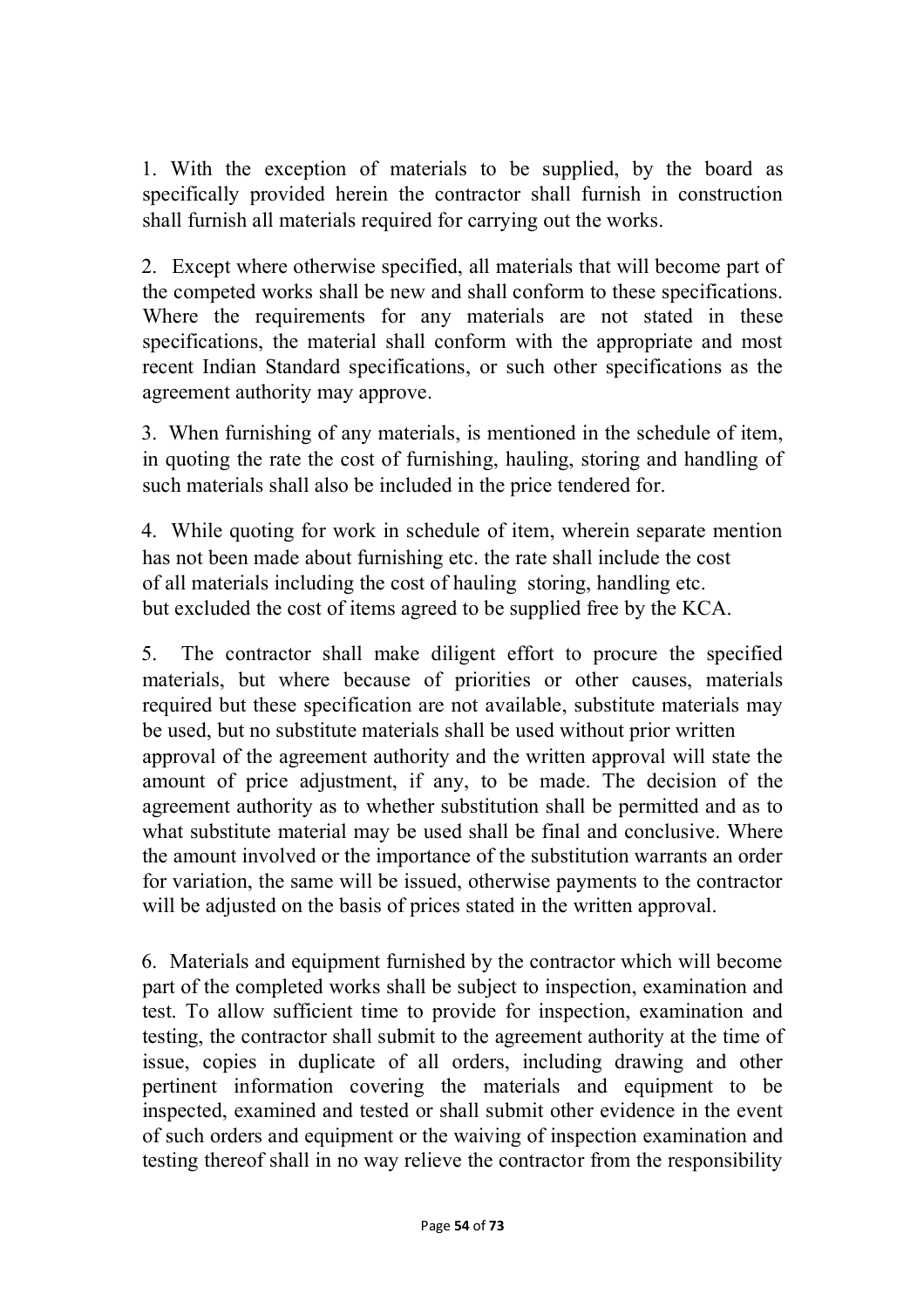1. With the exception of materials to be supplied, by the board as specifically provided herein the contractor shall furnish in construction shall furnish all materials required for carrying out the works.

2. Except where otherwise specified, all materials that will become part of the competed works shall be new and shall conform to these specifications. Where the requirements for any materials are not stated in these specifications, the material shall conform with the appropriate and most recent Indian Standard specifications, or such other specifications as the agreement authority may approve.

3. When furnishing of any materials, is mentioned in the schedule of item, in quoting the rate the cost of furnishing, hauling, storing and handling of such materials shall also be included in the price tendered for.

4. While quoting for work in schedule of item, wherein separate mention has not been made about furnishing etc. the rate shall include the cost of all materials including the cost of hauling storing, handling etc. but excluded the cost of items agreed to be supplied free by the KCA.

5. The contractor shall make diligent effort to procure the specified materials, but where because of priorities or other causes, materials required but these specification are not available, substitute materials may be used, but no substitute materials shall be used without prior written approval of the agreement authority and the written approval will state the amount of price adjustment, if any, to be made. The decision of the agreement authority as to whether substitution shall be permitted and as to what substitute material may be used shall be final and conclusive. Where the amount involved or the importance of the substitution warrants an order for variation, the same will be issued, otherwise payments to the contractor will be adjusted on the basis of prices stated in the written approval.

6. Materials and equipment furnished by the contractor which will become part of the completed works shall be subject to inspection, examination and test. To allow sufficient time to provide for inspection, examination and testing, the contractor shall submit to the agreement authority at the time of issue, copies in duplicate of all orders, including drawing and other pertinent information covering the materials and equipment to be inspected, examined and tested or shall submit other evidence in the event of such orders and equipment or the waiving of inspection examination and testing thereof shall in no way relieve the contractor from the responsibility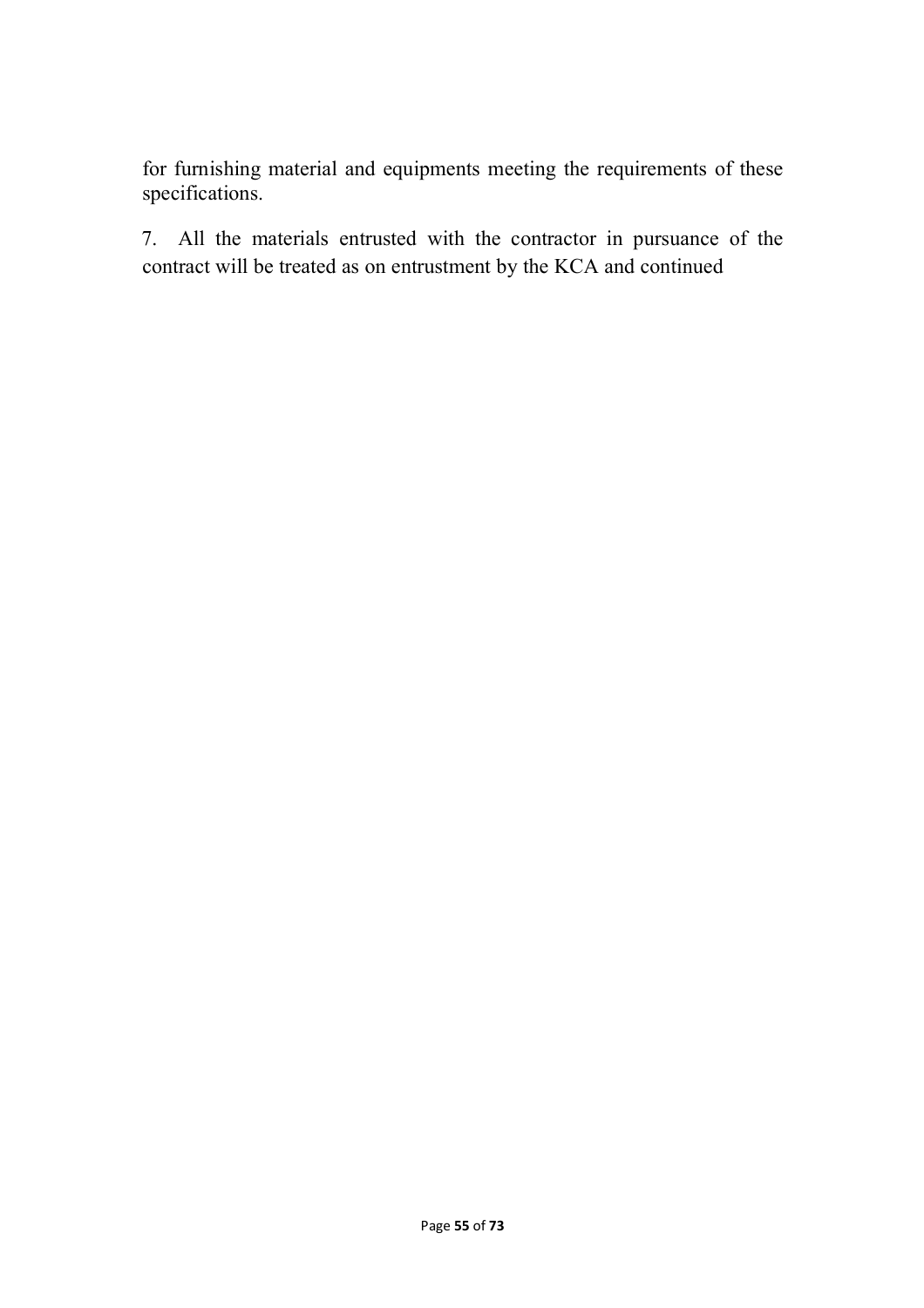for furnishing material and equipments meeting the requirements of these specifications.

7. All the materials entrusted with the contractor in pursuance of the contract will be treated as on entrustment by the KCA and continued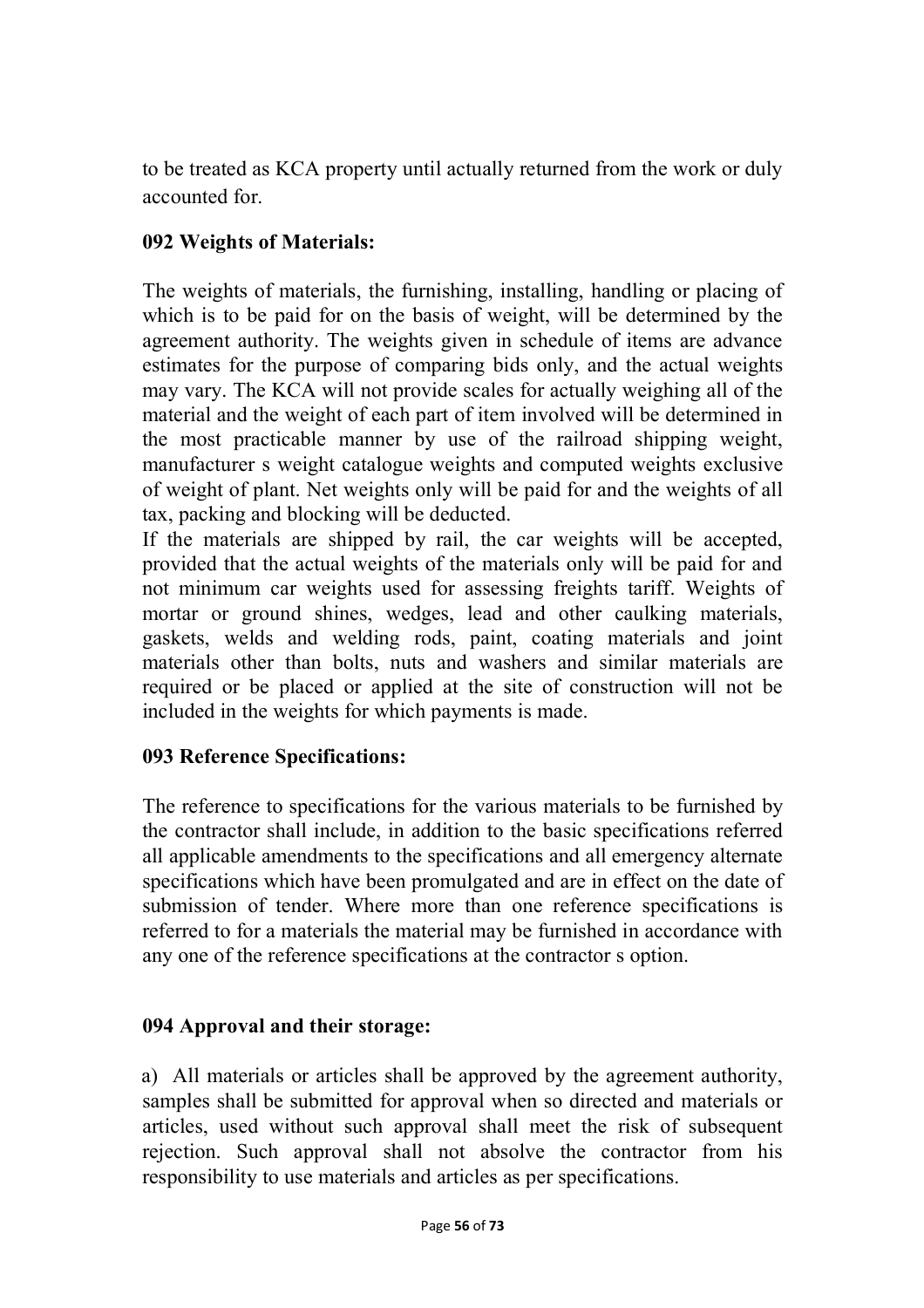to be treated as KCA property until actually returned from the work or duly accounted for.

## **092 Weights of Materials:**

The weights of materials, the furnishing, installing, handling or placing of which is to be paid for on the basis of weight, will be determined by the agreement authority. The weights given in schedule of items are advance estimates for the purpose of comparing bids only, and the actual weights may vary. The KCA will not provide scales for actually weighing all of the material and the weight of each part of item involved will be determined in the most practicable manner by use of the railroad shipping weight, manufacturer s weight catalogue weights and computed weights exclusive of weight of plant. Net weights only will be paid for and the weights of all tax, packing and blocking will be deducted.

If the materials are shipped by rail, the car weights will be accepted, provided that the actual weights of the materials only will be paid for and not minimum car weights used for assessing freights tariff. Weights of mortar or ground shines, wedges, lead and other caulking materials, gaskets, welds and welding rods, paint, coating materials and joint materials other than bolts, nuts and washers and similar materials are required or be placed or applied at the site of construction will not be included in the weights for which payments is made.

### **093 Reference Specifications:**

The reference to specifications for the various materials to be furnished by the contractor shall include, in addition to the basic specifications referred all applicable amendments to the specifications and all emergency alternate specifications which have been promulgated and are in effect on the date of submission of tender. Where more than one reference specifications is referred to for a materials the material may be furnished in accordance with any one of the reference specifications at the contractor s option.

### **094 Approval and their storage:**

a) All materials or articles shall be approved by the agreement authority, samples shall be submitted for approval when so directed and materials or articles, used without such approval shall meet the risk of subsequent rejection. Such approval shall not absolve the contractor from his responsibility to use materials and articles as per specifications.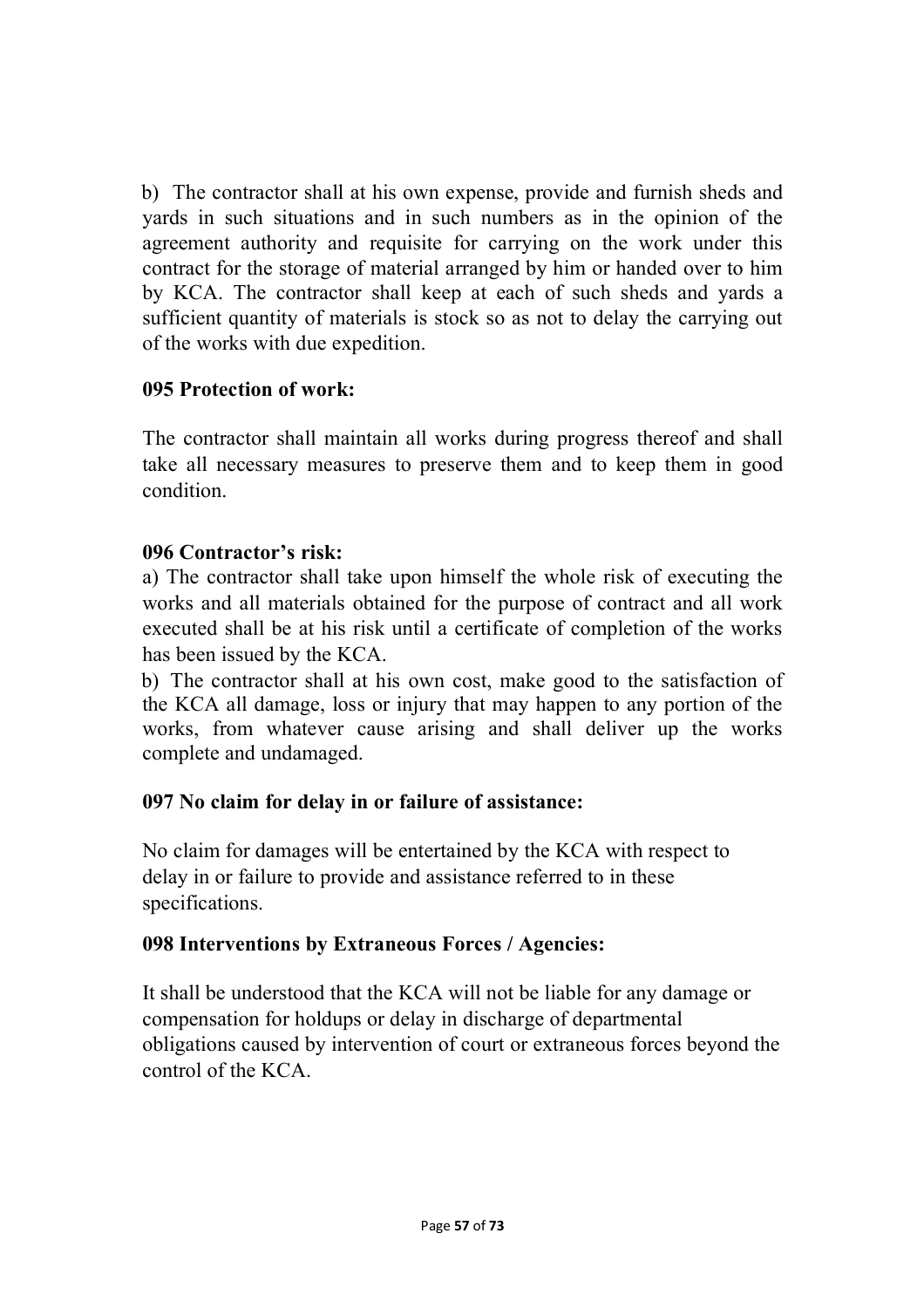b) The contractor shall at his own expense, provide and furnish sheds and yards in such situations and in such numbers as in the opinion of the agreement authority and requisite for carrying on the work under this contract for the storage of material arranged by him or handed over to him by KCA. The contractor shall keep at each of such sheds and yards a sufficient quantity of materials is stock so as not to delay the carrying out of the works with due expedition.

### **095 Protection of work:**

The contractor shall maintain all works during progress thereof and shall take all necessary measures to preserve them and to keep them in good condition.

### **096 Contractor's risk:**

a) The contractor shall take upon himself the whole risk of executing the works and all materials obtained for the purpose of contract and all work executed shall be at his risk until a certificate of completion of the works has been issued by the KCA.

b) The contractor shall at his own cost, make good to the satisfaction of the KCA all damage, loss or injury that may happen to any portion of the works, from whatever cause arising and shall deliver up the works complete and undamaged.

## **097 No claim for delay in or failure of assistance:**

No claim for damages will be entertained by the KCA with respect to delay in or failure to provide and assistance referred to in these specifications.

## **098 Interventions by Extraneous Forces / Agencies:**

It shall be understood that the KCA will not be liable for any damage or compensation for holdups or delay in discharge of departmental obligations caused by intervention of court or extraneous forces beyond the control of the KCA.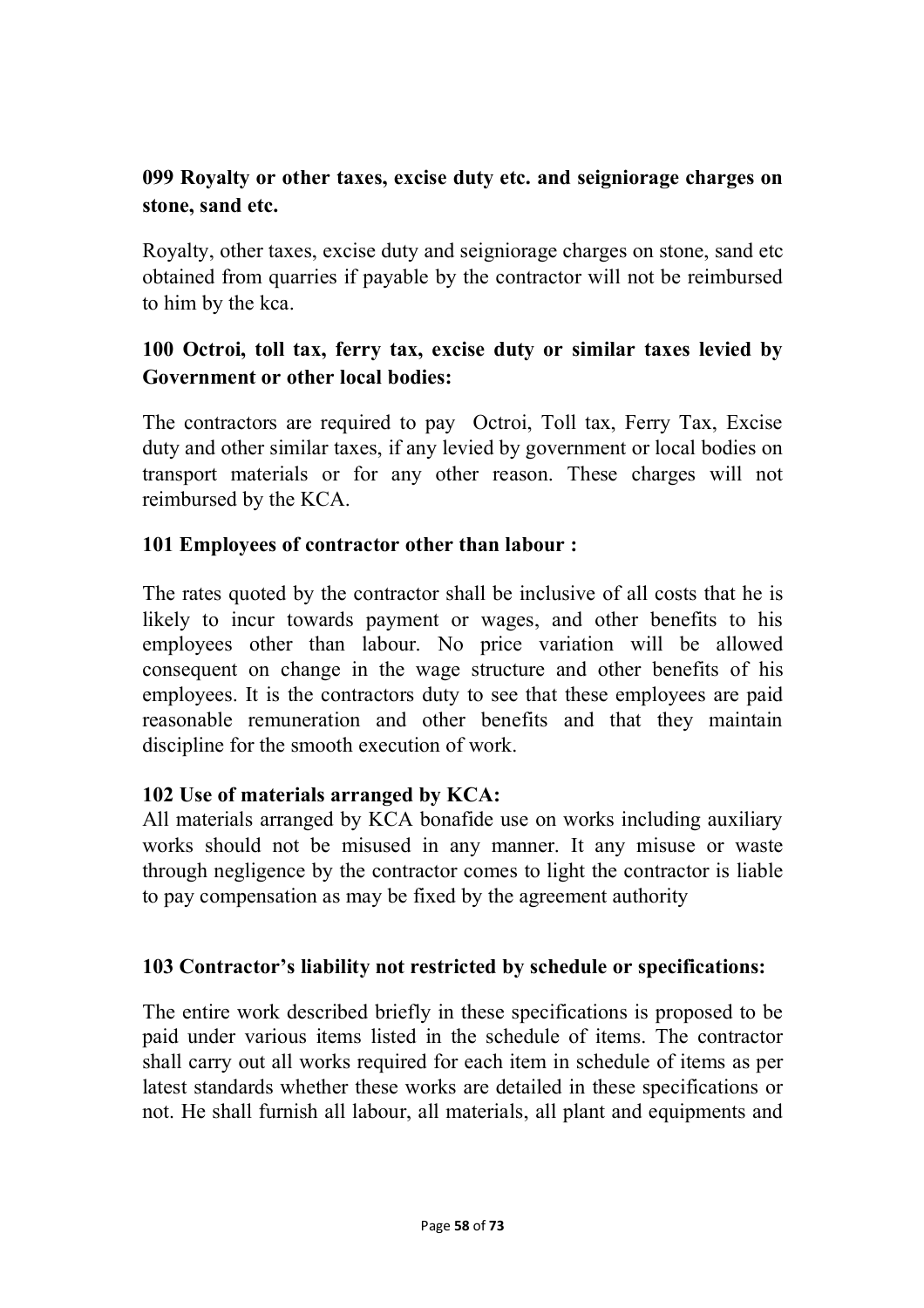# **099 Royalty or other taxes, excise duty etc. and seigniorage charges on stone, sand etc.**

Royalty, other taxes, excise duty and seigniorage charges on stone, sand etc obtained from quarries if payable by the contractor will not be reimbursed to him by the kca.

# **100 Octroi, toll tax, ferry tax, excise duty or similar taxes levied by Government or other local bodies:**

The contractors are required to pay Octroi, Toll tax, Ferry Tax, Excise duty and other similar taxes, if any levied by government or local bodies on transport materials or for any other reason. These charges will not reimbursed by the KCA.

### **101 Employees of contractor other than labour :**

The rates quoted by the contractor shall be inclusive of all costs that he is likely to incur towards payment or wages, and other benefits to his employees other than labour. No price variation will be allowed consequent on change in the wage structure and other benefits of his employees. It is the contractors duty to see that these employees are paid reasonable remuneration and other benefits and that they maintain discipline for the smooth execution of work.

### **102 Use of materials arranged by KCA:**

All materials arranged by KCA bonafide use on works including auxiliary works should not be misused in any manner. It any misuse or waste through negligence by the contractor comes to light the contractor is liable to pay compensation as may be fixed by the agreement authority

## **103 Contractor's liability not restricted by schedule or specifications:**

The entire work described briefly in these specifications is proposed to be paid under various items listed in the schedule of items. The contractor shall carry out all works required for each item in schedule of items as per latest standards whether these works are detailed in these specifications or not. He shall furnish all labour, all materials, all plant and equipments and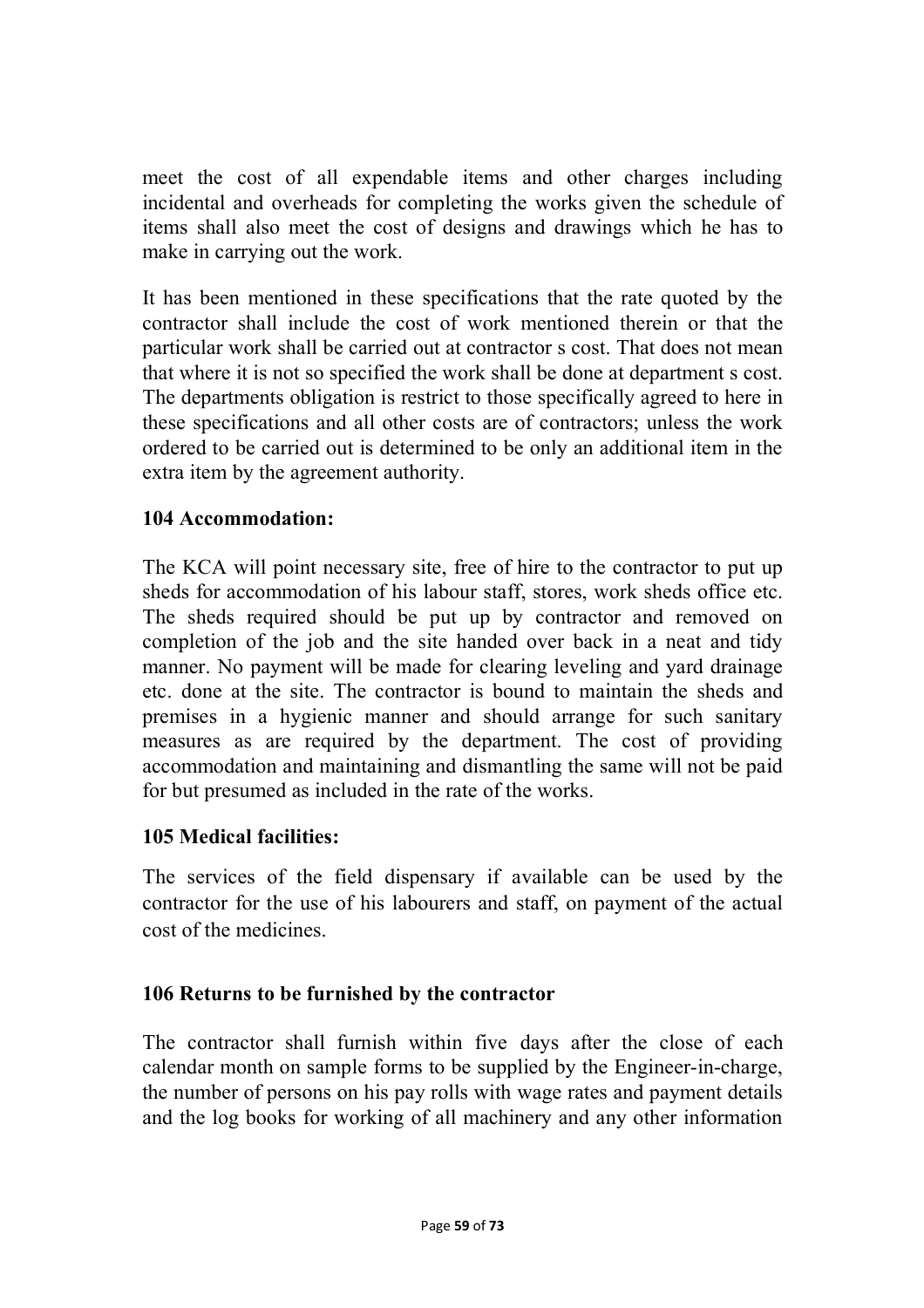meet the cost of all expendable items and other charges including incidental and overheads for completing the works given the schedule of items shall also meet the cost of designs and drawings which he has to make in carrying out the work.

It has been mentioned in these specifications that the rate quoted by the contractor shall include the cost of work mentioned therein or that the particular work shall be carried out at contractor s cost. That does not mean that where it is not so specified the work shall be done at department s cost. The departments obligation is restrict to those specifically agreed to here in these specifications and all other costs are of contractors; unless the work ordered to be carried out is determined to be only an additional item in the extra item by the agreement authority.

### **104 Accommodation:**

The KCA will point necessary site, free of hire to the contractor to put up sheds for accommodation of his labour staff, stores, work sheds office etc. The sheds required should be put up by contractor and removed on completion of the job and the site handed over back in a neat and tidy manner. No payment will be made for clearing leveling and yard drainage etc. done at the site. The contractor is bound to maintain the sheds and premises in a hygienic manner and should arrange for such sanitary measures as are required by the department. The cost of providing accommodation and maintaining and dismantling the same will not be paid for but presumed as included in the rate of the works.

### **105 Medical facilities:**

The services of the field dispensary if available can be used by the contractor for the use of his labourers and staff, on payment of the actual cost of the medicines.

## **106 Returns to be furnished by the contractor**

The contractor shall furnish within five days after the close of each calendar month on sample forms to be supplied by the Engineer-in-charge, the number of persons on his pay rolls with wage rates and payment details and the log books for working of all machinery and any other information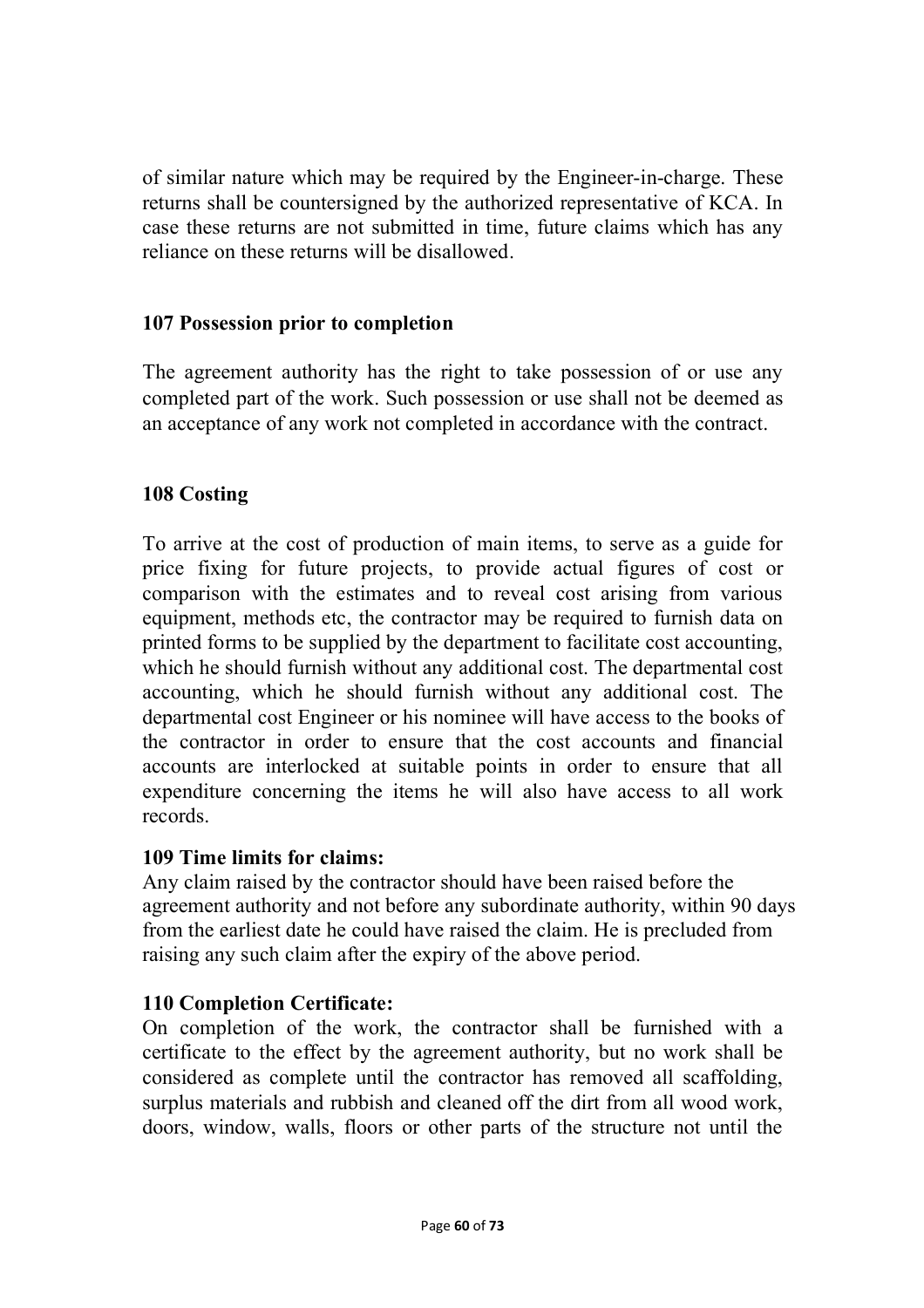of similar nature which may be required by the Engineer-in-charge. These returns shall be countersigned by the authorized representative of KCA. In case these returns are not submitted in time, future claims which has any reliance on these returns will be disallowed.

### **107 Possession prior to completion**

The agreement authority has the right to take possession of or use any completed part of the work. Such possession or use shall not be deemed as an acceptance of any work not completed in accordance with the contract.

### **108 Costing**

To arrive at the cost of production of main items, to serve as a guide for price fixing for future projects, to provide actual figures of cost or comparison with the estimates and to reveal cost arising from various equipment, methods etc, the contractor may be required to furnish data on printed forms to be supplied by the department to facilitate cost accounting, which he should furnish without any additional cost. The departmental cost accounting, which he should furnish without any additional cost. The departmental cost Engineer or his nominee will have access to the books of the contractor in order to ensure that the cost accounts and financial accounts are interlocked at suitable points in order to ensure that all expenditure concerning the items he will also have access to all work records.

### **109 Time limits for claims:**

Any claim raised by the contractor should have been raised before the agreement authority and not before any subordinate authority, within 90 days from the earliest date he could have raised the claim. He is precluded from raising any such claim after the expiry of the above period.

### **110 Completion Certificate:**

On completion of the work, the contractor shall be furnished with a certificate to the effect by the agreement authority, but no work shall be considered as complete until the contractor has removed all scaffolding, surplus materials and rubbish and cleaned off the dirt from all wood work, doors, window, walls, floors or other parts of the structure not until the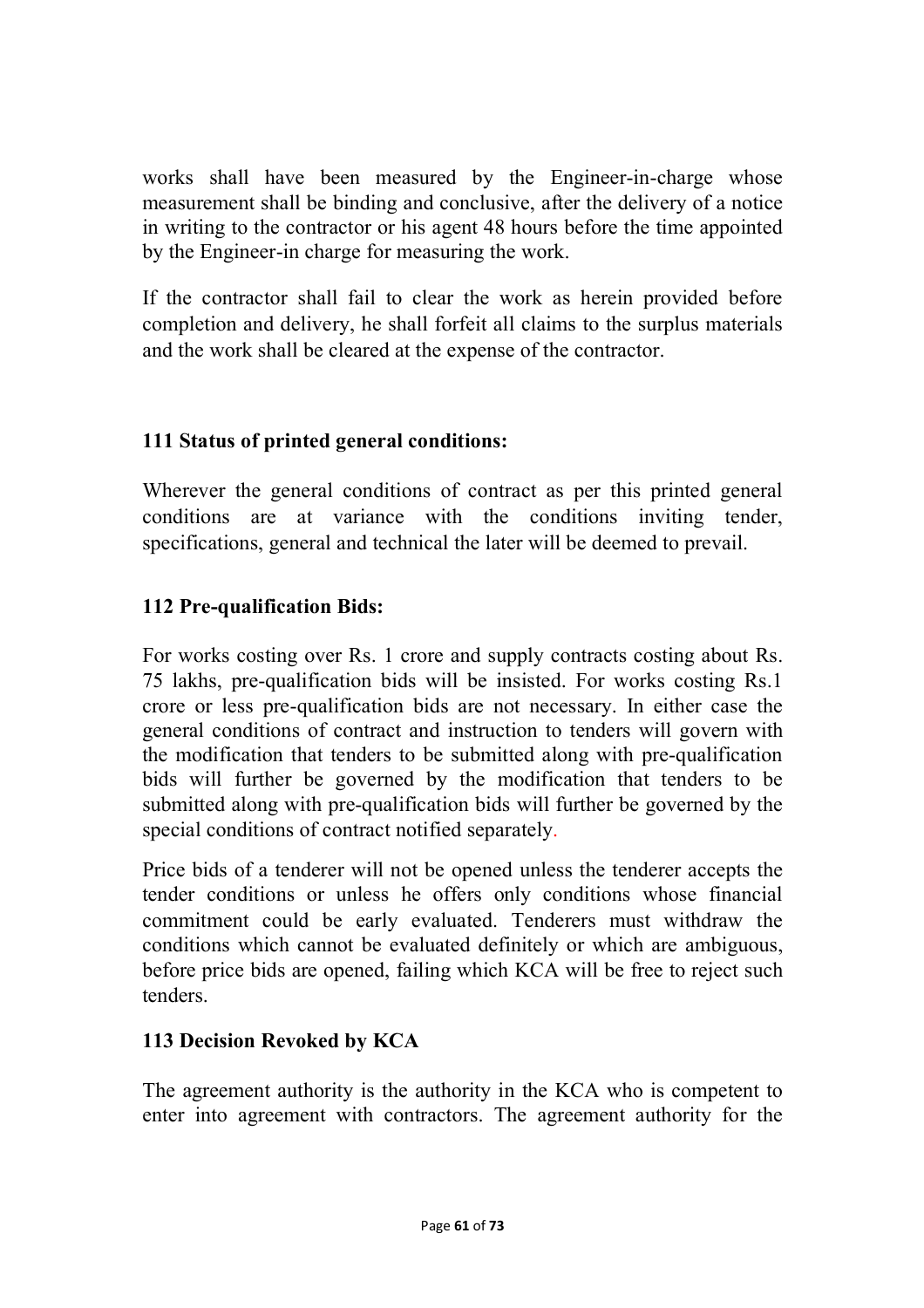works shall have been measured by the Engineer-in-charge whose measurement shall be binding and conclusive, after the delivery of a notice in writing to the contractor or his agent 48 hours before the time appointed by the Engineer-in charge for measuring the work.

If the contractor shall fail to clear the work as herein provided before completion and delivery, he shall forfeit all claims to the surplus materials and the work shall be cleared at the expense of the contractor.

# **111 Status of printed general conditions:**

Wherever the general conditions of contract as per this printed general conditions are at variance with the conditions inviting tender, specifications, general and technical the later will be deemed to prevail.

# **112 Pre-qualification Bids:**

For works costing over Rs. 1 crore and supply contracts costing about Rs. 75 lakhs, pre-qualification bids will be insisted. For works costing Rs.1 crore or less pre-qualification bids are not necessary. In either case the general conditions of contract and instruction to tenders will govern with the modification that tenders to be submitted along with pre-qualification bids will further be governed by the modification that tenders to be submitted along with pre-qualification bids will further be governed by the special conditions of contract notified separately.

Price bids of a tenderer will not be opened unless the tenderer accepts the tender conditions or unless he offers only conditions whose financial commitment could be early evaluated. Tenderers must withdraw the conditions which cannot be evaluated definitely or which are ambiguous, before price bids are opened, failing which KCA will be free to reject such tenders.

## **113 Decision Revoked by KCA**

The agreement authority is the authority in the KCA who is competent to enter into agreement with contractors. The agreement authority for the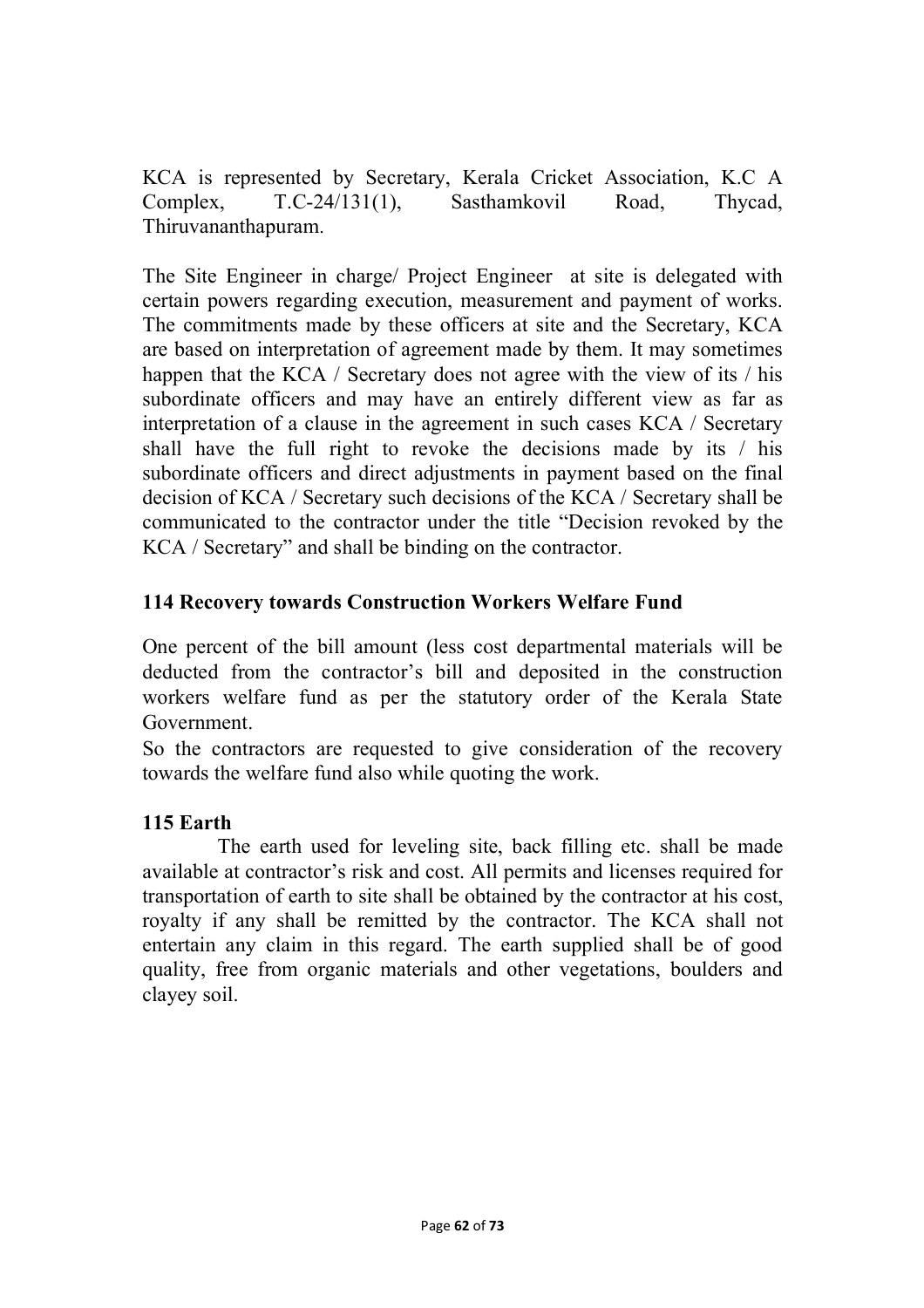KCA is represented by Secretary, Kerala Cricket Association, K.C A Complex, T.C-24/131(1), Sasthamkovil Road, Thycad, Thiruvananthapuram.

The Site Engineer in charge/ Project Engineer at site is delegated with certain powers regarding execution, measurement and payment of works. The commitments made by these officers at site and the Secretary, KCA are based on interpretation of agreement made by them. It may sometimes happen that the KCA / Secretary does not agree with the view of its / his subordinate officers and may have an entirely different view as far as interpretation of a clause in the agreement in such cases KCA / Secretary shall have the full right to revoke the decisions made by its / his subordinate officers and direct adjustments in payment based on the final decision of KCA / Secretary such decisions of the KCA / Secretary shall be communicated to the contractor under the title "Decision revoked by the KCA / Secretary" and shall be binding on the contractor.

## **114 Recovery towards Construction Workers Welfare Fund**

One percent of the bill amount (less cost departmental materials will be deducted from the contractor's bill and deposited in the construction workers welfare fund as per the statutory order of the Kerala State Government.

So the contractors are requested to give consideration of the recovery towards the welfare fund also while quoting the work.

## **115 Earth**

The earth used for leveling site, back filling etc. shall be made available at contractor's risk and cost. All permits and licenses required for transportation of earth to site shall be obtained by the contractor at his cost, royalty if any shall be remitted by the contractor. The KCA shall not entertain any claim in this regard. The earth supplied shall be of good quality, free from organic materials and other vegetations, boulders and clayey soil.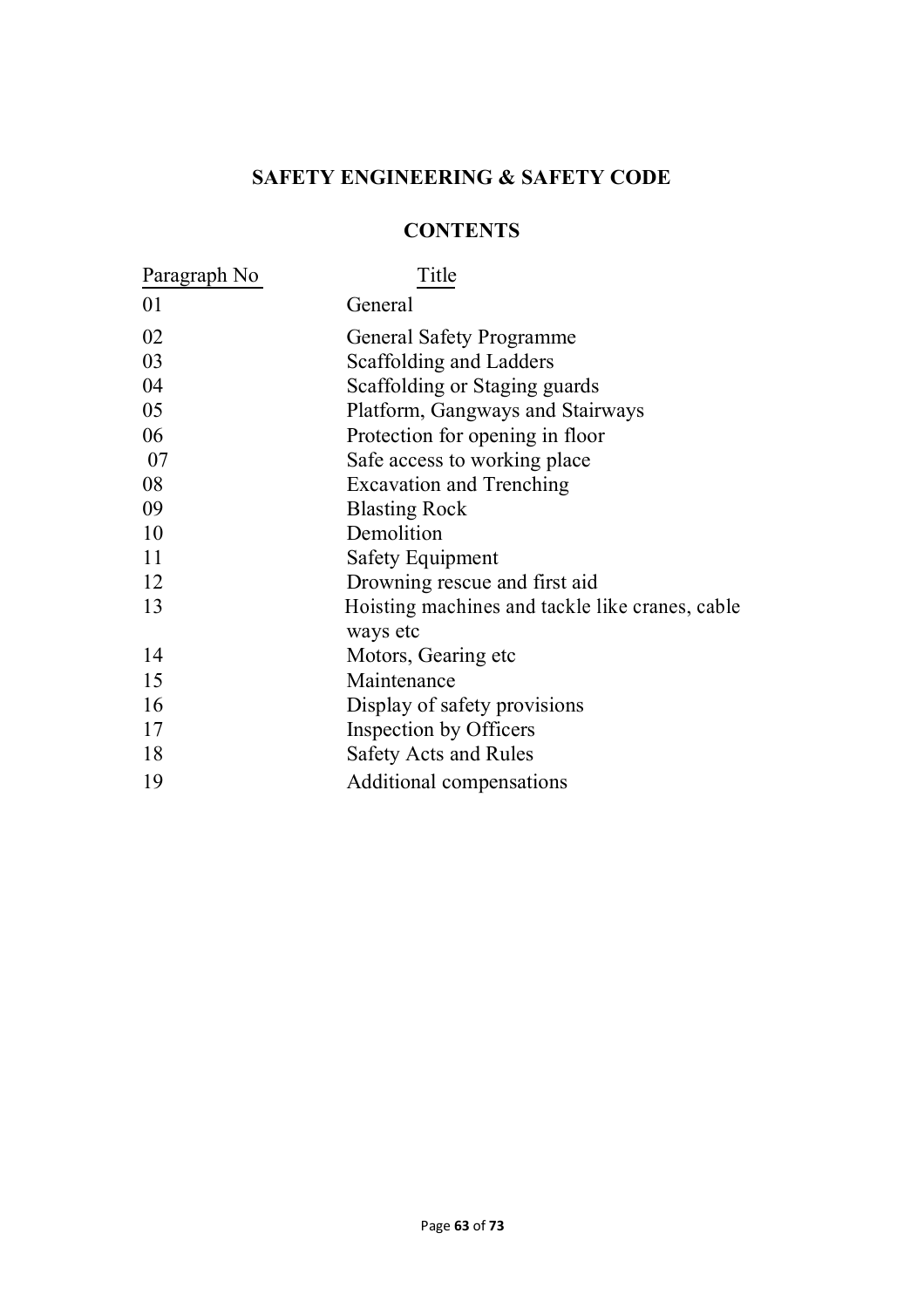## **SAFETY ENGINEERING & SAFETY CODE**

### **CONTENTS**

| Paragraph No | Title                                           |
|--------------|-------------------------------------------------|
| 01           | General                                         |
| 02           | <b>General Safety Programme</b>                 |
| 03           | Scaffolding and Ladders                         |
| 04           | Scaffolding or Staging guards                   |
| 05           | Platform, Gangways and Stairways                |
| 06           | Protection for opening in floor                 |
| 07           | Safe access to working place                    |
| 08           | <b>Excavation and Trenching</b>                 |
| 09           | <b>Blasting Rock</b>                            |
| 10           | Demolition                                      |
| 11           | <b>Safety Equipment</b>                         |
| 12           | Drowning rescue and first aid                   |
| 13           | Hoisting machines and tackle like cranes, cable |
|              | ways etc                                        |
| 14           | Motors, Gearing etc                             |
| 15           | Maintenance                                     |
| 16           | Display of safety provisions                    |
| 17           | Inspection by Officers                          |
| 18           | <b>Safety Acts and Rules</b>                    |
| 19           | Additional compensations                        |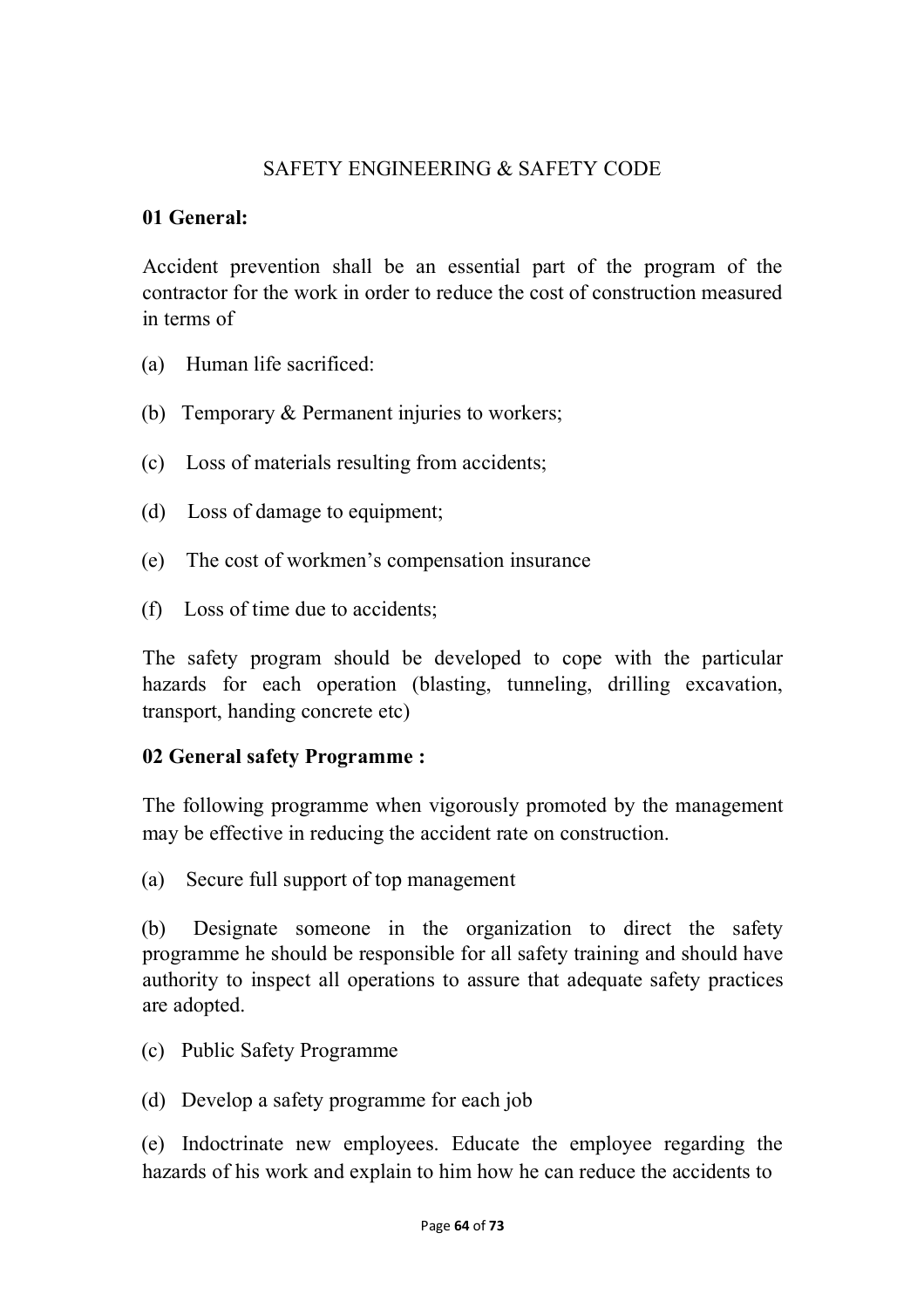#### SAFETY ENGINEERING & SAFETY CODE

#### **01 General:**

Accident prevention shall be an essential part of the program of the contractor for the work in order to reduce the cost of construction measured in terms of

- (a) Human life sacrificed:
- (b) Temporary & Permanent injuries to workers;
- (c) Loss of materials resulting from accidents;
- (d) Loss of damage to equipment;
- (e) The cost of workmen's compensation insurance
- (f) Loss of time due to accidents;

The safety program should be developed to cope with the particular hazards for each operation (blasting, tunneling, drilling excavation, transport, handing concrete etc)

#### **02 General safety Programme :**

The following programme when vigorously promoted by the management may be effective in reducing the accident rate on construction.

(a) Secure full support of top management

(b) Designate someone in the organization to direct the safety programme he should be responsible for all safety training and should have authority to inspect all operations to assure that adequate safety practices are adopted.

- (c) Public Safety Programme
- (d) Develop a safety programme for each job

(e) Indoctrinate new employees. Educate the employee regarding the hazards of his work and explain to him how he can reduce the accidents to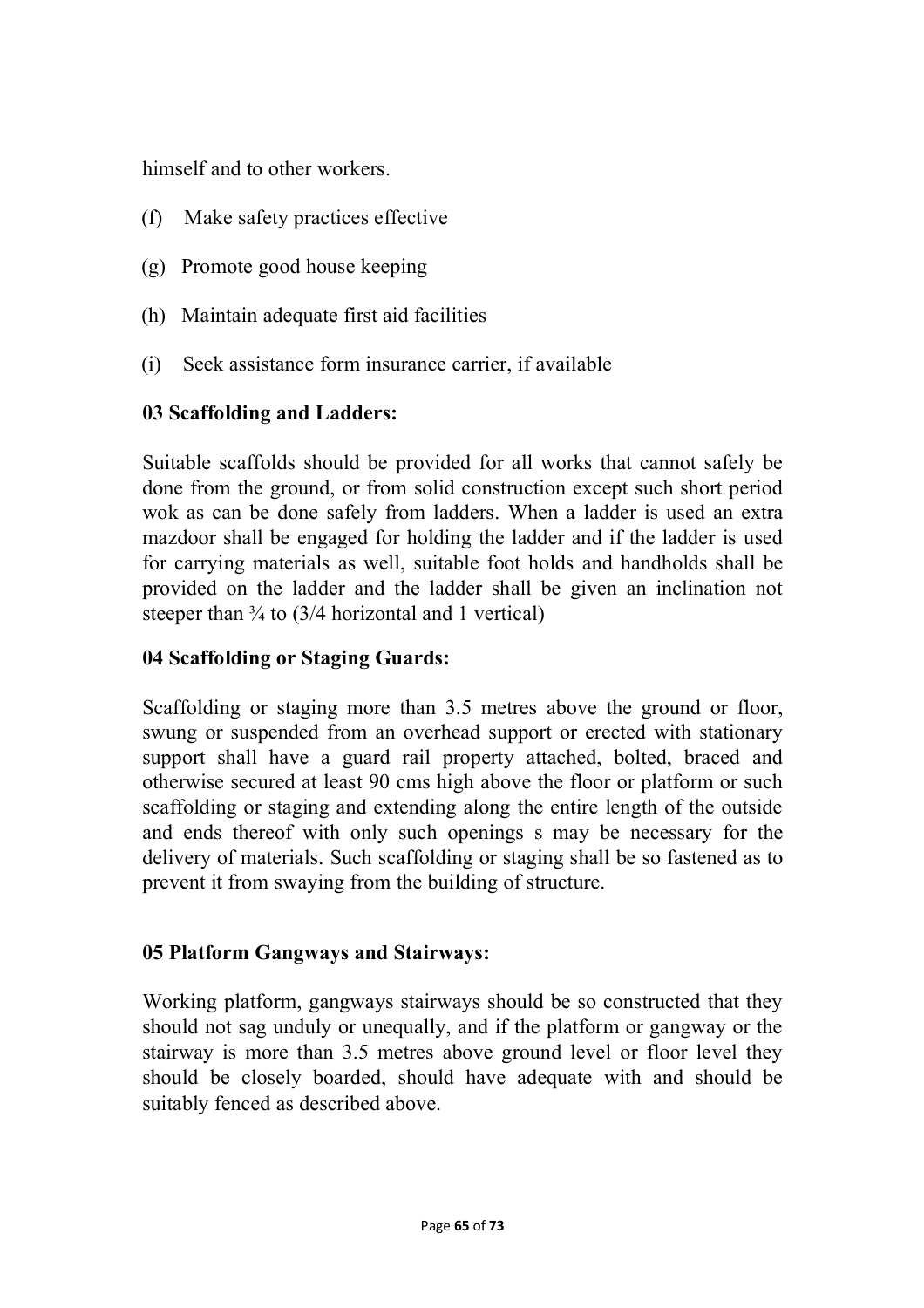himself and to other workers.

- (f) Make safety practices effective
- (g) Promote good house keeping
- (h) Maintain adequate first aid facilities
- (i) Seek assistance form insurance carrier, if available

## **03 Scaffolding and Ladders:**

Suitable scaffolds should be provided for all works that cannot safely be done from the ground, or from solid construction except such short period wok as can be done safely from ladders. When a ladder is used an extra mazdoor shall be engaged for holding the ladder and if the ladder is used for carrying materials as well, suitable foot holds and handholds shall be provided on the ladder and the ladder shall be given an inclination not steeper than  $\frac{3}{4}$  to (3/4 horizontal and 1 vertical)

## **04 Scaffolding or Staging Guards:**

Scaffolding or staging more than 3.5 metres above the ground or floor, swung or suspended from an overhead support or erected with stationary support shall have a guard rail property attached, bolted, braced and otherwise secured at least 90 cms high above the floor or platform or such scaffolding or staging and extending along the entire length of the outside and ends thereof with only such openings s may be necessary for the delivery of materials. Such scaffolding or staging shall be so fastened as to prevent it from swaying from the building of structure.

## **05 Platform Gangways and Stairways:**

Working platform, gangways stairways should be so constructed that they should not sag unduly or unequally, and if the platform or gangway or the stairway is more than 3.5 metres above ground level or floor level they should be closely boarded, should have adequate with and should be suitably fenced as described above.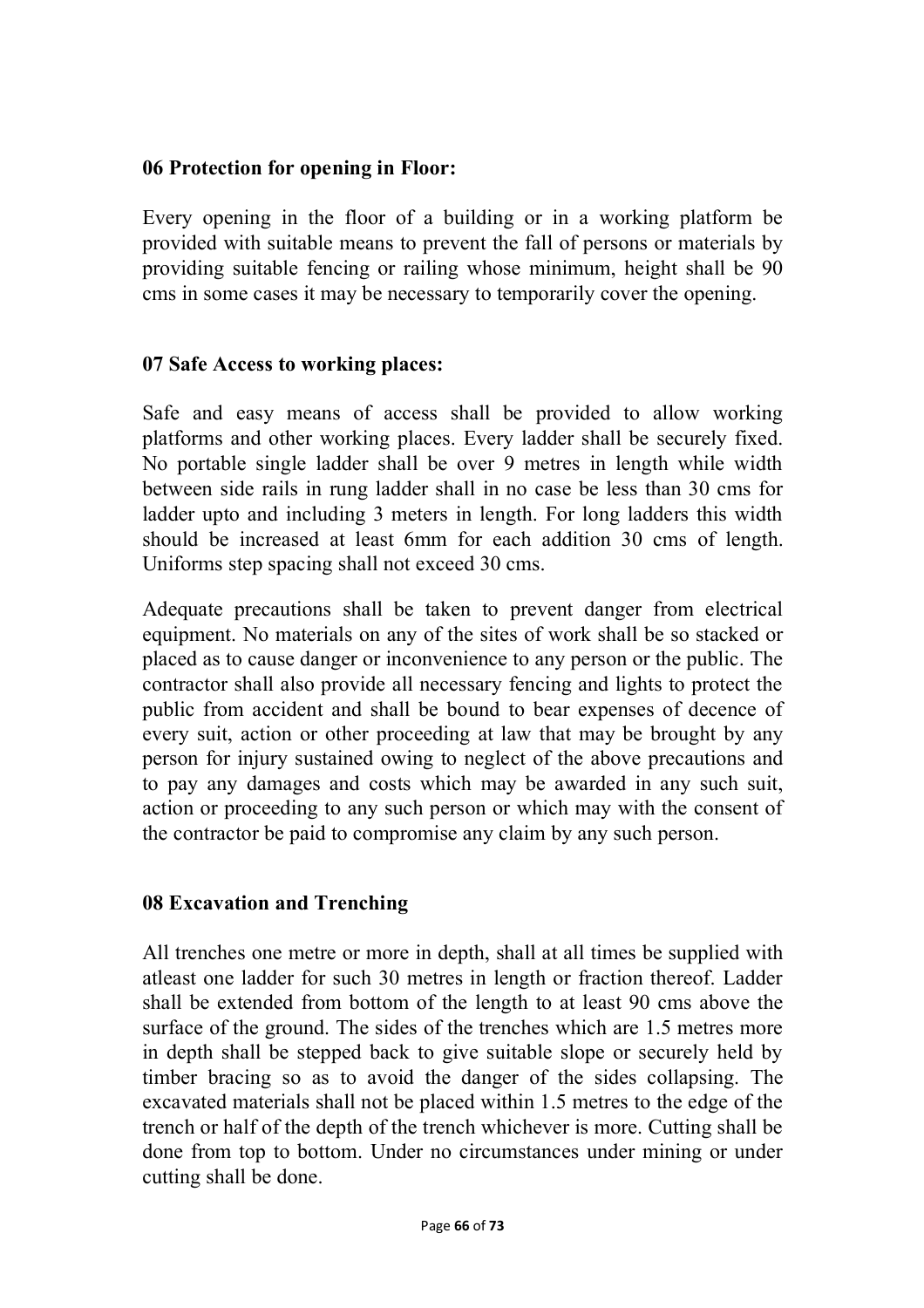### **06 Protection for opening in Floor:**

Every opening in the floor of a building or in a working platform be provided with suitable means to prevent the fall of persons or materials by providing suitable fencing or railing whose minimum, height shall be 90 cms in some cases it may be necessary to temporarily cover the opening.

### **07 Safe Access to working places:**

Safe and easy means of access shall be provided to allow working platforms and other working places. Every ladder shall be securely fixed. No portable single ladder shall be over 9 metres in length while width between side rails in rung ladder shall in no case be less than 30 cms for ladder upto and including 3 meters in length. For long ladders this width should be increased at least 6mm for each addition 30 cms of length. Uniforms step spacing shall not exceed 30 cms.

Adequate precautions shall be taken to prevent danger from electrical equipment. No materials on any of the sites of work shall be so stacked or placed as to cause danger or inconvenience to any person or the public. The contractor shall also provide all necessary fencing and lights to protect the public from accident and shall be bound to bear expenses of decence of every suit, action or other proceeding at law that may be brought by any person for injury sustained owing to neglect of the above precautions and to pay any damages and costs which may be awarded in any such suit, action or proceeding to any such person or which may with the consent of the contractor be paid to compromise any claim by any such person.

## **08 Excavation and Trenching**

All trenches one metre or more in depth, shall at all times be supplied with atleast one ladder for such 30 metres in length or fraction thereof. Ladder shall be extended from bottom of the length to at least 90 cms above the surface of the ground. The sides of the trenches which are 1.5 metres more in depth shall be stepped back to give suitable slope or securely held by timber bracing so as to avoid the danger of the sides collapsing. The excavated materials shall not be placed within 1.5 metres to the edge of the trench or half of the depth of the trench whichever is more. Cutting shall be done from top to bottom. Under no circumstances under mining or under cutting shall be done.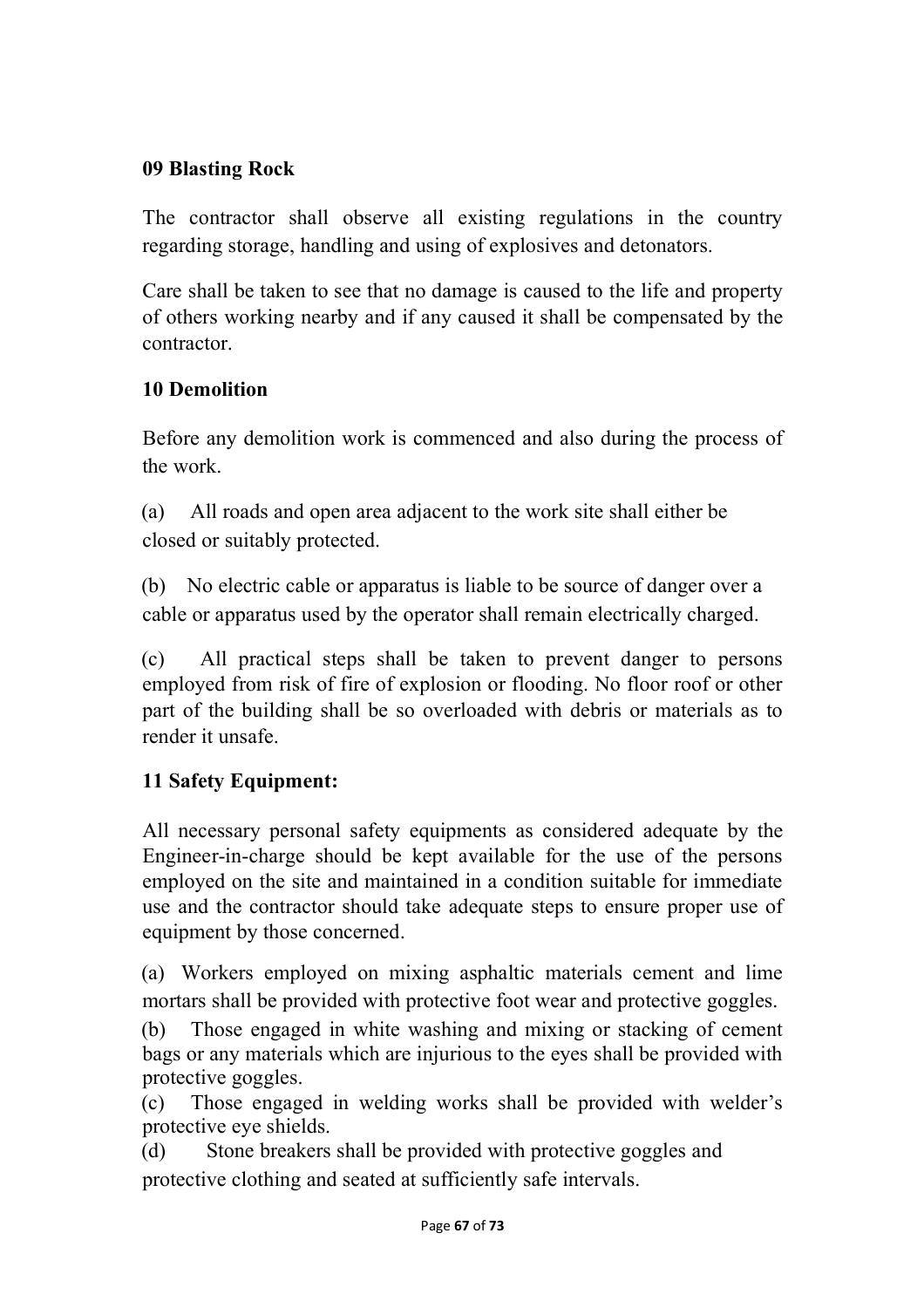### **09 Blasting Rock**

The contractor shall observe all existing regulations in the country regarding storage, handling and using of explosives and detonators.

Care shall be taken to see that no damage is caused to the life and property of others working nearby and if any caused it shall be compensated by the contractor.

## **10 Demolition**

Before any demolition work is commenced and also during the process of the work.

(a) All roads and open area adjacent to the work site shall either be closed or suitably protected.

(b) No electric cable or apparatus is liable to be source of danger over a cable or apparatus used by the operator shall remain electrically charged.

(c) All practical steps shall be taken to prevent danger to persons employed from risk of fire of explosion or flooding. No floor roof or other part of the building shall be so overloaded with debris or materials as to render it unsafe.

## **11 Safety Equipment:**

All necessary personal safety equipments as considered adequate by the Engineer-in-charge should be kept available for the use of the persons employed on the site and maintained in a condition suitable for immediate use and the contractor should take adequate steps to ensure proper use of equipment by those concerned.

(a) Workers employed on mixing asphaltic materials cement and lime mortars shall be provided with protective foot wear and protective goggles.

(b) Those engaged in white washing and mixing or stacking of cement bags or any materials which are injurious to the eyes shall be provided with protective goggles.

(c) Those engaged in welding works shall be provided with welder's protective eye shields.

(d) Stone breakers shall be provided with protective goggles and protective clothing and seated at sufficiently safe intervals.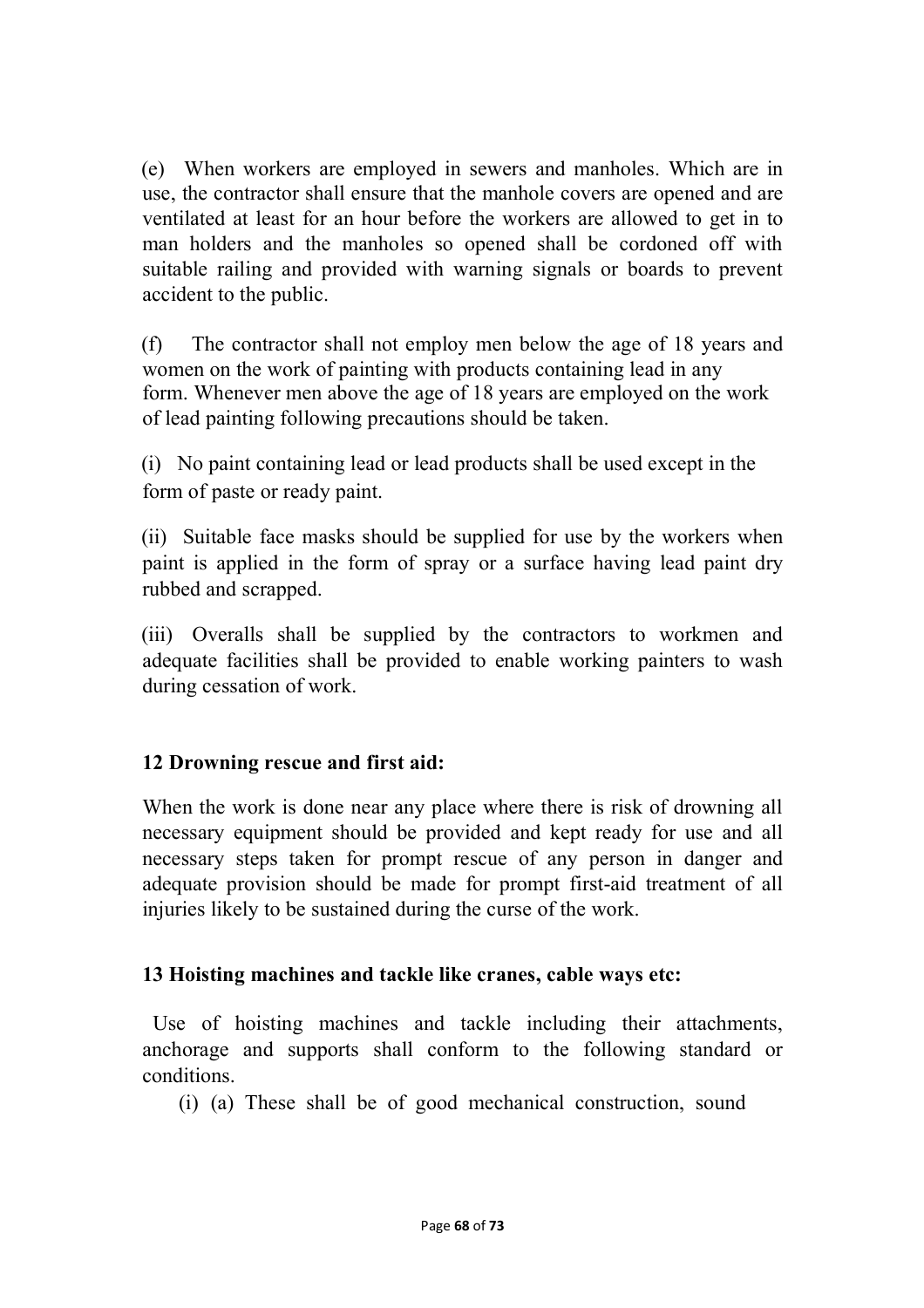(e) When workers are employed in sewers and manholes. Which are in use, the contractor shall ensure that the manhole covers are opened and are ventilated at least for an hour before the workers are allowed to get in to man holders and the manholes so opened shall be cordoned off with suitable railing and provided with warning signals or boards to prevent accident to the public.

(f) The contractor shall not employ men below the age of 18 years and women on the work of painting with products containing lead in any form. Whenever men above the age of 18 years are employed on the work of lead painting following precautions should be taken.

(i) No paint containing lead or lead products shall be used except in the form of paste or ready paint.

(ii) Suitable face masks should be supplied for use by the workers when paint is applied in the form of spray or a surface having lead paint dry rubbed and scrapped.

(iii) Overalls shall be supplied by the contractors to workmen and adequate facilities shall be provided to enable working painters to wash during cessation of work.

### **12 Drowning rescue and first aid:**

When the work is done near any place where there is risk of drowning all necessary equipment should be provided and kept ready for use and all necessary steps taken for prompt rescue of any person in danger and adequate provision should be made for prompt first-aid treatment of all injuries likely to be sustained during the curse of the work.

## **13 Hoisting machines and tackle like cranes, cable ways etc:**

Use of hoisting machines and tackle including their attachments, anchorage and supports shall conform to the following standard or conditions.

(i) (a) These shall be of good mechanical construction, sound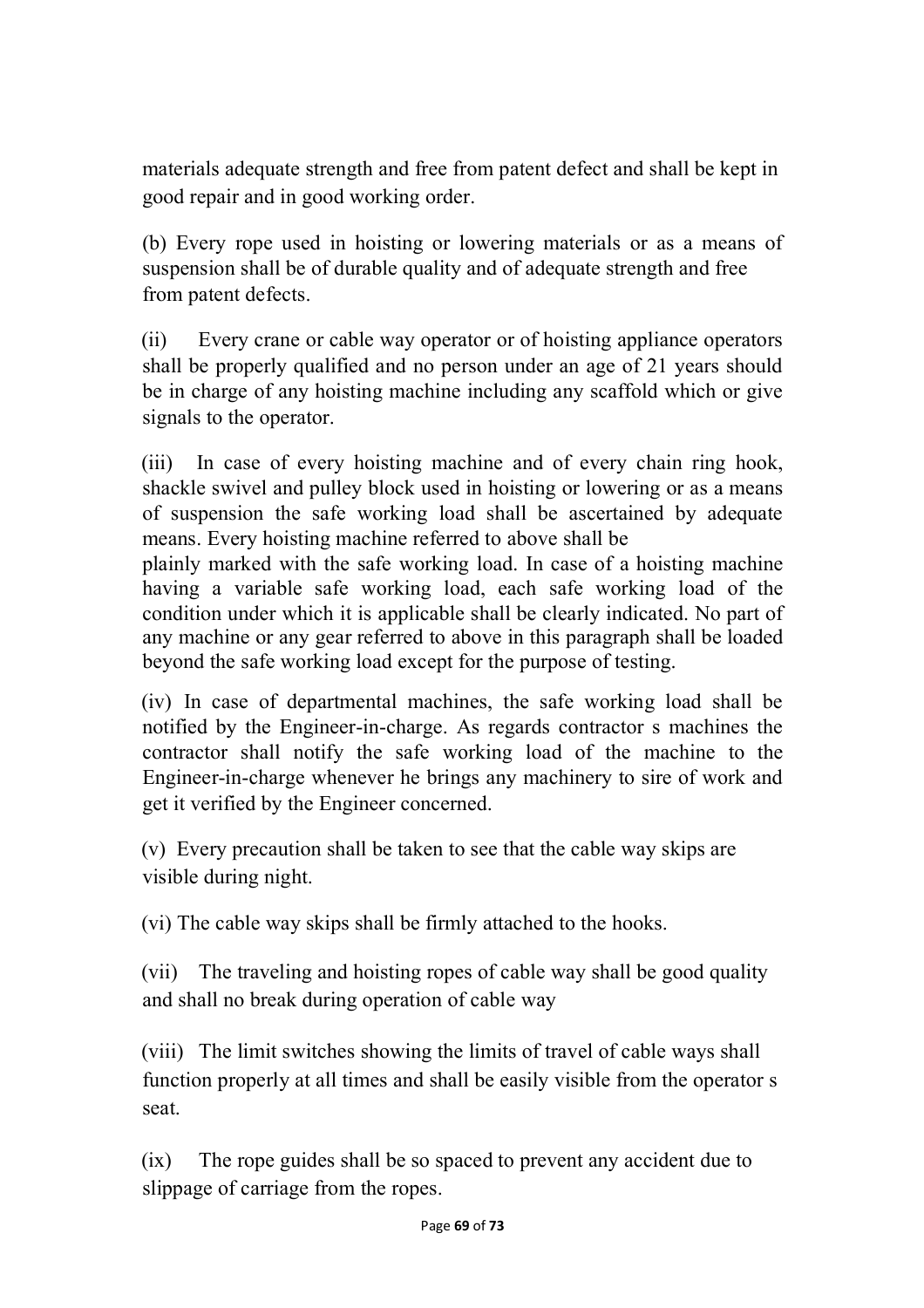materials adequate strength and free from patent defect and shall be kept in good repair and in good working order.

(b) Every rope used in hoisting or lowering materials or as a means of suspension shall be of durable quality and of adequate strength and free from patent defects.

(ii) Every crane or cable way operator or of hoisting appliance operators shall be properly qualified and no person under an age of 21 years should be in charge of any hoisting machine including any scaffold which or give signals to the operator.

(iii) In case of every hoisting machine and of every chain ring hook, shackle swivel and pulley block used in hoisting or lowering or as a means of suspension the safe working load shall be ascertained by adequate means. Every hoisting machine referred to above shall be

plainly marked with the safe working load. In case of a hoisting machine having a variable safe working load, each safe working load of the condition under which it is applicable shall be clearly indicated. No part of any machine or any gear referred to above in this paragraph shall be loaded beyond the safe working load except for the purpose of testing.

(iv) In case of departmental machines, the safe working load shall be notified by the Engineer-in-charge. As regards contractor s machines the contractor shall notify the safe working load of the machine to the Engineer-in-charge whenever he brings any machinery to sire of work and get it verified by the Engineer concerned.

(v) Every precaution shall be taken to see that the cable way skips are visible during night.

(vi) The cable way skips shall be firmly attached to the hooks.

(vii) The traveling and hoisting ropes of cable way shall be good quality and shall no break during operation of cable way

(viii) The limit switches showing the limits of travel of cable ways shall function properly at all times and shall be easily visible from the operator s seat.

(ix) The rope guides shall be so spaced to prevent any accident due to slippage of carriage from the ropes.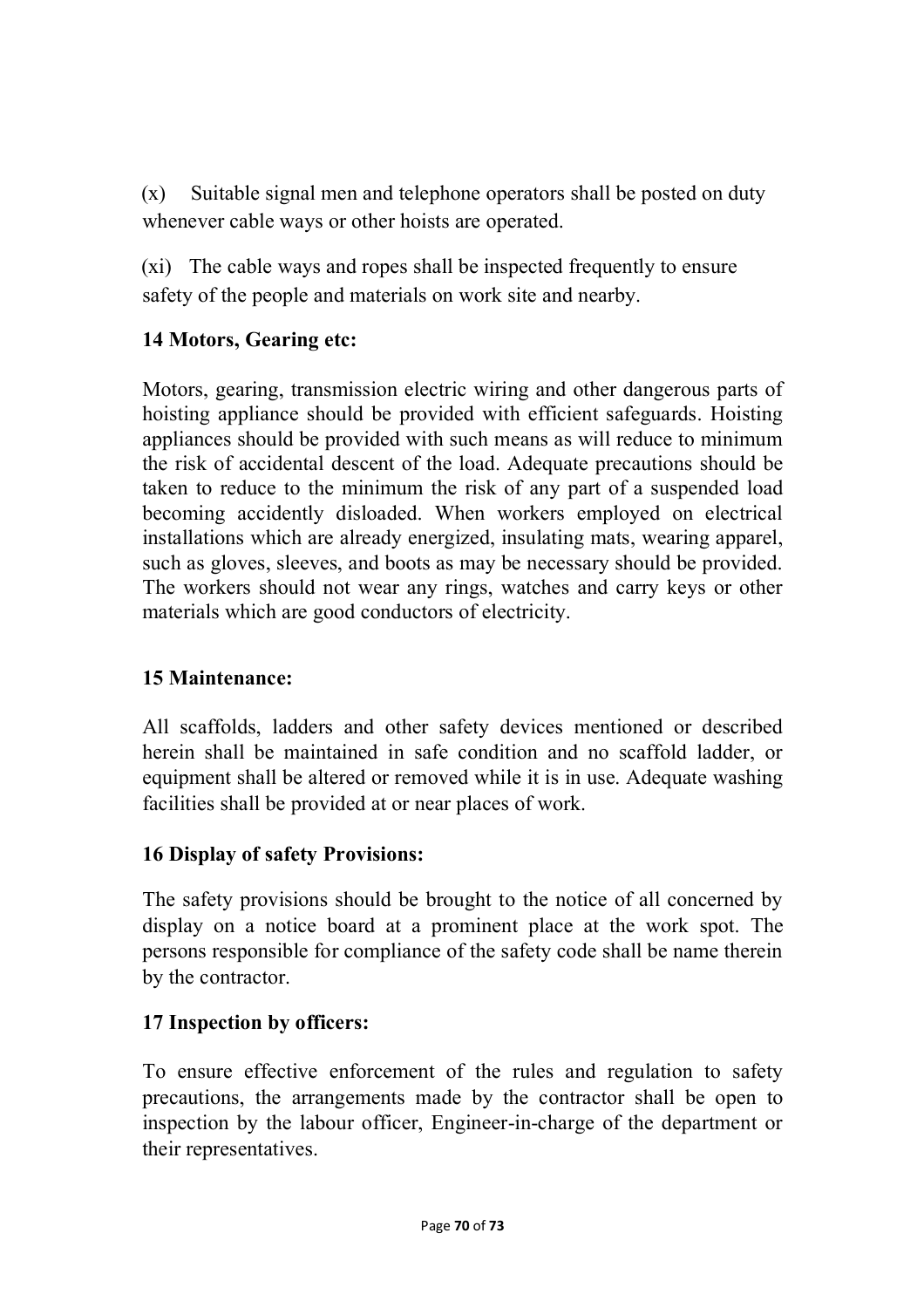(x) Suitable signal men and telephone operators shall be posted on duty whenever cable ways or other hoists are operated.

(xi) The cable ways and ropes shall be inspected frequently to ensure safety of the people and materials on work site and nearby.

# **14 Motors, Gearing etc:**

Motors, gearing, transmission electric wiring and other dangerous parts of hoisting appliance should be provided with efficient safeguards. Hoisting appliances should be provided with such means as will reduce to minimum the risk of accidental descent of the load. Adequate precautions should be taken to reduce to the minimum the risk of any part of a suspended load becoming accidently disloaded. When workers employed on electrical installations which are already energized, insulating mats, wearing apparel, such as gloves, sleeves, and boots as may be necessary should be provided. The workers should not wear any rings, watches and carry keys or other materials which are good conductors of electricity.

## **15 Maintenance:**

All scaffolds, ladders and other safety devices mentioned or described herein shall be maintained in safe condition and no scaffold ladder, or equipment shall be altered or removed while it is in use. Adequate washing facilities shall be provided at or near places of work.

## **16 Display of safety Provisions:**

The safety provisions should be brought to the notice of all concerned by display on a notice board at a prominent place at the work spot. The persons responsible for compliance of the safety code shall be name therein by the contractor.

## **17 Inspection by officers:**

To ensure effective enforcement of the rules and regulation to safety precautions, the arrangements made by the contractor shall be open to inspection by the labour officer, Engineer-in-charge of the department or their representatives.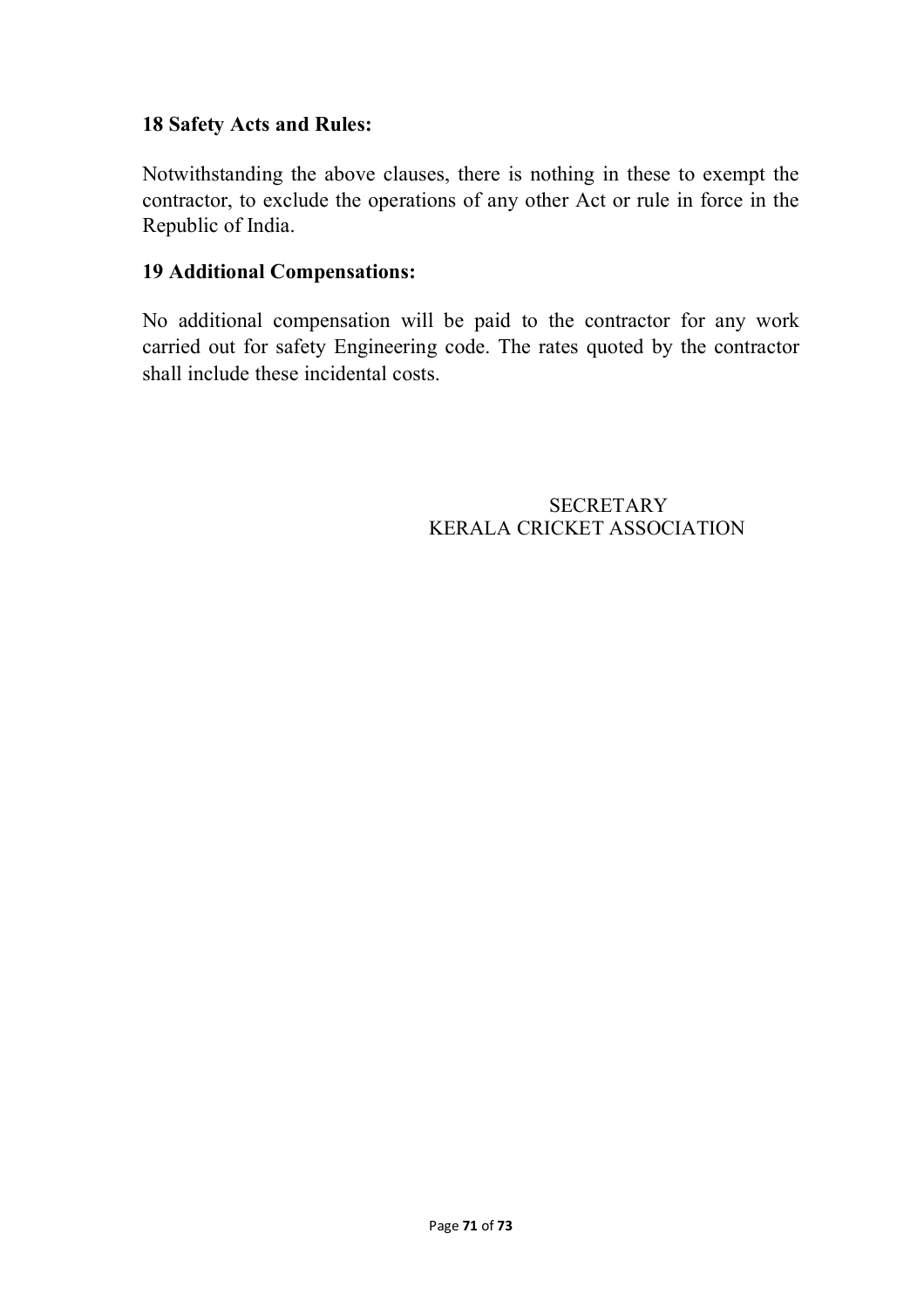### **18 Safety Acts and Rules:**

Notwithstanding the above clauses, there is nothing in these to exempt the contractor, to exclude the operations of any other Act or rule in force in the Republic of India.

### **19 Additional Compensations:**

No additional compensation will be paid to the contractor for any work carried out for safety Engineering code. The rates quoted by the contractor shall include these incidental costs.

> SECRETARY KERALA CRICKET ASSOCIATION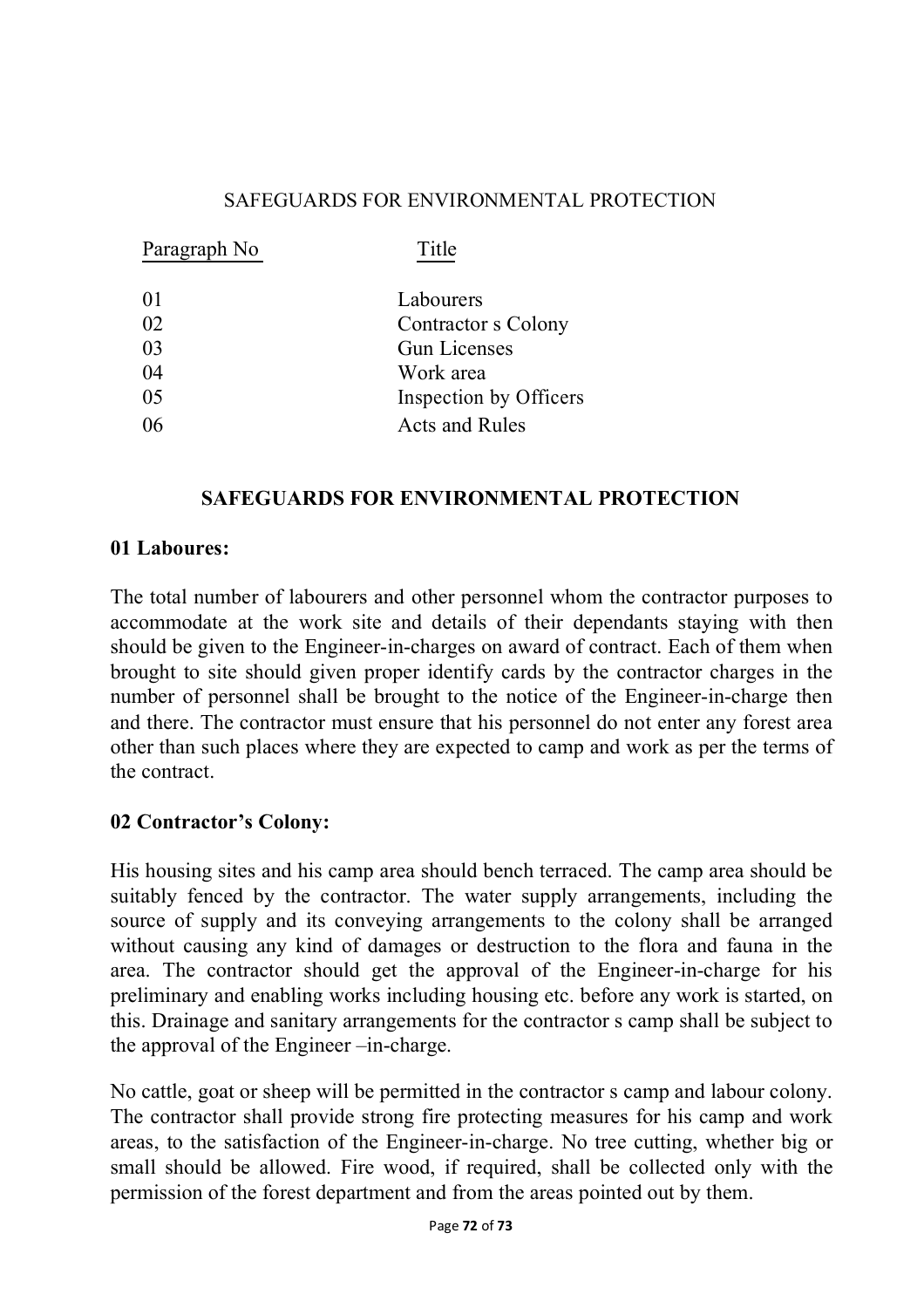### SAFEGUARDS FOR ENVIRONMENTAL PROTECTION

| Paragraph No | Title                  |
|--------------|------------------------|
| 01           | Labourers              |
| 02           | Contractor s Colony    |
| 03           | <b>Gun Licenses</b>    |
| 04           | Work area              |
| 05           | Inspection by Officers |
| 06           | <b>Acts and Rules</b>  |
|              |                        |

### **SAFEGUARDS FOR ENVIRONMENTAL PROTECTION**

#### **01 Laboures:**

The total number of labourers and other personnel whom the contractor purposes to accommodate at the work site and details of their dependants staying with then should be given to the Engineer-in-charges on award of contract. Each of them when brought to site should given proper identify cards by the contractor charges in the number of personnel shall be brought to the notice of the Engineer-in-charge then and there. The contractor must ensure that his personnel do not enter any forest area other than such places where they are expected to camp and work as per the terms of the contract.

### **02 Contractor's Colony:**

His housing sites and his camp area should bench terraced. The camp area should be suitably fenced by the contractor. The water supply arrangements, including the source of supply and its conveying arrangements to the colony shall be arranged without causing any kind of damages or destruction to the flora and fauna in the area. The contractor should get the approval of the Engineer-in-charge for his preliminary and enabling works including housing etc. before any work is started, on this. Drainage and sanitary arrangements for the contractor s camp shall be subject to the approval of the Engineer –in-charge.

No cattle, goat or sheep will be permitted in the contractor s camp and labour colony. The contractor shall provide strong fire protecting measures for his camp and work areas, to the satisfaction of the Engineer-in-charge. No tree cutting, whether big or small should be allowed. Fire wood, if required, shall be collected only with the permission of the forest department and from the areas pointed out by them.